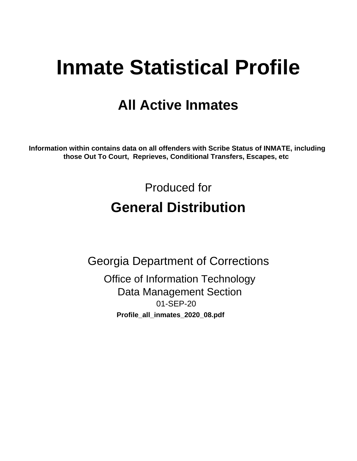# **Inmate Statistical Profile**

# **All Active Inmates**

Information within contains data on all offenders with Scribe Status of INMATE, including those Out To Court, Reprieves, Conditional Transfers, Escapes, etc

> Produced for **General Distribution**

**Georgia Department of Corrections Office of Information Technology Data Management Section** 01-SEP-20

Profile\_all\_inmates\_2020\_08.pdf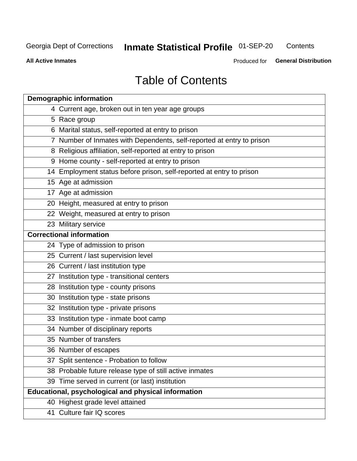# **Inmate Statistical Profile 01-SEP-20**

Contents

**All Active Inmates** 

Produced for General Distribution

# **Table of Contents**

| <b>Demographic information</b>                                        |
|-----------------------------------------------------------------------|
| 4 Current age, broken out in ten year age groups                      |
| 5 Race group                                                          |
| 6 Marital status, self-reported at entry to prison                    |
| 7 Number of Inmates with Dependents, self-reported at entry to prison |
| 8 Religious affiliation, self-reported at entry to prison             |
| 9 Home county - self-reported at entry to prison                      |
| 14 Employment status before prison, self-reported at entry to prison  |
| 15 Age at admission                                                   |
| 17 Age at admission                                                   |
| 20 Height, measured at entry to prison                                |
| 22 Weight, measured at entry to prison                                |
| 23 Military service                                                   |
| <b>Correctional information</b>                                       |
| 24 Type of admission to prison                                        |
| 25 Current / last supervision level                                   |
| 26 Current / last institution type                                    |
| 27 Institution type - transitional centers                            |
| 28 Institution type - county prisons                                  |
| 30 Institution type - state prisons                                   |
| 32 Institution type - private prisons                                 |
| 33 Institution type - inmate boot camp                                |
| 34 Number of disciplinary reports                                     |
| 35 Number of transfers                                                |
| 36 Number of escapes                                                  |
| 37 Split sentence - Probation to follow                               |
| 38 Probable future release type of still active inmates               |
| 39 Time served in current (or last) institution                       |
| Educational, psychological and physical information                   |
| 40 Highest grade level attained                                       |
| 41 Culture fair IQ scores                                             |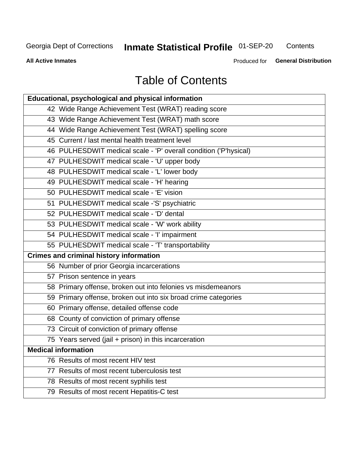# Inmate Statistical Profile 01-SEP-20

Contents

**All Active Inmates** 

Produced for General Distribution

# **Table of Contents**

| Educational, psychological and physical information              |
|------------------------------------------------------------------|
| 42 Wide Range Achievement Test (WRAT) reading score              |
| 43 Wide Range Achievement Test (WRAT) math score                 |
| 44 Wide Range Achievement Test (WRAT) spelling score             |
| 45 Current / last mental health treatment level                  |
| 46 PULHESDWIT medical scale - 'P' overall condition ('P'hysical) |
| 47 PULHESDWIT medical scale - 'U' upper body                     |
| 48 PULHESDWIT medical scale - 'L' lower body                     |
| 49 PULHESDWIT medical scale - 'H' hearing                        |
| 50 PULHESDWIT medical scale - 'E' vision                         |
| 51 PULHESDWIT medical scale -'S' psychiatric                     |
| 52 PULHESDWIT medical scale - 'D' dental                         |
| 53 PULHESDWIT medical scale - 'W' work ability                   |
| 54 PULHESDWIT medical scale - 'I' impairment                     |
| 55 PULHESDWIT medical scale - 'T' transportability               |
| <b>Crimes and criminal history information</b>                   |
| 56 Number of prior Georgia incarcerations                        |
| 57 Prison sentence in years                                      |
| 58 Primary offense, broken out into felonies vs misdemeanors     |
| 59 Primary offense, broken out into six broad crime categories   |
| 60 Primary offense, detailed offense code                        |
| 68 County of conviction of primary offense                       |
| 73 Circuit of conviction of primary offense                      |
| 75 Years served (jail + prison) in this incarceration            |
| <b>Medical information</b>                                       |
| 76 Results of most recent HIV test                               |
| 77 Results of most recent tuberculosis test                      |
| 78 Results of most recent syphilis test                          |
| 79 Results of most recent Hepatitis-C test                       |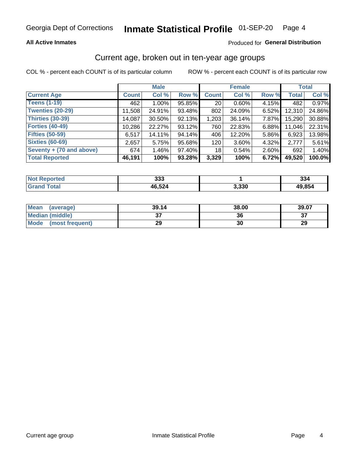#### Inmate Statistical Profile 01-SEP-20 Page 4

### **All Active Inmates**

### Produced for General Distribution

## Current age, broken out in ten-year age groups

COL % - percent each COUNT is of its particular column

|                          |              | <b>Male</b> |        |                 | <b>Female</b> |          |              | <b>Total</b> |
|--------------------------|--------------|-------------|--------|-----------------|---------------|----------|--------------|--------------|
| <b>Current Age</b>       | <b>Count</b> | Col %       | Row %  | <b>Count</b>    | Col %         | Row %    | <b>Total</b> | Col %        |
| <b>Teens (1-19)</b>      | 462          | $1.00\%$    | 95.85% | 20 <sub>1</sub> | $0.60\%$      | 4.15%    | 482          | 0.97%        |
| <b>Twenties (20-29)</b>  | 11,508       | 24.91%      | 93.48% | 802             | 24.09%        | 6.52%    | 12,310       | 24.86%       |
| Thirties (30-39)         | 14,087       | 30.50%      | 92.13% | 1,203           | 36.14%        | 7.87%    | 15,290       | 30.88%       |
| <b>Forties (40-49)</b>   | 10,286       | 22.27%      | 93.12% | 760             | 22.83%        | 6.88%    | 11,046       | 22.31%       |
| <b>Fifties (50-59)</b>   | 6,517        | 14.11%      | 94.14% | 406             | 12.20%        | 5.86%    | 6,923        | 13.98%       |
| <b>Sixties (60-69)</b>   | 2,657        | 5.75%       | 95.68% | 120             | $3.60\%$      | 4.32%    | 2,777        | 5.61%        |
| Seventy + (70 and above) | 674          | $1.46\%$    | 97.40% | 18              | 0.54%         | $2.60\%$ | 692          | 1.40%        |
| <b>Total Reported</b>    | 46,191       | 100%        | 93.28% | 3,329           | 100%          | 6.72%    | 49,520       | 100.0%       |

| Not I             | つつつ    |       | 22     |
|-------------------|--------|-------|--------|
| <b>Experience</b> | ააა    |       | 994    |
| <b>Total</b>      | IR 521 | 3,330 | 49.854 |

| <b>Mean</b><br>(average) | 39.14         | 38.00 | 39.07    |
|--------------------------|---------------|-------|----------|
| Median (middle)          | $\sim$<br>ا پ | 36    | ^¬<br>o. |
| Mode<br>(most frequent)  | 29            | 30    | 29       |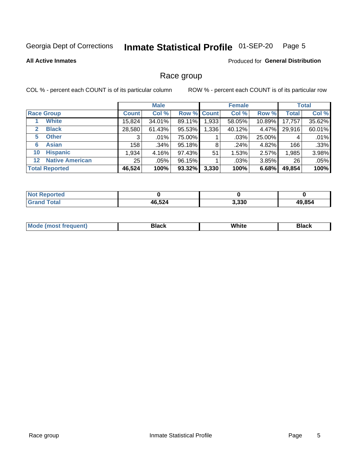#### Inmate Statistical Profile 01-SEP-20 Page 5

**All Active Inmates** 

Produced for General Distribution

### Race group

COL % - percent each COUNT is of its particular column

|                                   |              | <b>Male</b> |        |                    | <b>Female</b> |        |              | <b>Total</b> |  |
|-----------------------------------|--------------|-------------|--------|--------------------|---------------|--------|--------------|--------------|--|
| <b>Race Group</b>                 | <b>Count</b> | Col %       |        | <b>Row % Count</b> | Col %         | Row %  | <b>Total</b> | Col %        |  |
| <b>White</b>                      | 15,824       | 34.01%      | 89.11% | ,933               | 58.05%        | 10.89% | 17,757       | 35.62%       |  |
| <b>Black</b><br>2                 | 28,580       | 61.43%      | 95.53% | 1,336              | 40.12%        | 4.47%  | 29,916       | 60.01%       |  |
| <b>Other</b><br>5.                | 3            | $.01\%$     | 75.00% |                    | .03%          | 25.00% | 4            | .01%         |  |
| <b>Asian</b><br>6                 | 158          | .34%        | 95.18% | 8                  | .24%          | 4.82%  | 166          | .33%         |  |
| <b>Hispanic</b><br>10             | 1.934        | 4.16%       | 97.43% | 51                 | 1.53%         | 2.57%  | 1,985        | 3.98%        |  |
| <b>Native American</b><br>$12 \,$ | 25           | $.05\%$     | 96.15% |                    | .03%          | 3.85%  | 26           | .05%         |  |
| <b>Total Reported</b>             | 46,524       | 100%        | 93.32% | 3,330              | 100%          | 6.68%  | 49,854       | 100%         |  |

| <b>Not</b><br>Reported |        |       |        |
|------------------------|--------|-------|--------|
| Total<br>'Grano        | 46,524 | 3,330 | 49,854 |

|  |  | Mo | <b>Black</b> | (8/16it/<br><b>AAIIIG</b> | <b>Black</b> |
|--|--|----|--------------|---------------------------|--------------|
|--|--|----|--------------|---------------------------|--------------|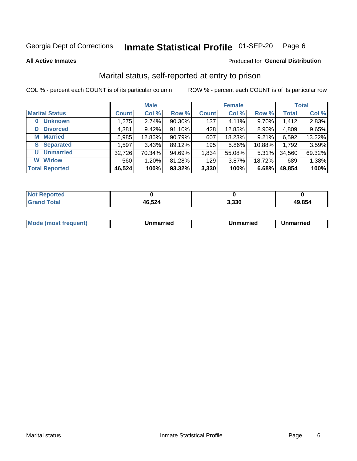#### Inmate Statistical Profile 01-SEP-20 Page 6

**All Active Inmates** 

### **Produced for General Distribution**

## Marital status, self-reported at entry to prison

COL % - percent each COUNT is of its particular column

|                            |              | <b>Male</b> |        |              | <b>Female</b> |        |              | <b>Total</b> |
|----------------------------|--------------|-------------|--------|--------------|---------------|--------|--------------|--------------|
| <b>Marital Status</b>      | <b>Count</b> | Col %       | Row %  | <b>Count</b> | Col %         | Row %  | <b>Total</b> | Col %        |
| <b>Unknown</b><br>$\bf{0}$ | 1,275        | 2.74%       | 90.30% | 137          | 4.11%         | 9.70%  | 1,412        | 2.83%        |
| <b>Divorced</b><br>D       | 4,381        | 9.42%       | 91.10% | 428          | 12.85%        | 8.90%  | 4,809        | 9.65%        |
| <b>Married</b><br>М        | 5,985        | 12.86%      | 90.79% | 607          | 18.23%        | 9.21%  | 6,592        | 13.22%       |
| <b>Separated</b><br>S.     | 1,597        | 3.43%       | 89.12% | 195          | 5.86%         | 10.88% | 1,792        | 3.59%        |
| <b>Unmarried</b><br>U      | 32,726       | 70.34%      | 94.69% | 1,834        | 55.08%        | 5.31%  | 34,560       | 69.32%       |
| <b>Widow</b><br>W          | 560          | 1.20%       | 81.28% | 129          | 3.87%         | 18.72% | 689          | 1.38%        |
| <b>Total Reported</b>      | 46,524       | 100%        | 93.32% | 3,330        | 100%          | 6.68%  | 49,854       | 100%         |

| <b>NOT</b><br>тео |       |                |        |
|-------------------|-------|----------------|--------|
| $\sim$ 10         | 5,524 | חממ מ<br>ა.აას | 49.854 |

|--|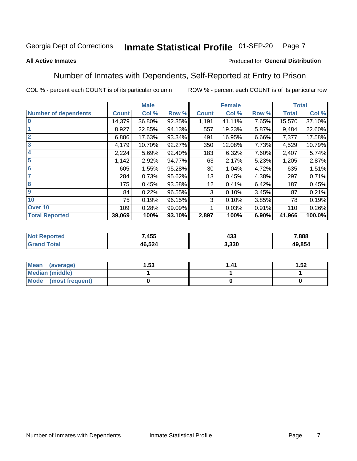#### Inmate Statistical Profile 01-SEP-20 Page 7

#### **All Active Inmates**

### Produced for General Distribution

## Number of Inmates with Dependents, Self-Reported at Entry to Prison

COL % - percent each COUNT is of its particular column

|                             |              | <b>Male</b> |        |              | <b>Female</b> |       | <b>Total</b> |        |
|-----------------------------|--------------|-------------|--------|--------------|---------------|-------|--------------|--------|
| <b>Number of dependents</b> | <b>Count</b> | Col %       | Row %  | <b>Count</b> | Col %         | Row % | <b>Total</b> | Col %  |
| l 0                         | 14,379       | 36.80%      | 92.35% | 1,191        | 41.11%        | 7.65% | 15,570       | 37.10% |
|                             | 8,927        | 22.85%      | 94.13% | 557          | 19.23%        | 5.87% | 9,484        | 22.60% |
| $\overline{2}$              | 6,886        | 17.63%      | 93.34% | 491          | 16.95%        | 6.66% | 7,377        | 17.58% |
| $\overline{\mathbf{3}}$     | 4,179        | 10.70%      | 92.27% | 350          | 12.08%        | 7.73% | 4,529        | 10.79% |
| 4                           | 2,224        | 5.69%       | 92.40% | 183          | 6.32%         | 7.60% | 2,407        | 5.74%  |
| 5                           | 1,142        | 2.92%       | 94.77% | 63           | 2.17%         | 5.23% | 1,205        | 2.87%  |
| 6                           | 605          | 1.55%       | 95.28% | 30           | 1.04%         | 4.72% | 635          | 1.51%  |
| 7                           | 284          | 0.73%       | 95.62% | 13           | 0.45%         | 4.38% | 297          | 0.71%  |
| 8                           | 175          | 0.45%       | 93.58% | 12           | 0.41%         | 6.42% | 187          | 0.45%  |
| 9                           | 84           | 0.22%       | 96.55% | 3            | 0.10%         | 3.45% | 87           | 0.21%  |
| 10                          | 75           | 0.19%       | 96.15% | 3            | 0.10%         | 3.85% | 78           | 0.19%  |
| Over 10                     | 109          | 0.28%       | 99.09% |              | 0.03%         | 0.91% | 110          | 0.26%  |
| <b>Total Reported</b>       | 39,069       | 100%        | 93.10% | 2,897        | 100%          | 6.90% | 41,966       | 100.0% |

| 7,455         | 90<br>400 | 7,888  |
|---------------|-----------|--------|
| 6,524<br>⁄1 6 | .330      | 49,854 |

| Mean (average)         | . 53 | 1.41 | 1.52 |
|------------------------|------|------|------|
| <b>Median (middle)</b> |      |      |      |
| Mode (most frequent)   |      |      |      |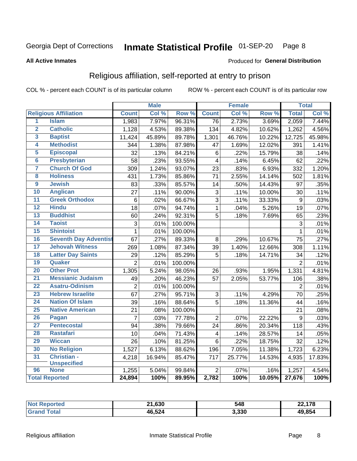#### Inmate Statistical Profile 01-SEP-20 Page 8

#### **All Active Inmates**

#### Produced for General Distribution

## Religious affiliation, self-reported at entry to prison

COL % - percent each COUNT is of its particular column

|                         |                              |                 | <b>Male</b> |         |                         | <b>Female</b> |                  |                  | <b>Total</b> |
|-------------------------|------------------------------|-----------------|-------------|---------|-------------------------|---------------|------------------|------------------|--------------|
|                         | <b>Religious Affiliation</b> | <b>Count</b>    | Col %       | Row %   | <b>Count</b>            | Col %         | Row <sup>%</sup> | <b>Total</b>     | Col %        |
| $\overline{1}$          | <b>Islam</b>                 | 1,983           | 7.97%       | 96.31%  | $\overline{76}$         | 2.73%         | 3.69%            | 2,059            | 7.44%        |
| $\overline{\mathbf{2}}$ | <b>Catholic</b>              | 1,128           | 4.53%       | 89.38%  | 134                     | 4.82%         | 10.62%           | 1,262            | 4.56%        |
| 3                       | <b>Baptist</b>               | 11,424          | 45.89%      | 89.78%  | 1,301                   | 46.76%        | 10.22%           | 12,725           | 45.98%       |
| 4                       | <b>Methodist</b>             | 344             | 1.38%       | 87.98%  | 47                      | 1.69%         | 12.02%           | 391              | 1.41%        |
| 5                       | <b>Episcopal</b>             | 32              | .13%        | 84.21%  | $\,6$                   | .22%          | 15.79%           | 38               | .14%         |
| $\overline{\bf{6}}$     | <b>Presbyterian</b>          | 58              | .23%        | 93.55%  | $\overline{4}$          | .14%          | 6.45%            | 62               | .22%         |
| 7                       | <b>Church Of God</b>         | 309             | 1.24%       | 93.07%  | 23                      | .83%          | 6.93%            | 332              | 1.20%        |
| $\overline{\mathbf{8}}$ | <b>Holiness</b>              | 431             | 1.73%       | 85.86%  | 71                      | 2.55%         | 14.14%           | 502              | 1.81%        |
| $\overline{9}$          | <b>Jewish</b>                | 83              | .33%        | 85.57%  | 14                      | .50%          | 14.43%           | 97               | .35%         |
| 10                      | <b>Anglican</b>              | 27              | .11%        | 90.00%  | 3                       | .11%          | 10.00%           | 30               | .11%         |
| $\overline{11}$         | <b>Greek Orthodox</b>        | $\,6$           | .02%        | 66.67%  | $\overline{3}$          | .11%          | 33.33%           | $\boldsymbol{9}$ | .03%         |
| 12                      | <b>Hindu</b>                 | 18              | .07%        | 94.74%  | $\mathbf{1}$            | .04%          | 5.26%            | 19               | .07%         |
| 13                      | <b>Buddhist</b>              | 60              | .24%        | 92.31%  | 5                       | .18%          | 7.69%            | 65               | .23%         |
| 14                      | <b>Taoist</b>                | $\mathbf{3}$    | .01%        | 100.00% |                         |               |                  | 3                | .01%         |
| 15                      | <b>Shintoist</b>             | $\mathbf{1}$    | .01%        | 100.00% |                         |               |                  | 1                | .01%         |
| 16                      | <b>Seventh Day Adventist</b> | 67              | .27%        | 89.33%  | 8                       | .29%          | 10.67%           | 75               | .27%         |
| 17                      | <b>Jehovah Witness</b>       | 269             | 1.08%       | 87.34%  | 39                      | 1.40%         | 12.66%           | 308              | 1.11%        |
| 18                      | <b>Latter Day Saints</b>     | 29              | .12%        | 85.29%  | 5                       | .18%          | 14.71%           | 34               | .12%         |
| 19                      | Quaker                       | $\overline{2}$  | .01%        | 100.00% |                         |               |                  | $\overline{2}$   | .01%         |
| 20                      | <b>Other Prot</b>            | 1,305           | 5.24%       | 98.05%  | 26                      | .93%          | 1.95%            | 1,331            | 4.81%        |
| $\overline{21}$         | <b>Messianic Judaism</b>     | 49              | .20%        | 46.23%  | 57                      | 2.05%         | 53.77%           | 106              | .38%         |
| 22                      | <b>Asatru-Odinism</b>        | $\overline{2}$  | .01%        | 100.00% |                         |               |                  | $\overline{2}$   | .01%         |
| 23                      | <b>Hebrew Israelite</b>      | 67              | .27%        | 95.71%  | $\sqrt{3}$              | .11%          | 4.29%            | 70               | .25%         |
| 24                      | <b>Nation Of Islam</b>       | 39              | .16%        | 88.64%  | 5                       | .18%          | 11.36%           | 44               | .16%         |
| 25                      | <b>Native American</b>       | $\overline{21}$ | .08%        | 100.00% |                         |               |                  | 21               | .08%         |
| 26                      | <b>Pagan</b>                 | $\overline{7}$  | .03%        | 77.78%  | $\overline{2}$          | .07%          | 22.22%           | 9                | .03%         |
| 27                      | <b>Pentecostal</b>           | 94              | .38%        | 79.66%  | 24                      | .86%          | 20.34%           | 118              | .43%         |
| 28                      | <b>Rastafari</b>             | 10              | .04%        | 71.43%  | $\overline{\mathbf{4}}$ | .14%          | 28.57%           | 14               | .05%         |
| 29                      | <b>Wiccan</b>                | 26              | .10%        | 81.25%  | $6\phantom{1}$          | .22%          | 18.75%           | 32               | .12%         |
| 30                      | <b>No Religion</b>           | 1,527           | 6.13%       | 88.62%  | 196                     | 7.05%         | 11.38%           | 1,723            | 6.23%        |
| 31                      | Christian -                  | 4,218           | 16.94%      | 85.47%  | 717                     | 25.77%        | 14.53%           | 4,935            | 17.83%       |
|                         | <b>Unspecified</b>           |                 |             |         |                         |               |                  |                  |              |
| 96                      | <b>None</b>                  | 1,255           | 5.04%       | 99.84%  | $\overline{2}$          | .07%          | .16%             | 1,257            | 4.54%        |
|                         | <b>Total Reported</b>        | 24,894          | 100%        | 89.95%  | 2,782                   | 100%          | 10.05%           | 27,676           | 100%         |

| rred | $\sim$<br>O4.<br>- 1,030 | 548   | 22,178 |
|------|--------------------------|-------|--------|
|      | 46,524                   | 3,330 | 49.854 |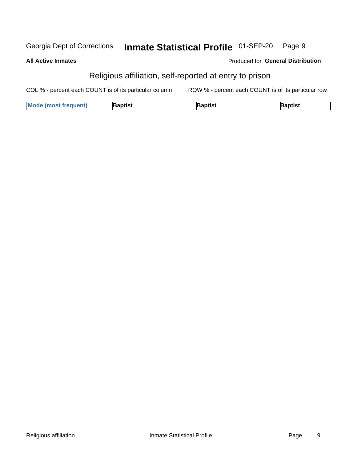#### Inmate Statistical Profile 01-SEP-20 Georgia Dept of Corrections Page 9

| <b>All Active Inmates</b> |  |
|---------------------------|--|
|---------------------------|--|

### **Produced for General Distribution**

# Religious affiliation, self-reported at entry to prison

COL % - percent each COUNT is of its particular column ROW % - percent each COUNT is of its particular row

| <b>Mode (most frequent)</b> | Baptist | 3aptist | Baptist |
|-----------------------------|---------|---------|---------|
|-----------------------------|---------|---------|---------|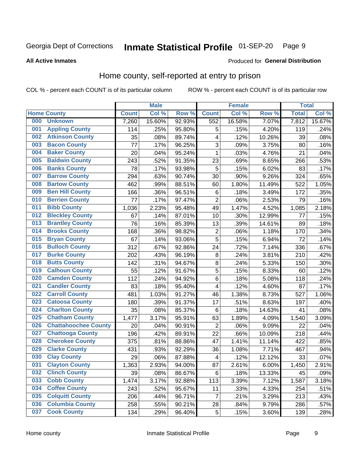#### Inmate Statistical Profile 01-SEP-20 Page 9

#### **All Active Inmates**

#### Produced for General Distribution

## Home county, self-reported at entry to prison

COL % - percent each COUNT is of its particular column

|     |                             |              | <b>Male</b> |                  |                         | <b>Female</b> |        | <b>Total</b> |        |
|-----|-----------------------------|--------------|-------------|------------------|-------------------------|---------------|--------|--------------|--------|
|     | <b>Home County</b>          | <b>Count</b> | Col %       | Row <sup>%</sup> | <b>Count</b>            | Col %         | Row %  | <b>Total</b> | Col %  |
| 000 | <b>Unknown</b>              | 7,260        | 15.60%      | 92.93%           | 552                     | 16.58%        | 7.07%  | 7,812        | 15.67% |
| 001 | <b>Appling County</b>       | 114          | .25%        | 95.80%           | 5                       | .15%          | 4.20%  | 119          | .24%   |
| 002 | <b>Atkinson County</b>      | 35           | .08%        | 89.74%           | 4                       | .12%          | 10.26% | 39           | .08%   |
| 003 | <b>Bacon County</b>         | 77           | .17%        | 96.25%           | 3                       | .09%          | 3.75%  | 80           | .16%   |
| 004 | <b>Baker County</b>         | 20           | .04%        | 95.24%           | $\mathbf{1}$            | .03%          | 4.76%  | 21           | .04%   |
| 005 | <b>Baldwin County</b>       | 243          | .52%        | 91.35%           | 23                      | .69%          | 8.65%  | 266          | .53%   |
| 006 | <b>Banks County</b>         | 78           | .17%        | 93.98%           | 5                       | .15%          | 6.02%  | 83           | .17%   |
| 007 | <b>Barrow County</b>        | 294          | .63%        | 90.74%           | 30                      | .90%          | 9.26%  | 324          | .65%   |
| 008 | <b>Bartow County</b>        | 462          | .99%        | 88.51%           | 60                      | 1.80%         | 11.49% | 522          | 1.05%  |
| 009 | <b>Ben Hill County</b>      | 166          | .36%        | 96.51%           | $\,6$                   | .18%          | 3.49%  | 172          | .35%   |
| 010 | <b>Berrien County</b>       | 77           | .17%        | 97.47%           | $\overline{c}$          | .06%          | 2.53%  | 79           | .16%   |
| 011 | <b>Bibb County</b>          | 1,036        | 2.23%       | 95.48%           | 49                      | 1.47%         | 4.52%  | 1,085        | 2.18%  |
| 012 | <b>Bleckley County</b>      | 67           | .14%        | 87.01%           | 10                      | .30%          | 12.99% | 77           | .15%   |
| 013 | <b>Brantley County</b>      | 76           | .16%        | 85.39%           | 13                      | .39%          | 14.61% | 89           | .18%   |
| 014 | <b>Brooks County</b>        | 168          | .36%        | 98.82%           | $\overline{2}$          | .06%          | 1.18%  | 170          | .34%   |
| 015 | <b>Bryan County</b>         | 67           | .14%        | 93.06%           | 5                       | .15%          | 6.94%  | 72           | .14%   |
| 016 | <b>Bulloch County</b>       | 312          | .67%        | 92.86%           | 24                      | .72%          | 7.14%  | 336          | .67%   |
| 017 | <b>Burke County</b>         | 202          | .43%        | 96.19%           | $\bf 8$                 | .24%          | 3.81%  | 210          | .42%   |
| 018 | <b>Butts County</b>         | 142          | .31%        | 94.67%           | $\bf 8$                 | .24%          | 5.33%  | 150          | .30%   |
| 019 | <b>Calhoun County</b>       | 55           | .12%        | 91.67%           | 5                       | .15%          | 8.33%  | 60           | .12%   |
| 020 | <b>Camden County</b>        | 112          | .24%        | 94.92%           | $\,6$                   | .18%          | 5.08%  | 118          | .24%   |
| 021 | <b>Candler County</b>       | 83           | .18%        | 95.40%           | 4                       | .12%          | 4.60%  | 87           | .17%   |
| 022 | <b>Carroll County</b>       | 481          | 1.03%       | 91.27%           | 46                      | 1.38%         | 8.73%  | 527          | 1.06%  |
| 023 | <b>Catoosa County</b>       | 180          | .39%        | 91.37%           | 17                      | .51%          | 8.63%  | 197          | .40%   |
| 024 | <b>Charlton County</b>      | 35           | .08%        | 85.37%           | 6                       | .18%          | 14.63% | 41           | .08%   |
| 025 | <b>Chatham County</b>       | 1,477        | 3.17%       | 95.91%           | 63                      | 1.89%         | 4.09%  | 1,540        | 3.09%  |
| 026 | <b>Chattahoochee County</b> | 20           | .04%        | 90.91%           | $\overline{c}$          | .06%          | 9.09%  | 22           | .04%   |
| 027 | <b>Chattooga County</b>     | 196          | .42%        | 89.91%           | 22                      | .66%          | 10.09% | 218          | .44%   |
| 028 | <b>Cherokee County</b>      | 375          | .81%        | 88.86%           | 47                      | 1.41%         | 11.14% | 422          | .85%   |
| 029 | <b>Clarke County</b>        | 431          | .93%        | 92.29%           | 36                      | 1.08%         | 7.71%  | 467          | .94%   |
| 030 | <b>Clay County</b>          | 29           | .06%        | 87.88%           | $\overline{\mathbf{4}}$ | .12%          | 12.12% | 33           | .07%   |
| 031 | <b>Clayton County</b>       | 1,363        | 2.93%       | 94.00%           | 87                      | 2.61%         | 6.00%  | 1,450        | 2.91%  |
| 032 | <b>Clinch County</b>        | 39           | .08%        | 86.67%           | 6                       | .18%          | 13.33% | 45           | .09%   |
| 033 | <b>Cobb County</b>          | 1,474        | 3.17%       | 92.88%           | 113                     | 3.39%         | 7.12%  | 1,587        | 3.18%  |
| 034 | <b>Coffee County</b>        | 243          | .52%        | 95.67%           | 11                      | .33%          | 4.33%  | 254          | .51%   |
| 035 | <b>Colquitt County</b>      | 206          | .44%        | 96.71%           | $\overline{7}$          | .21%          | 3.29%  | 213          | .43%   |
| 036 | <b>Columbia County</b>      | 258          | .55%        | 90.21%           | 28                      | .84%          | 9.79%  | 286          | .57%   |
| 037 | <b>Cook County</b>          | 134          | .29%        | 96.40%           | 5                       | .15%          | 3.60%  | 139          | .28%   |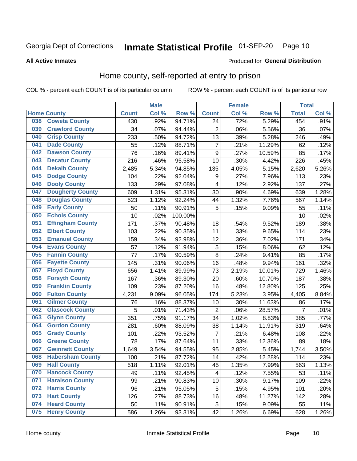#### Inmate Statistical Profile 01-SEP-20 Page 10

**All Active Inmates** 

### **Produced for General Distribution**

### Home county, self-reported at entry to prison

COL % - percent each COUNT is of its particular column

|     |                         |                    | <b>Male</b> |                  |                         | <b>Female</b> |        | <b>Total</b> |       |
|-----|-------------------------|--------------------|-------------|------------------|-------------------------|---------------|--------|--------------|-------|
|     | <b>Home County</b>      | <b>Count</b>       | Col %       | Row <sup>%</sup> | <b>Count</b>            | Col %         | Row %  | <b>Total</b> | Col % |
| 038 | <b>Coweta County</b>    | 430                | .92%        | 94.71%           | 24                      | .72%          | 5.29%  | 454          | .91%  |
| 039 | <b>Crawford County</b>  | 34                 | .07%        | 94.44%           | $\overline{2}$          | .06%          | 5.56%  | 36           | .07%  |
| 040 | <b>Crisp County</b>     | 233                | .50%        | 94.72%           | 13                      | .39%          | 5.28%  | 246          | .49%  |
| 041 | <b>Dade County</b>      | 55                 | .12%        | 88.71%           | $\overline{7}$          | .21%          | 11.29% | 62           | .12%  |
| 042 | <b>Dawson County</b>    | 76                 | .16%        | 89.41%           | 9                       | .27%          | 10.59% | 85           | .17%  |
| 043 | <b>Decatur County</b>   | 216                | .46%        | 95.58%           | 10                      | .30%          | 4.42%  | 226          | .45%  |
| 044 | <b>Dekalb County</b>    | 2,485              | 5.34%       | 94.85%           | 135                     | 4.05%         | 5.15%  | 2,620        | 5.26% |
| 045 | <b>Dodge County</b>     | 104                | .22%        | 92.04%           | 9                       | .27%          | 7.96%  | 113          | .23%  |
| 046 | <b>Dooly County</b>     | 133                | .29%        | 97.08%           | $\overline{\mathbf{4}}$ | .12%          | 2.92%  | 137          | .27%  |
| 047 | <b>Dougherty County</b> | 609                | 1.31%       | 95.31%           | 30                      | .90%          | 4.69%  | 639          | 1.28% |
| 048 | <b>Douglas County</b>   | 523                | 1.12%       | 92.24%           | 44                      | 1.32%         | 7.76%  | 567          | 1.14% |
| 049 | <b>Early County</b>     | 50                 | .11%        | 90.91%           | 5                       | .15%          | 9.09%  | 55           | .11%  |
| 050 | <b>Echols County</b>    | 10                 | .02%        | 100.00%          |                         |               |        | 10           | .02%  |
| 051 | <b>Effingham County</b> | 171                | .37%        | 90.48%           | 18                      | .54%          | 9.52%  | 189          | .38%  |
| 052 | <b>Elbert County</b>    | 103                | .22%        | 90.35%           | 11                      | .33%          | 9.65%  | 114          | .23%  |
| 053 | <b>Emanuel County</b>   | 159                | .34%        | 92.98%           | 12                      | .36%          | 7.02%  | 171          | .34%  |
| 054 | <b>Evans County</b>     | 57                 | .12%        | 91.94%           | 5                       | .15%          | 8.06%  | 62           | .12%  |
| 055 | <b>Fannin County</b>    | 77                 | .17%        | 90.59%           | 8                       | .24%          | 9.41%  | 85           | .17%  |
| 056 | <b>Fayette County</b>   | 145                | .31%        | 90.06%           | 16                      | .48%          | 9.94%  | 161          | .32%  |
| 057 | <b>Floyd County</b>     | 656                | 1.41%       | 89.99%           | 73                      | 2.19%         | 10.01% | 729          | 1.46% |
| 058 | <b>Forsyth County</b>   | 167                | .36%        | 89.30%           | 20                      | .60%          | 10.70% | 187          | .38%  |
| 059 | <b>Franklin County</b>  | 109                | .23%        | 87.20%           | 16                      | .48%          | 12.80% | 125          | .25%  |
| 060 | <b>Fulton County</b>    | 4,231              | 9.09%       | 96.05%           | 174                     | 5.23%         | 3.95%  | 4,405        | 8.84% |
| 061 | <b>Gilmer County</b>    | 76                 | .16%        | 88.37%           | 10                      | .30%          | 11.63% | 86           | .17%  |
| 062 | <b>Glascock County</b>  | 5                  | .01%        | 71.43%           | $\overline{2}$          | .06%          | 28.57% | 7            | .01%  |
| 063 | <b>Glynn County</b>     | 351                | .75%        | 91.17%           | 34                      | 1.02%         | 8.83%  | 385          | .77%  |
| 064 | <b>Gordon County</b>    | 281                | .60%        | 88.09%           | 38                      | 1.14%         | 11.91% | 319          | .64%  |
| 065 | <b>Grady County</b>     | 101                | .22%        | 93.52%           | 7                       | .21%          | 6.48%  | 108          | .22%  |
| 066 | <b>Greene County</b>    | 78                 | .17%        | 87.64%           | 11                      | .33%          | 12.36% | 89           | .18%  |
| 067 | <b>Gwinnett County</b>  | $\overline{1,649}$ | 3.54%       | 94.55%           | 95                      | 2.85%         | 5.45%  | 1,744        | 3.50% |
| 068 | <b>Habersham County</b> | 100                | .21%        | 87.72%           | 14                      | .42%          | 12.28% | 114          | .23%  |
| 069 | <b>Hall County</b>      | 518                | 1.11%       | 92.01%           | 45                      | 1.35%         | 7.99%  | 563          | 1.13% |
| 070 | <b>Hancock County</b>   | 49                 | .11%        | 92.45%           | 4                       | .12%          | 7.55%  | 53           | .11%  |
| 071 | <b>Haralson County</b>  | 99                 | .21%        | 90.83%           | 10                      | .30%          | 9.17%  | 109          | .22%  |
| 072 | <b>Harris County</b>    | 96                 | .21%        | 95.05%           | 5                       | .15%          | 4.95%  | 101          | .20%  |
| 073 | <b>Hart County</b>      | 126                | .27%        | 88.73%           | 16                      | .48%          | 11.27% | 142          | .28%  |
| 074 | <b>Heard County</b>     | 50                 | .11%        | 90.91%           | 5                       | .15%          | 9.09%  | 55           | .11%  |
| 075 | <b>Henry County</b>     | 586                | 1.26%       | 93.31%           | 42                      | 1.26%         | 6.69%  | 628          | 1.26% |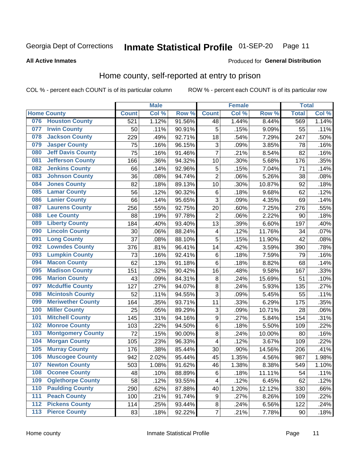#### Inmate Statistical Profile 01-SEP-20 Page 11

#### **All Active Inmates**

# **Produced for General Distribution**

# Home county, self-reported at entry to prison

COL % - percent each COUNT is of its particular column

|     |                          |              | <b>Male</b> |        |                         | <b>Female</b> |        | <b>Total</b> |       |
|-----|--------------------------|--------------|-------------|--------|-------------------------|---------------|--------|--------------|-------|
|     | <b>Home County</b>       | <b>Count</b> | Col %       | Row %  | <b>Count</b>            | Col %         | Row %  | <b>Total</b> | Col%  |
| 076 | <b>Houston County</b>    | 521          | 1.12%       | 91.56% | 48                      | 1.44%         | 8.44%  | 569          | 1.14% |
| 077 | <b>Irwin County</b>      | 50           | .11%        | 90.91% | 5                       | .15%          | 9.09%  | 55           | .11%  |
| 078 | <b>Jackson County</b>    | 229          | .49%        | 92.71% | 18                      | .54%          | 7.29%  | 247          | .50%  |
| 079 | <b>Jasper County</b>     | 75           | .16%        | 96.15% | 3                       | .09%          | 3.85%  | 78           | .16%  |
| 080 | <b>Jeff Davis County</b> | 75           | .16%        | 91.46% | $\overline{7}$          | .21%          | 8.54%  | 82           | .16%  |
| 081 | <b>Jefferson County</b>  | 166          | .36%        | 94.32% | 10                      | .30%          | 5.68%  | 176          | .35%  |
| 082 | <b>Jenkins County</b>    | 66           | .14%        | 92.96% | 5                       | .15%          | 7.04%  | 71           | .14%  |
| 083 | <b>Johnson County</b>    | 36           | .08%        | 94.74% | $\overline{2}$          | .06%          | 5.26%  | 38           | .08%  |
| 084 | <b>Jones County</b>      | 82           | .18%        | 89.13% | 10                      | .30%          | 10.87% | 92           | .18%  |
| 085 | <b>Lamar County</b>      | 56           | .12%        | 90.32% | $\,6$                   | .18%          | 9.68%  | 62           | .12%  |
| 086 | <b>Lanier County</b>     | 66           | .14%        | 95.65% | $\overline{3}$          | .09%          | 4.35%  | 69           | .14%  |
| 087 | <b>Laurens County</b>    | 256          | .55%        | 92.75% | 20                      | .60%          | 7.25%  | 276          | .55%  |
| 088 | <b>Lee County</b>        | 88           | .19%        | 97.78% | $\overline{2}$          | .06%          | 2.22%  | 90           | .18%  |
| 089 | <b>Liberty County</b>    | 184          | .40%        | 93.40% | 13                      | .39%          | 6.60%  | 197          | .40%  |
| 090 | <b>Lincoln County</b>    | 30           | .06%        | 88.24% | $\overline{\mathbf{4}}$ | .12%          | 11.76% | 34           | .07%  |
| 091 | <b>Long County</b>       | 37           | .08%        | 88.10% | 5                       | .15%          | 11.90% | 42           | .08%  |
| 092 | <b>Lowndes County</b>    | 376          | .81%        | 96.41% | 14                      | .42%          | 3.59%  | 390          | .78%  |
| 093 | <b>Lumpkin County</b>    | 73           | .16%        | 92.41% | $\,6$                   | .18%          | 7.59%  | 79           | .16%  |
| 094 | <b>Macon County</b>      | 62           | .13%        | 91.18% | $\,6$                   | .18%          | 8.82%  | 68           | .14%  |
| 095 | <b>Madison County</b>    | 151          | .32%        | 90.42% | 16                      | .48%          | 9.58%  | 167          | .33%  |
| 096 | <b>Marion County</b>     | 43           | .09%        | 84.31% | 8                       | .24%          | 15.69% | 51           | .10%  |
| 097 | <b>Mcduffie County</b>   | 127          | .27%        | 94.07% | 8                       | .24%          | 5.93%  | 135          | .27%  |
| 098 | <b>Mcintosh County</b>   | 52           | .11%        | 94.55% | $\overline{3}$          | .09%          | 5.45%  | 55           | .11%  |
| 099 | <b>Meriwether County</b> | 164          | .35%        | 93.71% | 11                      | .33%          | 6.29%  | 175          | .35%  |
| 100 | <b>Miller County</b>     | 25           | .05%        | 89.29% | 3                       | .09%          | 10.71% | 28           | .06%  |
| 101 | <b>Mitchell County</b>   | 145          | .31%        | 94.16% | $\boldsymbol{9}$        | .27%          | 5.84%  | 154          | .31%  |
| 102 | <b>Monroe County</b>     | 103          | .22%        | 94.50% | $\,6$                   | .18%          | 5.50%  | 109          | .22%  |
| 103 | <b>Montgomery County</b> | 72           | .15%        | 90.00% | 8                       | .24%          | 10.00% | 80           | .16%  |
| 104 | <b>Morgan County</b>     | 105          | .23%        | 96.33% | $\overline{\mathbf{4}}$ | .12%          | 3.67%  | 109          | .22%  |
| 105 | <b>Murray County</b>     | 176          | .38%        | 85.44% | 30                      | .90%          | 14.56% | 206          | .41%  |
| 106 | <b>Muscogee County</b>   | 942          | 2.02%       | 95.44% | 45                      | 1.35%         | 4.56%  | 987          | 1.98% |
| 107 | <b>Newton County</b>     | 503          | 1.08%       | 91.62% | 46                      | 1.38%         | 8.38%  | 549          | 1.10% |
| 108 | <b>Oconee County</b>     | 48           | .10%        | 88.89% | 6                       | .18%          | 11.11% | 54           | .11%  |
| 109 | <b>Oglethorpe County</b> | 58           | .12%        | 93.55% | 4                       | .12%          | 6.45%  | 62           | .12%  |
| 110 | <b>Paulding County</b>   | 290          | .62%        | 87.88% | 40                      | 1.20%         | 12.12% | 330          | .66%  |
| 111 | <b>Peach County</b>      | 100          | .21%        | 91.74% | $\boldsymbol{9}$        | .27%          | 8.26%  | 109          | .22%  |
| 112 | <b>Pickens County</b>    | 114          | .25%        | 93.44% | 8                       | .24%          | 6.56%  | 122          | .24%  |
| 113 | <b>Pierce County</b>     | 83           | .18%        | 92.22% | $\overline{7}$          | .21%          | 7.78%  | 90           | .18%  |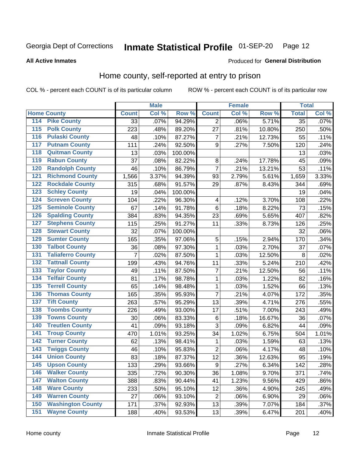#### Inmate Statistical Profile 01-SEP-20 Page 12

**All Active Inmates** 

#### Produced for General Distribution

### Home county, self-reported at entry to prison

COL % - percent each COUNT is of its particular column

|                    |                          |                | <b>Male</b> |         |                         | <b>Female</b> |        | <b>Total</b>    |       |
|--------------------|--------------------------|----------------|-------------|---------|-------------------------|---------------|--------|-----------------|-------|
| <b>Home County</b> |                          | <b>Count</b>   | Col %       | Row %   | <b>Count</b>            | Col %         | Row %  | <b>Total</b>    | Col % |
| 114                | <b>Pike County</b>       | 33             | .07%        | 94.29%  | $\overline{2}$          | .06%          | 5.71%  | $\overline{35}$ | .07%  |
| $\overline{115}$   | <b>Polk County</b>       | 223            | .48%        | 89.20%  | 27                      | .81%          | 10.80% | 250             | .50%  |
| 116                | <b>Pulaski County</b>    | 48             | .10%        | 87.27%  | $\overline{7}$          | .21%          | 12.73% | 55              | .11%  |
| 117                | <b>Putnam County</b>     | 111            | .24%        | 92.50%  | 9                       | .27%          | 7.50%  | 120             | .24%  |
| 118                | <b>Quitman County</b>    | 13             | .03%        | 100.00% |                         |               |        | 13              | .03%  |
| 119                | <b>Rabun County</b>      | 37             | .08%        | 82.22%  | 8                       | .24%          | 17.78% | 45              | .09%  |
| 120                | <b>Randolph County</b>   | 46             | .10%        | 86.79%  | $\overline{7}$          | .21%          | 13.21% | 53              | .11%  |
| 121                | <b>Richmond County</b>   | 1,566          | 3.37%       | 94.39%  | 93                      | 2.79%         | 5.61%  | 1,659           | 3.33% |
| 122                | <b>Rockdale County</b>   | 315            | .68%        | 91.57%  | 29                      | .87%          | 8.43%  | 344             | .69%  |
| 123                | <b>Schley County</b>     | 19             | .04%        | 100.00% |                         |               |        | 19              | .04%  |
| 124                | <b>Screven County</b>    | 104            | .22%        | 96.30%  | $\overline{\mathbf{4}}$ | .12%          | 3.70%  | 108             | .22%  |
| 125                | <b>Seminole County</b>   | 67             | .14%        | 91.78%  | $\,6$                   | .18%          | 8.22%  | 73              | .15%  |
| 126                | <b>Spalding County</b>   | 384            | .83%        | 94.35%  | 23                      | .69%          | 5.65%  | 407             | .82%  |
| 127                | <b>Stephens County</b>   | 115            | .25%        | 91.27%  | 11                      | .33%          | 8.73%  | 126             | .25%  |
| 128                | <b>Stewart County</b>    | 32             | .07%        | 100.00% |                         |               |        | 32              | .06%  |
| 129                | <b>Sumter County</b>     | 165            | .35%        | 97.06%  | 5                       | .15%          | 2.94%  | 170             | .34%  |
| 130                | <b>Talbot County</b>     | 36             | .08%        | 97.30%  | 1                       | .03%          | 2.70%  | 37              | .07%  |
| 131                | <b>Taliaferro County</b> | $\overline{7}$ | .02%        | 87.50%  | 1                       | .03%          | 12.50% | 8               | .02%  |
| 132                | <b>Tattnall County</b>   | 199            | .43%        | 94.76%  | 11                      | .33%          | 5.24%  | 210             | .42%  |
| 133                | <b>Taylor County</b>     | 49             | .11%        | 87.50%  | $\overline{7}$          | .21%          | 12.50% | 56              | .11%  |
| 134                | <b>Telfair County</b>    | 81             | .17%        | 98.78%  | 1                       | .03%          | 1.22%  | 82              | .16%  |
| 135                | <b>Terrell County</b>    | 65             | .14%        | 98.48%  | 1                       | .03%          | 1.52%  | 66              | .13%  |
| 136                | <b>Thomas County</b>     | 165            | .35%        | 95.93%  | $\overline{7}$          | .21%          | 4.07%  | 172             | .35%  |
| 137                | <b>Tift County</b>       | 263            | .57%        | 95.29%  | 13                      | .39%          | 4.71%  | 276             | .55%  |
| 138                | <b>Toombs County</b>     | 226            | .49%        | 93.00%  | 17                      | .51%          | 7.00%  | 243             | .49%  |
| 139                | <b>Towns County</b>      | 30             | .06%        | 83.33%  | $\,6$                   | .18%          | 16.67% | 36              | .07%  |
| 140                | <b>Treutlen County</b>   | 41             | .09%        | 93.18%  | 3                       | .09%          | 6.82%  | 44              | .09%  |
| 141                | <b>Troup County</b>      | 470            | 1.01%       | 93.25%  | 34                      | 1.02%         | 6.75%  | 504             | 1.01% |
| $\overline{142}$   | <b>Turner County</b>     | 62             | .13%        | 98.41%  | 1                       | .03%          | 1.59%  | 63              | .13%  |
| 143                | <b>Twiggs County</b>     | 46             | .10%        | 95.83%  | $\overline{c}$          | .06%          | 4.17%  | 48              | .10%  |
| 144                | <b>Union County</b>      | 83             | .18%        | 87.37%  | 12                      | .36%          | 12.63% | 95              | .19%  |
| 145                | <b>Upson County</b>      | 133            | .29%        | 93.66%  | 9                       | .27%          | 6.34%  | 142             | .28%  |
| 146                | <b>Walker County</b>     | 335            | .72%        | 90.30%  | 36                      | 1.08%         | 9.70%  | 371             | .74%  |
| 147                | <b>Walton County</b>     | 388            | .83%        | 90.44%  | 41                      | 1.23%         | 9.56%  | 429             | .86%  |
| 148                | <b>Ware County</b>       | 233            | .50%        | 95.10%  | 12                      | .36%          | 4.90%  | 245             | .49%  |
| 149                | <b>Warren County</b>     | 27             | .06%        | 93.10%  | $\overline{c}$          | .06%          | 6.90%  | 29              | .06%  |
| 150                | <b>Washington County</b> | 171            | .37%        | 92.93%  | 13                      | .39%          | 7.07%  | 184             | .37%  |
| 151                | <b>Wayne County</b>      | 188            | .40%        | 93.53%  | 13                      | .39%          | 6.47%  | 201             | .40%  |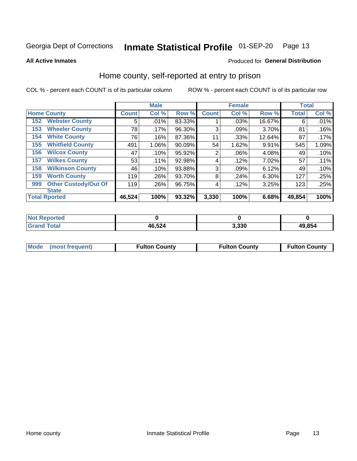#### Inmate Statistical Profile 01-SEP-20 Page 13

#### **All Active Inmates**

### Produced for General Distribution

### Home county, self-reported at entry to prison

COL % - percent each COUNT is of its particular column

|     |                             |              | <b>Male</b> |        |                | <b>Female</b> |        | <b>Total</b> |       |
|-----|-----------------------------|--------------|-------------|--------|----------------|---------------|--------|--------------|-------|
|     | <b>Home County</b>          | <b>Count</b> | Col %       | Row %  | <b>Count</b>   | Col %         | Row %  | <b>Total</b> | Col % |
| 152 | <b>Webster County</b>       | 5            | .01%        | 83.33% |                | .03%          | 16.67% | 6            | .01%  |
| 153 | <b>Wheeler County</b>       | 78           | $.17\%$     | 96.30% | 3              | .09%          | 3.70%  | 81           | .16%  |
| 154 | <b>White County</b>         | 76           | .16%        | 87.36% | 11             | .33%          | 12.64% | 87           | .17%  |
| 155 | <b>Whitfield County</b>     | 491          | 1.06%       | 90.09% | 54             | 1.62%         | 9.91%  | 545          | 1.09% |
| 156 | <b>Wilcox County</b>        | 47           | .10%        | 95.92% | $\overline{2}$ | .06%          | 4.08%  | 49           | .10%  |
| 157 | <b>Wilkes County</b>        | 53           | $.11\%$     | 92.98% | 4              | .12%          | 7.02%  | 57           | .11%  |
| 158 | <b>Wilkinson County</b>     | 46           | .10%        | 93.88% | 3              | .09%          | 6.12%  | 49           | .10%  |
| 159 | <b>Worth County</b>         | 119          | .26%        | 93.70% | 8              | .24%          | 6.30%  | 127          | .25%  |
| 999 | <b>Other Custody/Out Of</b> | 119          | .26%        | 96.75% | 4              | .12%          | 3.25%  | 123          | .25%  |
|     | <b>State</b>                |              |             |        |                |               |        |              |       |
|     | <b>Total Rported</b>        | 46,524       | 100%        | 93.32% | 3,330          | 100%          | 6.68%  | 49,854       | 100%  |

| <b>Not</b><br>Reported |        |       |        |  |
|------------------------|--------|-------|--------|--|
| Total                  | 46,524 | 3.330 | 49,854 |  |

| Mode (most frequent) | <b>Fulton County</b> | <b>Fulton County</b> | <b>Fulton County</b> |
|----------------------|----------------------|----------------------|----------------------|
|                      |                      |                      |                      |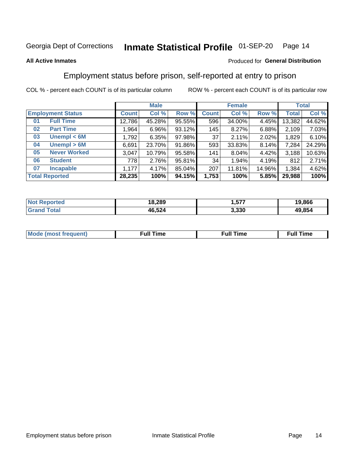#### Inmate Statistical Profile 01-SEP-20 Page 14

### **All Active Inmates**

### Produced for General Distribution

## Employment status before prison, self-reported at entry to prison

COL % - percent each COUNT is of its particular column

|                           | <b>Male</b>  |          |        | <b>Female</b> |        |        | <b>Total</b> |        |
|---------------------------|--------------|----------|--------|---------------|--------|--------|--------------|--------|
| <b>Employment Status</b>  | <b>Count</b> | Col %    | Row %  | <b>Count</b>  | Col %  | Row %  | <b>Total</b> | Col %  |
| <b>Full Time</b><br>01    | 12,786       | 45.28%   | 95.55% | 596           | 34.00% | 4.45%  | 13,382       | 44.62% |
| <b>Part Time</b><br>02    | 1,964        | $6.96\%$ | 93.12% | 145           | 8.27%  | 6.88%  | 2,109        | 7.03%  |
| Unempl $<$ 6M<br>03       | 1,792        | 6.35%    | 97.98% | 37            | 2.11%  | 2.02%  | 1,829        | 6.10%  |
| Unempl > 6M<br>04         | 6,691        | 23.70%   | 91.86% | 593           | 33.83% | 8.14%  | 7,284        | 24.29% |
| <b>Never Worked</b><br>05 | 3,047        | 10.79%   | 95.58% | 141           | 8.04%  | 4.42%  | 3,188        | 10.63% |
| <b>Student</b><br>06      | 778          | 2.76%    | 95.81% | 34            | 1.94%  | 4.19%  | 812          | 2.71%  |
| <b>Incapable</b><br>07    | 1.177        | 4.17%    | 85.04% | 207           | 11.81% | 14.96% | 1,384        | 4.62%  |
| <b>Total Reported</b>     | 28,235       | 100%     | 94.15% | 1,753         | 100%   | 5.85%  | 29,988       | 100%   |

| orted<br>NO | 18,289 | ----<br> | 19,866 |
|-------------|--------|----------|--------|
| int         | 46,524 | 3,330    | 49,854 |

| Mc | ∴ull | ----<br>ıme<br>w |
|----|------|------------------|
|    |      |                  |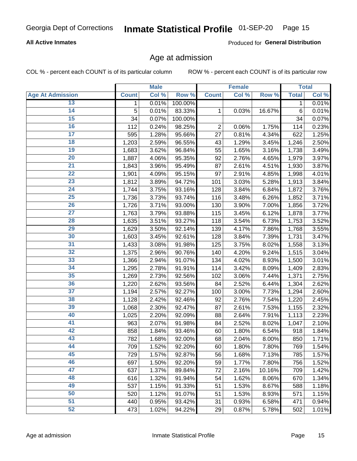# Inmate Statistical Profile 01-SEP-20 Page 15

### **All Active Inmates**

Produced for General Distribution

### Age at admission

COL % - percent each COUNT is of its particular column

|                         |              | <b>Male</b> |         |                | <b>Female</b> |        |              | <b>Total</b> |
|-------------------------|--------------|-------------|---------|----------------|---------------|--------|--------------|--------------|
| <b>Age At Admission</b> | <b>Count</b> | Col %       | Row %   | <b>Count</b>   | Col %         | Row %  | <b>Total</b> | Col %        |
| 13                      | 1            | 0.01%       | 100.00% |                |               |        | 1            | 0.01%        |
| $\overline{14}$         | 5            | 0.01%       | 83.33%  | 1              | 0.03%         | 16.67% | $\,6$        | 0.01%        |
| 15                      | 34           | 0.07%       | 100.00% |                |               |        | 34           | 0.07%        |
| 16                      | 112          | 0.24%       | 98.25%  | $\overline{2}$ | 0.06%         | 1.75%  | 114          | 0.23%        |
| $\overline{17}$         | 595          | 1.28%       | 95.66%  | 27             | 0.81%         | 4.34%  | 622          | 1.25%        |
| 18                      | 1,203        | 2.59%       | 96.55%  | 43             | 1.29%         | 3.45%  | 1,246        | 2.50%        |
| 19                      | 1,683        | 3.62%       | 96.84%  | 55             | 1.65%         | 3.16%  | 1,738        | 3.49%        |
| $\overline{20}$         | 1,887        | 4.06%       | 95.35%  | 92             | 2.76%         | 4.65%  | 1,979        | 3.97%        |
| $\overline{21}$         | 1,843        | 3.96%       | 95.49%  | 87             | 2.61%         | 4.51%  | 1,930        | 3.87%        |
| $\overline{22}$         | 1,901        | 4.09%       | 95.15%  | 97             | 2.91%         | 4.85%  | 1,998        | 4.01%        |
| 23                      | 1,812        | 3.89%       | 94.72%  | 101            | 3.03%         | 5.28%  | 1,913        | 3.84%        |
| $\overline{24}$         | 1,744        | 3.75%       | 93.16%  | 128            | 3.84%         | 6.84%  | 1,872        | 3.76%        |
| $\overline{25}$         | 1,736        | 3.73%       | 93.74%  | 116            | 3.48%         | 6.26%  | 1,852        | 3.71%        |
| 26                      | 1,726        | 3.71%       | 93.00%  | 130            | 3.90%         | 7.00%  | 1,856        | 3.72%        |
| $\overline{27}$         | 1,763        | 3.79%       | 93.88%  | 115            | 3.45%         | 6.12%  | 1,878        | 3.77%        |
| 28                      | 1,635        | 3.51%       | 93.27%  | 118            | 3.54%         | 6.73%  | 1,753        | 3.52%        |
| 29                      | 1,629        | 3.50%       | 92.14%  | 139            | 4.17%         | 7.86%  | 1,768        | 3.55%        |
| 30                      | 1,603        | 3.45%       | 92.61%  | 128            | 3.84%         | 7.39%  | 1,731        | 3.47%        |
| 31                      | 1,433        | 3.08%       | 91.98%  | 125            | 3.75%         | 8.02%  | 1,558        | 3.13%        |
| 32                      | 1,375        | 2.96%       | 90.76%  | 140            | 4.20%         | 9.24%  | 1,515        | 3.04%        |
| 33                      | 1,366        | 2.94%       | 91.07%  | 134            | 4.02%         | 8.93%  | 1,500        | 3.01%        |
| 34                      | 1,295        | 2.78%       | 91.91%  | 114            | 3.42%         | 8.09%  | 1,409        | 2.83%        |
| 35                      | 1,269        | 2.73%       | 92.56%  | 102            | 3.06%         | 7.44%  | 1,371        | 2.75%        |
| 36                      | 1,220        | 2.62%       | 93.56%  | 84             | 2.52%         | 6.44%  | 1,304        | 2.62%        |
| $\overline{37}$         | 1,194        | 2.57%       | 92.27%  | 100            | 3.00%         | 7.73%  | 1,294        | 2.60%        |
| 38                      | 1,128        | 2.42%       | 92.46%  | 92             | 2.76%         | 7.54%  | 1,220        | 2.45%        |
| 39                      | 1,068        | 2.30%       | 92.47%  | 87             | 2.61%         | 7.53%  | 1,155        | 2.32%        |
| 40                      | 1,025        | 2.20%       | 92.09%  | 88             | 2.64%         | 7.91%  | 1,113        | 2.23%        |
| 41                      | 963          | 2.07%       | 91.98%  | 84             | 2.52%         | 8.02%  | 1,047        | 2.10%        |
| 42                      | 858          | 1.84%       | 93.46%  | 60             | 1.80%         | 6.54%  | 918          | 1.84%        |
| 43                      | 782          | 1.68%       | 92.00%  | 68             | 2.04%         | 8.00%  | 850          | 1.71%        |
| 44                      | 709          | 1.52%       | 92.20%  | 60             | 1.80%         | 7.80%  | 769          | 1.54%        |
| 45                      | 729          | 1.57%       | 92.87%  | 56             | 1.68%         | 7.13%  | 785          | 1.57%        |
| 46                      | 697          | 1.50%       | 92.20%  | 59             | 1.77%         | 7.80%  | 756          | 1.52%        |
| 47                      | 637          | 1.37%       | 89.84%  | 72             | 2.16%         | 10.16% | 709          | 1.42%        |
| 48                      | 616          | 1.32%       | 91.94%  | 54             | 1.62%         | 8.06%  | 670          | 1.34%        |
| 49                      | 537          | 1.15%       | 91.33%  | 51             | 1.53%         | 8.67%  | 588          | 1.18%        |
| 50                      | 520          | 1.12%       | 91.07%  | 51             | 1.53%         | 8.93%  | 571          | 1.15%        |
| $\overline{51}$         | 440          | 0.95%       | 93.42%  | 31             | 0.93%         | 6.58%  | 471          | 0.94%        |
| 52                      | 473          | 1.02%       | 94.22%  | 29             | 0.87%         | 5.78%  | 502          | 1.01%        |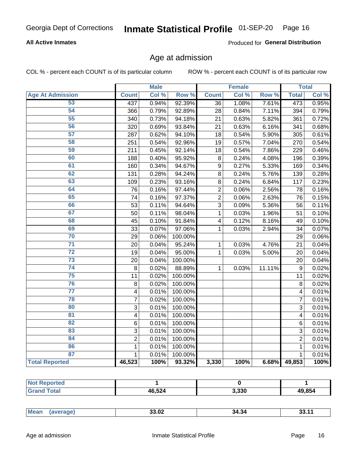# Inmate Statistical Profile 01-SEP-20 Page 16

### **All Active Inmates**

Produced for General Distribution

### Age at admission

COL % - percent each COUNT is of its particular column

|                         |                         | <b>Male</b> |         |                | <b>Female</b> |           |                  | <b>Total</b> |
|-------------------------|-------------------------|-------------|---------|----------------|---------------|-----------|------------------|--------------|
| <b>Age At Admission</b> | <b>Count</b>            | Col %       | Row %   | <b>Count</b>   | Col %         | Row %     | <b>Total</b>     | Col %        |
| 53                      | 437                     | 0.94%       | 92.39%  | 36             | 1.08%         | 7.61%     | 473              | 0.95%        |
| 54                      | 366                     | 0.79%       | 92.89%  | 28             | 0.84%         | 7.11%     | 394              | 0.79%        |
| 55                      | 340                     | 0.73%       | 94.18%  | 21             | 0.63%         | 5.82%     | 361              | 0.72%        |
| 56                      | 320                     | 0.69%       | 93.84%  | 21             | 0.63%         | 6.16%     | 341              | 0.68%        |
| $\overline{57}$         | 287                     | 0.62%       | 94.10%  | 18             | 0.54%         | 5.90%     | 305              | 0.61%        |
| 58                      | 251                     | 0.54%       | 92.96%  | 19             | 0.57%         | 7.04%     | 270              | 0.54%        |
| 59                      | 211                     | 0.45%       | 92.14%  | 18             | 0.54%         | 7.86%     | 229              | 0.46%        |
| 60                      | 188                     | 0.40%       | 95.92%  | 8              | 0.24%         | 4.08%     | 196              | 0.39%        |
| 61                      | 160                     | 0.34%       | 94.67%  | 9              | 0.27%         | 5.33%     | 169              | 0.34%        |
| 62                      | 131                     | 0.28%       | 94.24%  | 8              | 0.24%         | 5.76%     | 139              | 0.28%        |
| 63                      | 109                     | 0.23%       | 93.16%  | 8              | 0.24%         | 6.84%     | 117              | 0.23%        |
| 64                      | 76                      | 0.16%       | 97.44%  | $\overline{2}$ | 0.06%         | 2.56%     | 78               | 0.16%        |
| 65                      | 74                      | 0.16%       | 97.37%  | $\overline{2}$ | 0.06%         | 2.63%     | 76               | 0.15%        |
| 66                      | 53                      | 0.11%       | 94.64%  | $\overline{3}$ | 0.09%         | 5.36%     | 56               | 0.11%        |
| 67                      | 50                      | 0.11%       | 98.04%  | 1              | 0.03%         | 1.96%     | 51               | 0.10%        |
| 68                      | 45                      | 0.10%       | 91.84%  | 4              | 0.12%         | 8.16%     | 49               | 0.10%        |
| 69                      | 33                      | 0.07%       | 97.06%  | 1              | 0.03%         | 2.94%     | 34               | 0.07%        |
| 70                      | 29                      | 0.06%       | 100.00% |                |               |           | 29               | 0.06%        |
| $\overline{71}$         | 20                      | 0.04%       | 95.24%  | 1              | 0.03%         | 4.76%     | 21               | 0.04%        |
| $\overline{72}$         | 19                      | 0.04%       | 95.00%  | $\mathbf 1$    | 0.03%         | 5.00%     | 20               | 0.04%        |
| $\overline{73}$         | 20                      | 0.04%       | 100.00% |                |               |           | 20               | 0.04%        |
| $\overline{74}$         | 8                       | 0.02%       | 88.89%  | $\mathbf{1}$   | 0.03%         | $11.11\%$ | $\boldsymbol{9}$ | 0.02%        |
| 75                      | 11                      | 0.02%       | 100.00% |                |               |           | 11               | 0.02%        |
| 76                      | 8                       | 0.02%       | 100.00% |                |               |           | 8                | 0.02%        |
| $\overline{77}$         | $\overline{\mathbf{4}}$ | 0.01%       | 100.00% |                |               |           | 4                | 0.01%        |
| 78                      | $\overline{7}$          | 0.02%       | 100.00% |                |               |           | $\overline{7}$   | 0.01%        |
| 80                      | 3                       | 0.01%       | 100.00% |                |               |           | 3                | 0.01%        |
| $\overline{81}$         | $\overline{\mathbf{4}}$ | 0.01%       | 100.00% |                |               |           | 4                | 0.01%        |
| 82                      | 6                       | 0.01%       | 100.00% |                |               |           | 6                | 0.01%        |
| 83                      | 3                       | 0.01%       | 100.00% |                |               |           | 3                | 0.01%        |
| 84                      | $\overline{2}$          | 0.01%       | 100.00% |                |               |           | $\overline{2}$   | 0.01%        |
| 86                      | $\mathbf 1$             | 0.01%       | 100.00% |                |               |           | 1                | 0.01%        |
| 87                      | $\mathbf{1}$            | 0.01%       | 100.00% |                |               |           | $\mathbf{1}$     | 0.01%        |
| <b>Total Reported</b>   | 46,523                  | 100%        | 93.32%  | 3,330          | 100%          | 6.68%     | 49,853           | 100%         |

| тес |        |       |        |
|-----|--------|-------|--------|
|     | 46,524 | 3,330 | 49.854 |

| 34.34<br>33.UZ<br>- - - -<br>$\cdots$ | $M$ ea | מה ממ |  |  |
|---------------------------------------|--------|-------|--|--|
|---------------------------------------|--------|-------|--|--|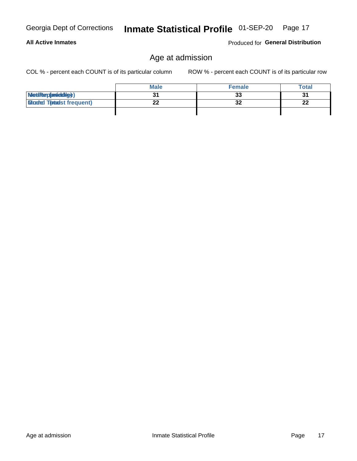# **All Active Inmates**

Produced for General Distribution

# Age at admission

COL % - percent each COUNT is of its particular column

|                                  | <b>Male</b> | <b>Female</b> | <b>Total</b> |
|----------------------------------|-------------|---------------|--------------|
| MetiRep(aniektig)                |             | 33            | 2.           |
| <b>Micaded Tomadst frequent)</b> | ົ           | 32            | ົ<br>LL      |
|                                  |             |               |              |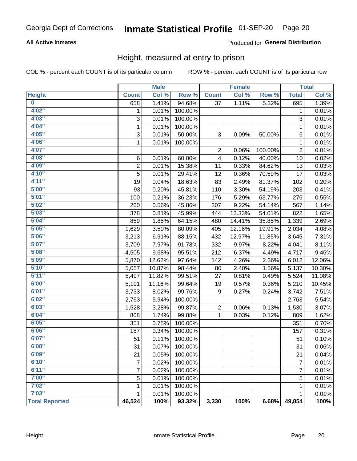#### Inmate Statistical Profile 01-SEP-20 Page 20

### **All Active Inmates**

### Produced for General Distribution

### Height, measured at entry to prison

COL % - percent each COUNT is of its particular column

|                         |                | <b>Male</b> |         |                  | <b>Female</b> |         |                | <b>Total</b> |
|-------------------------|----------------|-------------|---------|------------------|---------------|---------|----------------|--------------|
| <b>Height</b>           | <b>Count</b>   | Col %       | Row %   | <b>Count</b>     | Col %         | Row %   | <b>Total</b>   | Col %        |
| $\overline{\mathbf{0}}$ | 658            | 1.41%       | 94.68%  | 37               | 1.11%         | 5.32%   | 695            | 1.39%        |
| 4'02''                  | 1              | 0.01%       | 100.00% |                  |               |         | 1              | 0.01%        |
| 4'03''                  | 3              | 0.01%       | 100.00% |                  |               |         | 3              | 0.01%        |
| 4'04"                   | 1              | 0.01%       | 100.00% |                  |               |         | 1              | 0.01%        |
| 4'05"                   | 3              | 0.01%       | 50.00%  | 3                | 0.09%         | 50.00%  | 6              | 0.01%        |
| 4'06"                   | 1              | 0.01%       | 100.00% |                  |               |         | 1              | 0.01%        |
| 4'07"                   |                |             |         | 2                | 0.06%         | 100.00% | 2              | 0.01%        |
| 4'08"                   | 6              | 0.01%       | 60.00%  | 4                | 0.12%         | 40.00%  | 10             | 0.02%        |
| 4'09"                   | $\overline{2}$ | 0.01%       | 15.38%  | 11               | 0.33%         | 84.62%  | 13             | 0.03%        |
| 4'10"                   | 5              | 0.01%       | 29.41%  | 12               | 0.36%         | 70.59%  | 17             | 0.03%        |
| 4'11''                  | 19             | 0.04%       | 18.63%  | 83               | 2.49%         | 81.37%  | 102            | 0.20%        |
| 5'00''                  | 93             | 0.20%       | 45.81%  | 110              | 3.30%         | 54.19%  | 203            | 0.41%        |
| 5'01"                   | 100            | 0.21%       | 36.23%  | 176              | 5.29%         | 63.77%  | 276            | 0.55%        |
| 5'02"                   | 260            | 0.56%       | 45.86%  | 307              | 9.22%         | 54.14%  | 567            | 1.14%        |
| 5'03''                  | 378            | 0.81%       | 45.99%  | 444              | 13.33%        | 54.01%  | 822            | 1.65%        |
| 5'04"                   | 859            | 1.85%       | 64.15%  | 480              | 14.41%        | 35.85%  | 1,339          | 2.69%        |
| 5'05"                   | 1,629          | 3.50%       | 80.09%  | 405              | 12.16%        | 19.91%  | 2,034          | 4.08%        |
| 5'06''                  | 3,213          | 6.91%       | 88.15%  | 432              | 12.97%        | 11.85%  | 3,645          | 7.31%        |
| 5'07"                   | 3,709          | 7.97%       | 91.78%  | 332              | 9.97%         | 8.22%   | 4,041          | 8.11%        |
| 5'08''                  | 4,505          | 9.68%       | 95.51%  | 212              | 6.37%         | 4.49%   | 4,717          | 9.46%        |
| 5'09''                  | 5,870          | 12.62%      | 97.64%  | 142              | 4.26%         | 2.36%   | 6,012          | 12.06%       |
| 5'10''                  | 5,057          | 10.87%      | 98.44%  | 80               | 2.40%         | 1.56%   | 5,137          | 10.30%       |
| 5'11''                  | 5,497          | 11.82%      | 99.51%  | 27               | 0.81%         | 0.49%   | 5,524          | 11.08%       |
| 6'00''                  | 5,191          | 11.16%      | 99.64%  | 19               | 0.57%         | 0.36%   | 5,210          | 10.45%       |
| 6'01''                  | 3,733          | 8.02%       | 99.76%  | $\boldsymbol{9}$ | 0.27%         | 0.24%   | 3,742          | 7.51%        |
| 6'02"                   | 2,763          | 5.94%       | 100.00% |                  |               |         | 2,763          | 5.54%        |
| 6'03''                  | 1,528          | 3.28%       | 99.87%  | 2                | 0.06%         | 0.13%   | 1,530          | 3.07%        |
| 6'04"                   | 808            | 1.74%       | 99.88%  | 1                | 0.03%         | 0.12%   | 809            | 1.62%        |
| 6'05"                   | 351            | 0.75%       | 100.00% |                  |               |         | 351            | 0.70%        |
| 6'06''                  | 157            | 0.34%       | 100.00% |                  |               |         | 157            | 0.31%        |
| 6'07''                  | 51             | 0.11%       | 100.00% |                  |               |         | 51             | 0.10%        |
| 6'08"                   | 31             | 0.07%       | 100.00% |                  |               |         | 31             | 0.06%        |
| 6'09''                  | 21             | 0.05%       | 100.00% |                  |               |         | 21             | 0.04%        |
| 6'10''                  | 7              | 0.02%       | 100.00% |                  |               |         | $\overline{7}$ | 0.01%        |
| 6'11''                  | 7              | 0.02%       | 100.00% |                  |               |         | $\overline{7}$ | 0.01%        |
| 7'00"                   | $\mathbf 5$    | 0.01%       | 100.00% |                  |               |         | 5              | 0.01%        |
| 7'02"                   | 1              | 0.01%       | 100.00% |                  |               |         | 1              | 0.01%        |
| 7'03''                  | 1              | 0.01%       | 100.00% |                  |               |         | 1              | 0.01%        |
| <b>Total Reported</b>   | 46,524         | 100%        | 93.32%  | 3,330            | 100%          | 6.68%   | 49,854         | 100%         |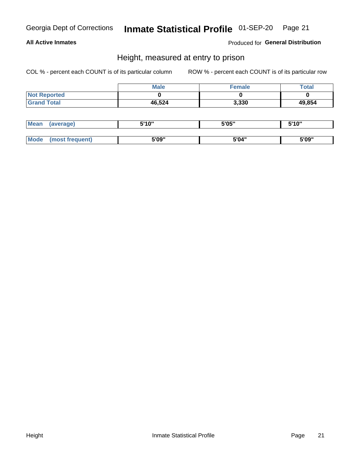# Inmate Statistical Profile 01-SEP-20 Page 21

### **All Active Inmates**

Produced for General Distribution

### Height, measured at entry to prison

COL % - percent each COUNT is of its particular column

|                     | <b>Male</b> | Female | Total  |
|---------------------|-------------|--------|--------|
| <b>Not Reported</b> |             |        |        |
| <b>Grand Total</b>  | 46,524      | 3,330  | 49,854 |

| Mean        | verage)       | 5'10" | 5'05" | ייח 1יי<br>. . u |  |
|-------------|---------------|-------|-------|------------------|--|
|             |               |       |       |                  |  |
| <b>Mode</b> | ost frequent) | 5'09" | 5'04" | 5'09"            |  |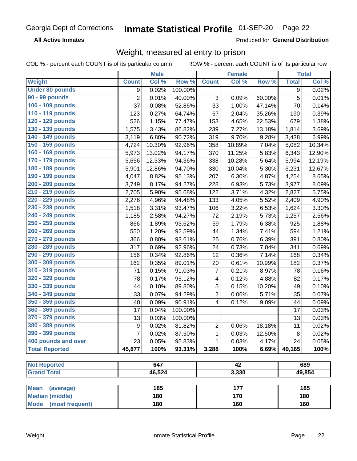#### Inmate Statistical Profile 01-SEP-20 Page 22

**All Active Inmates** 

Produced for General Distribution

## Weight, measured at entry to prison

COL % - percent each COUNT is of its particular column

|                                |                  | <b>Male</b> |         |                         | <b>Female</b>   |        |              | <b>Total</b> |
|--------------------------------|------------------|-------------|---------|-------------------------|-----------------|--------|--------------|--------------|
| Weight                         | <b>Count</b>     | Col %       | Row %   | <b>Count</b>            | Col %           | Row %  | <b>Total</b> | Col %        |
| <b>Under 80 pounds</b>         | 9                | 0.02%       | 100.00% |                         |                 |        | 9            | 0.02%        |
| 90 - 99 pounds                 | $\overline{2}$   | 0.01%       | 40.00%  | 3                       | 0.09%           | 60.00% | 5            | 0.01%        |
| 100 - 109 pounds               | 37               | 0.08%       | 52.86%  | 33                      | 1.00%           | 47.14% | 70           | 0.14%        |
| 110 - 119 pounds               | 123              | 0.27%       | 64.74%  | 67                      | 2.04%           | 35.26% | 190          | 0.39%        |
| 120 - 129 pounds               | 526              | 1.15%       | 77.47%  | 153                     | 4.65%           | 22.53% | 679          | 1.38%        |
| 130 - 139 pounds               | 1,575            | 3.43%       | 86.82%  | 239                     | 7.27%           | 13.18% | 1,814        | 3.69%        |
| 140 - 149 pounds               | 3,119            | 6.80%       | 90.72%  | 319                     | 9.70%           | 9.28%  | 3,438        | 6.99%        |
| 150 - 159 pounds               | 4,724            | 10.30%      | 92.96%  | 358                     | 10.89%          | 7.04%  | 5,082        | 10.34%       |
| 160 - 169 pounds               | 5,973            | 13.02%      | 94.17%  | 370                     | 11.25%          | 5.83%  | 6,343        | 12.90%       |
| 170 - 179 pounds               | 5,656            | 12.33%      | 94.36%  | 338                     | 10.28%          | 5.64%  | 5,994        | 12.19%       |
| 180 - 189 pounds               | 5,901            | 12.86%      | 94.70%  | 330                     | 10.04%          | 5.30%  | 6,231        | 12.67%       |
| 190 - 199 pounds               | 4,047            | 8.82%       | 95.13%  | 207                     | 6.30%           | 4.87%  | 4,254        | 8.65%        |
| 200 - 209 pounds               | 3,749            | 8.17%       | 94.27%  | 228                     | 6.93%           | 5.73%  | 3,977        | 8.09%        |
| 210 - 219 pounds               | 2,705            | 5.90%       | 95.68%  | 122                     | 3.71%           | 4.32%  | 2,827        | 5.75%        |
| 220 - 229 pounds               | 2,276            | 4.96%       | 94.48%  | 133                     | 4.05%           | 5.52%  | 2,409        | 4.90%        |
| 230 - 239 pounds               | 1,518            | 3.31%       | 93.47%  | 106                     | 3.22%           | 6.53%  | 1,624        | 3.30%        |
| 240 - 249 pounds               | 1,185            | 2.58%       | 94.27%  | 72                      | 2.19%           | 5.73%  | 1,257        | 2.56%        |
| 250 - 259 pounds               | 866              | 1.89%       | 93.62%  | 59                      | 1.79%           | 6.38%  | 925          | 1.88%        |
| 260 - 269 pounds               | 550              | 1.20%       | 92.59%  | 44                      | 1.34%           | 7.41%  | 594          | 1.21%        |
| 270 - 279 pounds               | 366              | 0.80%       | 93.61%  | 25                      | 0.76%           | 6.39%  | 391          | 0.80%        |
| 280 - 289 pounds               | 317              | 0.69%       | 92.96%  | 24                      | 0.73%           | 7.04%  | 341          | 0.69%        |
| 290 - 299 pounds               | 156              | 0.34%       | 92.86%  | 12                      | 0.36%           | 7.14%  | 168          | 0.34%        |
| 300 - 309 pounds               | 162              | 0.35%       | 89.01%  | 20                      | 0.61%           | 10.99% | 182          | 0.37%        |
| 310 - 319 pounds               | 71               | 0.15%       | 91.03%  | $\overline{7}$          | 0.21%           | 8.97%  | 78           | 0.16%        |
| 320 - 329 pounds               | 78               | 0.17%       | 95.12%  | 4                       | 0.12%           | 4.88%  | 82           | 0.17%        |
| 330 - 339 pounds               | 44               | 0.10%       | 89.80%  | 5                       | 0.15%           | 10.20% | 49           | 0.10%        |
| 340 - 349 pounds               | 33               | 0.07%       | 94.29%  | $\overline{c}$          | 0.06%           | 5.71%  | 35           | 0.07%        |
| 350 - 359 pounds               | 40               | 0.09%       | 90.91%  | $\overline{\mathbf{4}}$ | 0.12%           | 9.09%  | 44           | 0.09%        |
| 360 - 369 pounds               | 17               | 0.04%       | 100.00% |                         |                 |        | 17           | 0.03%        |
| 370 - 379 pounds               | 13               | 0.03%       | 100.00% |                         |                 |        | 13           | 0.03%        |
| 380 - 389 pounds               | $\boldsymbol{9}$ | 0.02%       | 81.82%  | $\overline{c}$          | 0.06%           | 18.18% | 11           | 0.02%        |
| 390 - 399 pounds               | $\overline{7}$   | 0.02%       | 87.50%  | 1                       | 0.03%           | 12.50% | 8            | 0.02%        |
| 400 pounds and over            | 23               | 0.05%       | 95.83%  | $\mathbf{1}$            | 0.03%           | 4.17%  | 24           | 0.05%        |
| <b>Total Reported</b>          | 45,877           | 100%        | 93.31%  | 3,288                   | 100%            | 6.69%  | 49,165       | 100%         |
|                                |                  |             |         |                         |                 |        |              |              |
| <b>Not Reported</b>            |                  | 647         |         |                         | $\overline{42}$ |        |              | 689          |
| <b>Grand Total</b>             |                  | 46,524      |         |                         | 3,330           |        |              | 49,854       |
| <b>Mean</b><br>(average)       |                  | 185         |         |                         | 177             |        |              | 185          |
| <b>Median (middle)</b>         |                  | 180         |         |                         | 170             |        |              | 180          |
| <b>Mode</b><br>(most frequent) |                  | 180         |         |                         | 160             |        |              | 160          |
|                                |                  |             |         |                         |                 |        |              |              |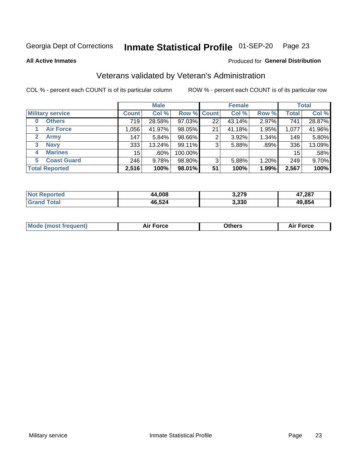#### Inmate Statistical Profile 01-SEP-20 Page 23

**All Active Inmates** 

### Produced for General Distribution

## Veterans validated by Veteran's Administration

COL % - percent each COUNT is of its particular column

|                             |                 | <b>Male</b> |                    |    | <b>Female</b> |       |              | <b>Total</b> |
|-----------------------------|-----------------|-------------|--------------------|----|---------------|-------|--------------|--------------|
| <b>Military service</b>     | <b>Count</b>    | Col %       | <b>Row % Count</b> |    | Col %         | Row % | <b>Total</b> | Col %        |
| <b>Others</b><br>0          | 719             | 28.58%      | 97.03%             | 22 | 43.14%        | 2.97% | 741          | 28.87%       |
| <b>Air Force</b>            | 1,056           | 41.97%      | 98.05%             | 21 | 41.18%        | 1.95% | 1,077        | 41.96%       |
| <b>Army</b><br>$\mathbf{2}$ | 147             | 5.84%       | 98.66%             | 2  | 3.92%         | 1.34% | 149          | 5.80%        |
| <b>Navy</b><br>3            | 333             | 13.24%      | 99.11%             | 3  | 5.88%         | .89%  | 336          | 13.09%       |
| <b>Marines</b><br>4         | 15 <sup>1</sup> | $.60\%$     | 100.00%            |    |               |       | 15           | .58%         |
| <b>Coast Guard</b><br>5.    | 246             | 9.78%       | 98.80%             | 3  | 5.88%         | 1.20% | 249          | 9.70%        |
| <b>Total Reported</b>       | 2,516           | 100%        | 98.01%             | 51 | 100%          | 1.99% | 2,567        | 100%         |

| ported<br><b>NOT</b> | 44,008 | 3,279 | 17,287<br>41 |
|----------------------|--------|-------|--------------|
| $\sim$               | 46,524 | 3,330 | 49.854       |

|  |  | <b>Mode (most frequent)</b> | <b>Force</b><br>Aır | วthers | orce |
|--|--|-----------------------------|---------------------|--------|------|
|--|--|-----------------------------|---------------------|--------|------|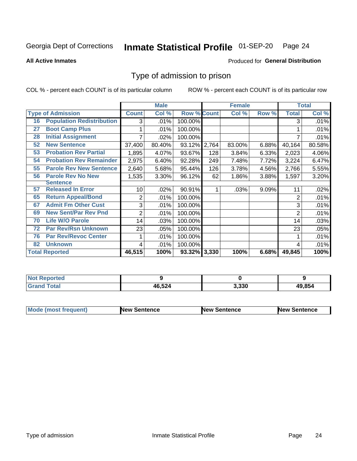#### Inmate Statistical Profile 01-SEP-20 Page 24

**All Active Inmates** 

### Produced for General Distribution

## Type of admission to prison

COL % - percent each COUNT is of its particular column

|    |                                  |              | <b>Male</b> |                    |       | <b>Female</b> |       |              | <b>Total</b> |
|----|----------------------------------|--------------|-------------|--------------------|-------|---------------|-------|--------------|--------------|
|    | <b>Type of Admission</b>         | <b>Count</b> | Col %       | <b>Row % Count</b> |       | Col %         | Row % | <b>Total</b> | Col %        |
| 16 | <b>Population Redistribution</b> | 3            | .01%        | 100.00%            |       |               |       | 3            | .01%         |
| 27 | <b>Boot Camp Plus</b>            |              | .01%        | 100.00%            |       |               |       |              | .01%         |
| 28 | <b>Initial Assignment</b>        |              | .02%        | 100.00%            |       |               |       |              | .01%         |
| 52 | <b>New Sentence</b>              | 37,400       | 80.40%      | 93.12%             | 2,764 | 83.00%        | 6.88% | 40,164       | 80.58%       |
| 53 | <b>Probation Rev Partial</b>     | 1,895        | 4.07%       | 93.67%             | 128   | 3.84%         | 6.33% | 2,023        | 4.06%        |
| 54 | <b>Probation Rev Remainder</b>   | 2,975        | 6.40%       | 92.28%             | 249   | 7.48%         | 7.72% | 3,224        | 6.47%        |
| 55 | <b>Parole Rev New Sentence</b>   | 2,640        | 5.68%       | 95.44%             | 126   | 3.78%         | 4.56% | 2,766        | 5.55%        |
| 56 | <b>Parole Rev No New</b>         | 1,535        | 3.30%       | 96.12%             | 62    | 1.86%         | 3.88% | 1,597        | 3.20%        |
|    | <b>Sentence</b>                  |              |             |                    |       |               |       |              |              |
| 57 | <b>Released In Error</b>         | 10           | .02%        | 90.91%             | 1     | .03%          | 9.09% | 11           | .02%         |
| 65 | <b>Return Appeal/Bond</b>        | 2            | .01%        | 100.00%            |       |               |       | 2            | .01%         |
| 67 | <b>Admit Fm Other Cust</b>       | 3            | .01%        | 100.00%            |       |               |       | 3            | .01%         |
| 69 | <b>New Sent/Par Rev Pnd</b>      | 2            | .01%        | 100.00%            |       |               |       | 2            | .01%         |
| 70 | <b>Life W/O Parole</b>           | 14           | .03%        | 100.00%            |       |               |       | 14           | .03%         |
| 72 | <b>Par Rev/Rsn Unknown</b>       | 23           | .05%        | 100.00%            |       |               |       | 23           | .05%         |
| 76 | <b>Par Rev/Revoc Center</b>      |              | .01%        | 100.00%            |       |               |       |              | .01%         |
| 82 | <b>Unknown</b>                   | 4            | .01%        | 100.00%            |       |               |       | 4            | .01%         |
|    | <b>Total Reported</b>            | 46,515       | 100%        | 93.32% 3,330       |       | 100%          | 6.68% | 49,845       | 100%         |

| <b>Not</b><br>Reported |        |       |        |
|------------------------|--------|-------|--------|
| Total<br>'Grand        | 46,524 | 3,330 | 49,854 |

| <b>Mode (most frequent)</b> | <b>New Sentence</b> | <b>New Sentence</b> | <b>New Sentence</b> |
|-----------------------------|---------------------|---------------------|---------------------|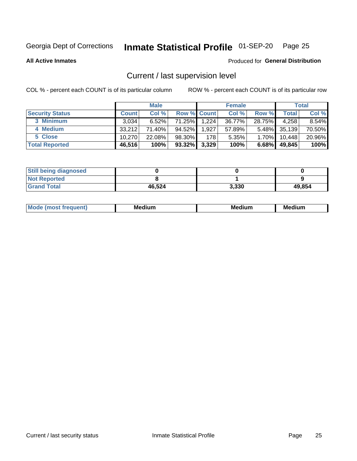# Inmate Statistical Profile 01-SEP-20 Page 25

**All Active Inmates** 

#### Produced for General Distribution

# Current / last supervision level

COL % - percent each COUNT is of its particular column

|                        |              | <b>Male</b> |                    |       | <b>Female</b> |          |        | <b>Total</b> |
|------------------------|--------------|-------------|--------------------|-------|---------------|----------|--------|--------------|
| <b>Security Status</b> | <b>Count</b> | Col %       | <b>Row % Count</b> |       | Col %         | Row %    | Total  | Col %        |
| 3 Minimum              | 3.034        | $6.52\%$    | 71.25%             | 1,224 | 36.77%        | 28.75%   | 4,258  | 8.54%        |
| 4 Medium               | 33.212       | 71.40%      | 94.52%             | 1,927 | 57.89%        | $5.48\%$ | 35,139 | 70.50%       |
| 5 Close                | 10.270       | 22.08%      | 98.30%             | 178   | 5.35%         | $1.70\%$ | 10,448 | 20.96%       |
| <b>Total Reported</b>  | 46,516       | 100%        | 93.32%             | 3,329 | 100%          | $6.68\%$ | 49,845 | 100%         |

| <b>Still being diagnosed</b> |        |       |        |
|------------------------------|--------|-------|--------|
| <b>Not Reported</b>          |        |       |        |
| <b>Grand Total</b>           | 46,524 | 3,330 | 49,854 |

| M | M | . . |
|---|---|-----|
|   |   |     |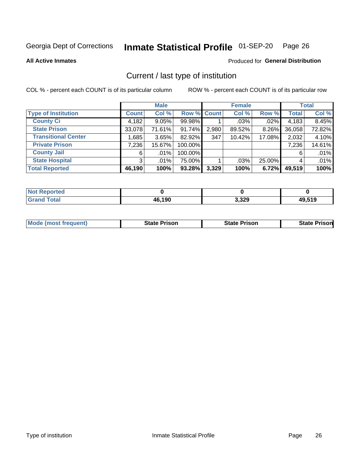#### Inmate Statistical Profile 01-SEP-20 Page 26

**All Active Inmates** 

### Produced for General Distribution

# Current / last type of institution

COL % - percent each COUNT is of its particular column

|                            |                | <b>Male</b> |             |       | <b>Female</b> |        |              | <b>Total</b> |
|----------------------------|----------------|-------------|-------------|-------|---------------|--------|--------------|--------------|
| <b>Type of Institution</b> | <b>Count</b>   | Col %       | Row % Count |       | Col %         | Row %  | <b>Total</b> | Col %        |
| <b>County Ci</b>           | 4,182          | 9.05%       | 99.98%      |       | $.03\%$       | .02%   | 4,183        | 8.45%        |
| <b>State Prison</b>        | 33,078         | 71.61%      | $91.74\%$   | 2,980 | 89.52%        | 8.26%  | 36,058       | 72.82%       |
| <b>Transitional Center</b> | 1,685          | 3.65%       | 82.92%      | 347   | 10.42%        | 17.08% | 2,032        | 4.10%        |
| <b>Private Prison</b>      | 7,236          | 15.67%      | 100.00%     |       |               |        | 7,236        | 14.61%       |
| <b>County Jail</b>         | 6              | $.01\%$     | 100.00%     |       |               |        | 6            | .01%         |
| <b>State Hospital</b>      | 3 <sub>1</sub> | $.01\%$     | 75.00%      |       | .03%          | 25.00% |              | .01%         |
| <b>Total Reported</b>      | 46,190         | 100%        | 93.28%      | 3,329 | 100%          | 6.72%  | 49,519       | 100%         |

| <b>Reported</b> |                           |                |              |
|-----------------|---------------------------|----------------|--------------|
| <b>otal</b>     | <b>AG 100</b><br>10, I JU | 3,329<br>$- -$ | <b>10510</b> |

|  | <b>Mode (most frequent)</b> | State Prison | <b>State Prison</b> | <b>State Prison</b> |
|--|-----------------------------|--------------|---------------------|---------------------|
|--|-----------------------------|--------------|---------------------|---------------------|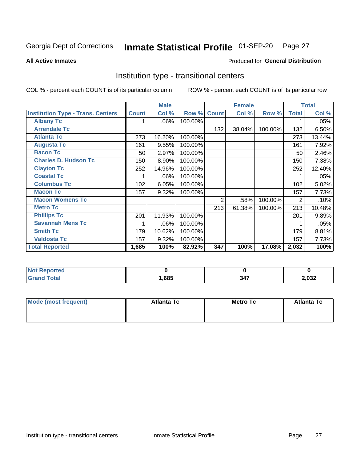#### Inmate Statistical Profile 01-SEP-20 Page 27

**All Active Inmates** 

#### Produced for General Distribution

### Institution type - transitional centers

COL % - percent each COUNT is of its particular column

|                                          |              | <b>Male</b> |         |                | <b>Female</b> |         |              | <b>Total</b> |
|------------------------------------------|--------------|-------------|---------|----------------|---------------|---------|--------------|--------------|
| <b>Institution Type - Trans. Centers</b> | <b>Count</b> | Col %       | Row %   | <b>Count</b>   | Col %         | Row %   | <b>Total</b> | Col %        |
| <b>Albany Tc</b>                         |              | .06%        | 100.00% |                |               |         |              | .05%         |
| <b>Arrendale Tc</b>                      |              |             |         | 132            | 38.04%        | 100.00% | 132          | 6.50%        |
| <b>Atlanta Tc</b>                        | 273          | 16.20%      | 100.00% |                |               |         | 273          | 13.44%       |
| <b>Augusta Tc</b>                        | 161          | 9.55%       | 100.00% |                |               |         | 161          | 7.92%        |
| <b>Bacon Tc</b>                          | 50           | 2.97%       | 100.00% |                |               |         | 50           | 2.46%        |
| <b>Charles D. Hudson Tc</b>              | 150          | 8.90%       | 100.00% |                |               |         | 150          | 7.38%        |
| <b>Clayton Tc</b>                        | 252          | 14.96%      | 100.00% |                |               |         | 252          | 12.40%       |
| <b>Coastal Tc</b>                        |              | .06%        | 100.00% |                |               |         |              | .05%         |
| <b>Columbus Tc</b>                       | 102          | 6.05%       | 100.00% |                |               |         | 102          | 5.02%        |
| <b>Macon Tc</b>                          | 157          | 9.32%       | 100.00% |                |               |         | 157          | 7.73%        |
| <b>Macon Womens Tc</b>                   |              |             |         | $\overline{2}$ | .58%          | 100.00% | 2            | .10%         |
| <b>Metro Tc</b>                          |              |             |         | 213            | 61.38%        | 100.00% | 213          | 10.48%       |
| <b>Phillips Tc</b>                       | 201          | 11.93%      | 100.00% |                |               |         | 201          | 9.89%        |
| <b>Savannah Mens Tc</b>                  |              | .06%        | 100.00% |                |               |         |              | .05%         |
| <b>Smith Tc</b>                          | 179          | 10.62%      | 100.00% |                |               |         | 179          | 8.81%        |
| <b>Valdosta Tc</b>                       | 157          | 9.32%       | 100.00% |                |               |         | 157          | 7.73%        |
| <b>Total Reported</b>                    | 1,685        | 100%        | 82.92%  | 347            | 100%          | 17.08%  | 2,032        | 100%         |

| <b>Reported</b><br>⊹NΩ⊢ |      |                      |       |
|-------------------------|------|----------------------|-------|
| <b>Total</b>            | ,685 | $\sim$ $\sim$<br>э л | 2,032 |

| Mode (most frequent) | <b>Atlanta Tc</b> | <b>Metro Tc</b> | <b>Atlanta Tc</b> |
|----------------------|-------------------|-----------------|-------------------|
|                      |                   |                 |                   |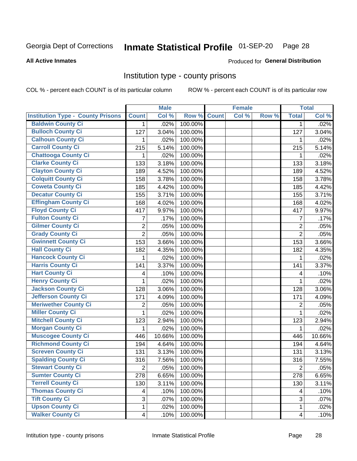# Inmate Statistical Profile 01-SEP-20 Page 28

#### **All Active Inmates**

#### Produced for General Distribution

### Institution type - county prisons

COL % - percent each COUNT is of its particular column

|                                          |                  | <b>Male</b> |         |              | <b>Female</b> |       |                | <b>Total</b> |
|------------------------------------------|------------------|-------------|---------|--------------|---------------|-------|----------------|--------------|
| <b>Institution Type - County Prisons</b> | <b>Count</b>     | Col %       | Row %   | <b>Count</b> | Col %         | Row % | <b>Total</b>   | Col %        |
| <b>Baldwin County Ci</b>                 | 1.               | .02%        | 100.00% |              |               |       | 1              | .02%         |
| <b>Bulloch County Ci</b>                 | 127              | 3.04%       | 100.00% |              |               |       | 127            | 3.04%        |
| <b>Calhoun County Ci</b>                 | 1                | .02%        | 100.00% |              |               |       | 1              | .02%         |
| <b>Carroll County Ci</b>                 | 215              | 5.14%       | 100.00% |              |               |       | 215            | 5.14%        |
| <b>Chattooga County Ci</b>               | 1                | .02%        | 100.00% |              |               |       | 1              | .02%         |
| <b>Clarke County Ci</b>                  | 133              | 3.18%       | 100.00% |              |               |       | 133            | 3.18%        |
| <b>Clayton County Ci</b>                 | 189              | 4.52%       | 100.00% |              |               |       | 189            | 4.52%        |
| <b>Colquitt County Ci</b>                | 158              | 3.78%       | 100.00% |              |               |       | 158            | 3.78%        |
| <b>Coweta County Ci</b>                  | 185              | 4.42%       | 100.00% |              |               |       | 185            | 4.42%        |
| <b>Decatur County Ci</b>                 | 155              | 3.71%       | 100.00% |              |               |       | 155            | 3.71%        |
| <b>Effingham County Ci</b>               | 168              | 4.02%       | 100.00% |              |               |       | 168            | 4.02%        |
| <b>Floyd County Ci</b>                   | 417              | 9.97%       | 100.00% |              |               |       | 417            | 9.97%        |
| <b>Fulton County Ci</b>                  | 7                | .17%        | 100.00% |              |               |       | $\overline{7}$ | .17%         |
| <b>Gilmer County Ci</b>                  | $\boldsymbol{2}$ | .05%        | 100.00% |              |               |       | $\overline{2}$ | .05%         |
| <b>Grady County Ci</b>                   | $\overline{2}$   | .05%        | 100.00% |              |               |       | $\overline{2}$ | .05%         |
| <b>Gwinnett County Ci</b>                | 153              | 3.66%       | 100.00% |              |               |       | 153            | 3.66%        |
| <b>Hall County Ci</b>                    | 182              | 4.35%       | 100.00% |              |               |       | 182            | 4.35%        |
| <b>Hancock County Ci</b>                 | 1                | .02%        | 100.00% |              |               |       | 1              | .02%         |
| <b>Harris County Ci</b>                  | 141              | 3.37%       | 100.00% |              |               |       | 141            | 3.37%        |
| <b>Hart County Ci</b>                    | 4                | .10%        | 100.00% |              |               |       | 4              | .10%         |
| <b>Henry County Ci</b>                   | 1                | .02%        | 100.00% |              |               |       | 1              | .02%         |
| Jackson County Ci                        | 128              | 3.06%       | 100.00% |              |               |       | 128            | 3.06%        |
| <b>Jefferson County Ci</b>               | 171              | 4.09%       | 100.00% |              |               |       | 171            | 4.09%        |
| <b>Meriwether County Ci</b>              | 2                | .05%        | 100.00% |              |               |       | 2              | .05%         |
| <b>Miller County Ci</b>                  | 1                | .02%        | 100.00% |              |               |       | $\mathbf{1}$   | .02%         |
| <b>Mitchell County Ci</b>                | 123              | 2.94%       | 100.00% |              |               |       | 123            | 2.94%        |
| <b>Morgan County Ci</b>                  | 1                | .02%        | 100.00% |              |               |       | 1              | .02%         |
| <b>Muscogee County Ci</b>                | 446              | 10.66%      | 100.00% |              |               |       | 446            | 10.66%       |
| <b>Richmond County Ci</b>                | 194              | 4.64%       | 100.00% |              |               |       | 194            | 4.64%        |
| <b>Screven County Ci</b>                 | 131              | 3.13%       | 100.00% |              |               |       | 131            | 3.13%        |
| <b>Spalding County Ci</b>                | 316              | 7.56%       | 100.00% |              |               |       | 316            | 7.55%        |
| <b>Stewart County Ci</b>                 | $\overline{2}$   | .05%        | 100.00% |              |               |       | $\overline{2}$ | .05%         |
| <b>Sumter County Ci</b>                  | 278              | 6.65%       | 100.00% |              |               |       | 278            | 6.65%        |
| <b>Terrell County Ci</b>                 | 130              | 3.11%       | 100.00% |              |               |       | 130            | 3.11%        |
| <b>Thomas County Ci</b>                  | 4                | .10%        | 100.00% |              |               |       | 4              | .10%         |
| <b>Tift County Ci</b>                    | 3                | .07%        | 100.00% |              |               |       | 3              | .07%         |
| <b>Upson County Ci</b>                   | 1                | .02%        | 100.00% |              |               |       | 1              | .02%         |
| <b>Walker County Ci</b>                  | $\overline{4}$   | .10%        | 100.00% |              |               |       | $\overline{4}$ | .10%         |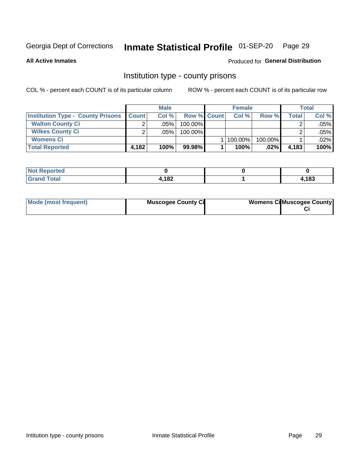# Inmate Statistical Profile 01-SEP-20 Page 29

**All Active Inmates** 

### Produced for General Distribution

### Institution type - county prisons

COL % - percent each COUNT is of its particular column

|                                          |              | <b>Male</b> |                    | <b>Female</b> |         |       | <b>Total</b> |
|------------------------------------------|--------------|-------------|--------------------|---------------|---------|-------|--------------|
| <b>Institution Type - County Prisons</b> | <b>Count</b> | Col%        | <b>Row % Count</b> | Col%          | Row %   | Total | Col %        |
| <b>Walton County Ci</b>                  | ⌒            | .05%        | 100.00%            |               |         |       | .05%         |
| <b>Wilkes County Ci</b>                  |              | $.05\%$     | 100.00%            |               |         |       | .05%         |
| <b>Womens Ci</b>                         |              |             |                    | 100.00%       | 100.00% |       | .02%         |
| <b>Total Reported</b>                    | 4.182        | 100%        | 99.98%             | 100%          | .02%    | 4,183 | 100%         |

| าrtea<br>.<br>$\sim$ |      |             |
|----------------------|------|-------------|
|                      | ,182 | 402<br>נס ו |

| Mode (most frequent)<br><b>Muscogee County Ci</b> |  | <b>Womens CilMuscogee County</b> |
|---------------------------------------------------|--|----------------------------------|
|---------------------------------------------------|--|----------------------------------|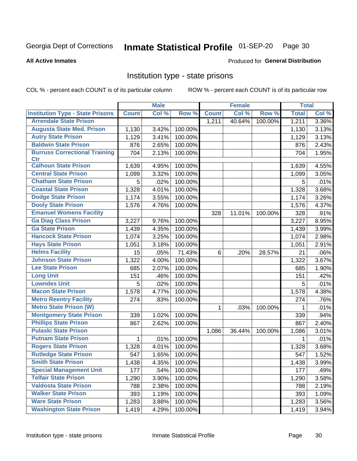#### Inmate Statistical Profile 01-SEP-20 Page 30

Produced for General Distribution

#### **All Active Inmates**

### Institution type - state prisons

COL % - percent each COUNT is of its particular column

|                                         |              | <b>Male</b> |         |              | <b>Female</b> |         | <b>Total</b> |       |
|-----------------------------------------|--------------|-------------|---------|--------------|---------------|---------|--------------|-------|
| <b>Institution Type - State Prisons</b> | <b>Count</b> | Col %       | Row %   | <b>Count</b> | Col %         | Row %   | <b>Total</b> | Col % |
| <b>Arrendale State Prison</b>           |              |             |         | 1,211        | 40.64%        | 100.00% | 1,211        | 3.36% |
| <b>Augusta State Med. Prison</b>        | 1,130        | 3.42%       | 100.00% |              |               |         | 1,130        | 3.13% |
| <b>Autry State Prison</b>               | 1,129        | 3.41%       | 100.00% |              |               |         | 1,129        | 3.13% |
| <b>Baldwin State Prison</b>             | 876          | 2.65%       | 100.00% |              |               |         | 876          | 2.43% |
| <b>Burruss Correctional Training</b>    | 704          | 2.13%       | 100.00% |              |               |         | 704          | 1.95% |
| <b>Ctr</b>                              |              |             |         |              |               |         |              |       |
| <b>Calhoun State Prison</b>             | 1,639        | 4.95%       | 100.00% |              |               |         | 1,639        | 4.55% |
| <b>Central State Prison</b>             | 1,099        | 3.32%       | 100.00% |              |               |         | 1,099        | 3.05% |
| <b>Chatham State Prison</b>             | 5            | .02%        | 100.00% |              |               |         | 5            | .01%  |
| <b>Coastal State Prison</b>             | 1,328        | 4.01%       | 100.00% |              |               |         | 1,328        | 3.68% |
| <b>Dodge State Prison</b>               | 1,174        | 3.55%       | 100.00% |              |               |         | 1,174        | 3.26% |
| <b>Dooly State Prison</b>               | 1,576        | 4.76%       | 100.00% |              |               |         | 1,576        | 4.37% |
| <b>Emanuel Womens Facility</b>          |              |             |         | 328          | 11.01%        | 100.00% | 328          | .91%  |
| <b>Ga Diag Class Prison</b>             | 3,227        | 9.76%       | 100.00% |              |               |         | 3,227        | 8.95% |
| <b>Ga State Prison</b>                  | 1,439        | 4.35%       | 100.00% |              |               |         | 1,439        | 3.99% |
| <b>Hancock State Prison</b>             | 1,074        | 3.25%       | 100.00% |              |               |         | 1,074        | 2.98% |
| <b>Hays State Prison</b>                | 1,051        | 3.18%       | 100.00% |              |               |         | 1,051        | 2.91% |
| <b>Helms Facility</b>                   | 15           | .05%        | 71.43%  | 6            | .20%          | 28.57%  | 21           | .06%  |
| <b>Johnson State Prison</b>             | 1,322        | 4.00%       | 100.00% |              |               |         | 1,322        | 3.67% |
| <b>Lee State Prison</b>                 | 685          | 2.07%       | 100.00% |              |               |         | 685          | 1.90% |
| <b>Long Unit</b>                        | 151          | .46%        | 100.00% |              |               |         | 151          | .42%  |
| <b>Lowndes Unit</b>                     | 5            | .02%        | 100.00% |              |               |         | 5            | .01%  |
| <b>Macon State Prison</b>               | 1,578        | 4.77%       | 100.00% |              |               |         | 1,578        | 4.38% |
| <b>Metro Reentry Facility</b>           | 274          | .83%        | 100.00% |              |               |         | 274          | .76%  |
| <b>Metro State Prison (W)</b>           |              |             |         | 1            | .03%          | 100.00% | 1            | .01%  |
| <b>Montgomery State Prison</b>          | 339          | 1.02%       | 100.00% |              |               |         | 339          | .94%  |
| <b>Phillips State Prison</b>            | 867          | 2.62%       | 100.00% |              |               |         | 867          | 2.40% |
| <b>Pulaski State Prison</b>             |              |             |         | 1,086        | 36.44%        | 100.00% | 1,086        | 3.01% |
| <b>Putnam State Prison</b>              | 1            | .01%        | 100.00% |              |               |         | 1            | .01%  |
| <b>Rogers State Prison</b>              | 1,328        | 4.01%       | 100.00% |              |               |         | 1,328        | 3.68% |
| <b>Rutledge State Prison</b>            | 547          | 1.65%       | 100.00% |              |               |         | 547          | 1.52% |
| <b>Smith State Prison</b>               | 1,438        | 4.35%       | 100.00% |              |               |         | 1,438        | 3.99% |
| <b>Special Management Unit</b>          | 177          | .54%        | 100.00% |              |               |         | 177          | .49%  |
| <b>Telfair State Prison</b>             | 1,290        | 3.90%       | 100.00% |              |               |         | 1,290        | 3.58% |
| <b>Valdosta State Prison</b>            | 788          | 2.38%       | 100.00% |              |               |         | 788          | 2.19% |
| <b>Walker State Prison</b>              | 393          | 1.19%       | 100.00% |              |               |         | 393          | 1.09% |
| <b>Ware State Prison</b>                | 1,283        | 3.88%       | 100.00% |              |               |         | 1,283        | 3.56% |
| <b>Washington State Prison</b>          | 1,419        | 4.29%       | 100.00% |              |               |         | 1,419        | 3.94% |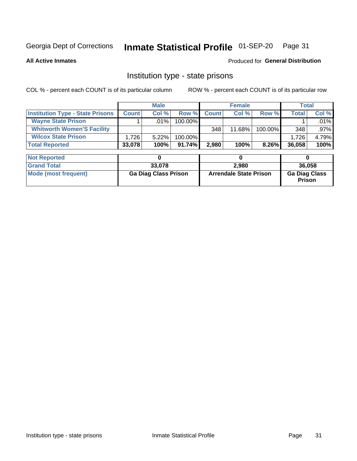#### Inmate Statistical Profile 01-SEP-20 Page 31

**All Active Inmates** 

Produced for General Distribution

## Institution type - state prisons

COL % - percent each COUNT is of its particular column

|                                         |              | <b>Male</b> |            |              | <b>Female</b> |          |              | Total   |
|-----------------------------------------|--------------|-------------|------------|--------------|---------------|----------|--------------|---------|
| <b>Institution Type - State Prisons</b> | <b>Count</b> | Col %       | Row %I     | <b>Count</b> | Col %         | Row %    | <b>Total</b> | Col %   |
| <b>Wayne State Prison</b>               |              | $.01\%$     | $100.00\%$ |              |               |          |              | .01%    |
| <b>Whitworth Women'S Facility</b>       |              |             |            | 348          | $11.68\%$     | 100.00%  | 348          | $.97\%$ |
| <b>Wilcox State Prison</b>              | .726         | 5.22%       | $100.00\%$ |              |               |          | 1.726        | 4.79%   |
| <b>Total Reported</b>                   | 33,078       | 100%        | $91.74\%$  | 2,980        | 100%          | $8.26\%$ | 36,058       | 100%    |

| <b>Not Reported</b>  |                             |                               |                                       |
|----------------------|-----------------------------|-------------------------------|---------------------------------------|
| <b>Grand Total</b>   | 33.078                      | 2,980                         | 36,058                                |
| Mode (most frequent) | <b>Ga Diag Class Prison</b> | <b>Arrendale State Prison</b> | <b>Ga Diag Class</b><br><b>Prison</b> |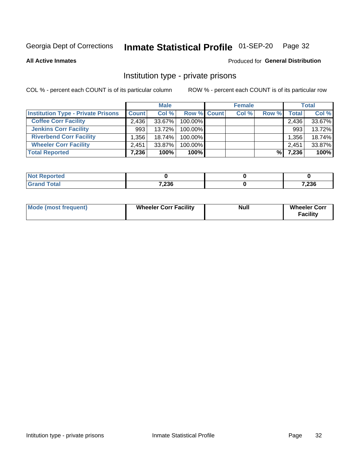# Inmate Statistical Profile 01-SEP-20 Page 32

**All Active Inmates** 

### Produced for General Distribution

### Institution type - private prisons

COL % - percent each COUNT is of its particular column

|                                           |              | <b>Male</b> |                    | <b>Female</b> |       |       | <b>Total</b> |
|-------------------------------------------|--------------|-------------|--------------------|---------------|-------|-------|--------------|
| <b>Institution Type - Private Prisons</b> | <b>Count</b> | Col %       | <b>Row % Count</b> | Col %         | Row % | Total | Col %        |
| <b>Coffee Corr Facility</b>               | 2.436        | 33.67%      | 100.00%            |               |       | 2,436 | 33.67%       |
| <b>Jenkins Corr Facility</b>              | 9931         | $13.72\%$   | 100.00%            |               |       | 993   | 13.72%       |
| <b>Riverbend Corr Facility</b>            | .356         | 18.74%      | 100.00%            |               |       | 1,356 | 18.74%       |
| <b>Wheeler Corr Facility</b>              | 2.451        | $33.87\%$   | 100.00%            |               |       | 2,451 | 33.87%       |
| <b>Total Reported</b>                     | 7,236        | 100%        | $100\%$            |               | %     | 7,236 | 100%         |

| <b>Not</b><br><b>Reported</b> |       |       |
|-------------------------------|-------|-------|
| <b>Total</b>                  | 7,236 | 7,236 |

| <b>Mode (most frequent)</b> | <b>Wheeler Corr Facility</b> | <b>Null</b> | <b>Wheeler Corr</b><br><b>Facility</b> |
|-----------------------------|------------------------------|-------------|----------------------------------------|
|-----------------------------|------------------------------|-------------|----------------------------------------|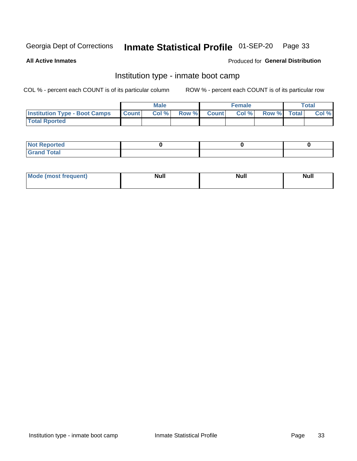#### Inmate Statistical Profile 01-SEP-20 Page 33

**All Active Inmates** 

### Produced for General Distribution

## Institution type - inmate boot camp

COL % - percent each COUNT is of its particular column

|                                      | <b>Male</b>  |       |               | <b>Female</b> |       |             | <b>Total</b> |       |
|--------------------------------------|--------------|-------|---------------|---------------|-------|-------------|--------------|-------|
| <b>Institution Type - Boot Camps</b> | <b>Count</b> | Col % | <b>Row %I</b> | <b>Count</b>  | Col % | Row % Total |              | Col % |
| <b>Total Rported</b>                 |              |       |               |               |       |             |              |       |

| <b>Not Reported</b>            |  |  |
|--------------------------------|--|--|
| <b>Total</b><br>C <sub>r</sub> |  |  |

| Mod<br>uamo | Nul.<br>$- - - - - -$ | <b>Null</b> | . .<br>uu.<br>------ |
|-------------|-----------------------|-------------|----------------------|
|             |                       |             |                      |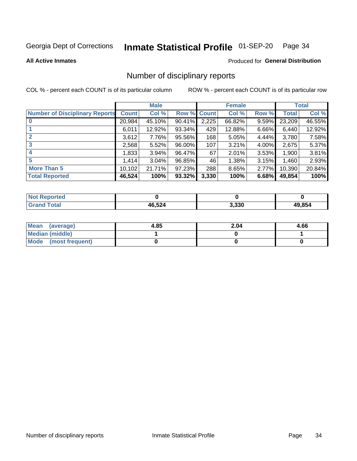#### Inmate Statistical Profile 01-SEP-20 Page 34

#### **All Active Inmates**

### **Produced for General Distribution**

## Number of disciplinary reports

COL % - percent each COUNT is of its particular column

|                                       |              | <b>Male</b> |        |       | <b>Female</b> |          |              | <b>Total</b> |
|---------------------------------------|--------------|-------------|--------|-------|---------------|----------|--------------|--------------|
| <b>Number of Disciplinary Reports</b> | <b>Count</b> | Col %       | Row %  | Count | Col %         | Row %    | <b>Total</b> | Col %        |
|                                       | 20,984       | 45.10%      | 90.41% | 2,225 | 66.82%        | $9.59\%$ | 23,209       | 46.55%       |
|                                       | 6,011        | 12.92%      | 93.34% | 429   | 12.88%        | 6.66%    | 6,440        | 12.92%       |
|                                       | 3,612        | 7.76%       | 95.56% | 168   | 5.05%         | $4.44\%$ | 3,780        | 7.58%        |
| 3                                     | 2,568        | 5.52%       | 96.00% | 107   | 3.21%         | $4.00\%$ | 2,675        | 5.37%        |
| 4                                     | 1,833        | $3.94\%$    | 96.47% | 67    | 2.01%         | 3.53%    | 1,900        | 3.81%        |
| 5                                     | 1,414        | $3.04\%$    | 96.85% | 46    | 1.38%         | $3.15\%$ | 1,460        | 2.93%        |
| <b>More Than 5</b>                    | 10,102       | 21.71%      | 97.23% | 288   | 8.65%         | 2.77%    | 10,390       | 20.84%       |
| <b>Total Reported</b>                 | 46,524       | 100%        | 93.32% | 3,330 | 100%          | 6.68%    | 49,854       | 100%         |

| <b>Not Reported</b> |        |       |        |
|---------------------|--------|-------|--------|
| <b>Total</b>        | 46,524 | 3,330 | 19.854 |

| Mean (average)       | 4.85 | 2.04 | 4.66 |
|----------------------|------|------|------|
| Median (middle)      |      |      |      |
| Mode (most frequent) |      |      |      |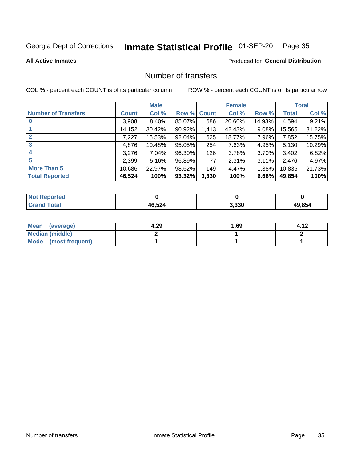# Inmate Statistical Profile 01-SEP-20 Page 35

### **All Active Inmates**

### **Produced for General Distribution**

## Number of transfers

COL % - percent each COUNT is of its particular column

|                            |         | <b>Male</b> |        |             | <b>Female</b> |          |              | <b>Total</b> |
|----------------------------|---------|-------------|--------|-------------|---------------|----------|--------------|--------------|
| <b>Number of Transfers</b> | Count l | Col %       |        | Row % Count | Col %         | Row %    | <b>Total</b> | Col %        |
|                            | 3,908   | 8.40%       | 85.07% | 686         | 20.60%        | 14.93%   | 4,594        | 9.21%        |
|                            | 14,152  | 30.42%      | 90.92% | 1,413       | 42.43%        | $9.08\%$ | 15,565       | 31.22%       |
| $\overline{2}$             | 7,227   | 15.53%      | 92.04% | 625         | 18.77%        | 7.96%    | 7,852        | 15.75%       |
| 3                          | 4,876   | 10.48%      | 95.05% | 254         | 7.63%         | 4.95%    | 5,130        | 10.29%       |
| $\boldsymbol{4}$           | 3.276   | 7.04%       | 96.30% | 126         | 3.78%         | $3.70\%$ | 3,402        | 6.82%        |
| 5                          | 2,399   | 5.16%       | 96.89% | 77          | 2.31%         | $3.11\%$ | 2,476        | 4.97%        |
| <b>More Than 5</b>         | 10,686  | 22.97%      | 98.62% | 149         | 4.47%         | $1.38\%$ | 10,835       | 21.73%       |
| <b>Total Reported</b>      | 46,524  | 100%        | 93.32% | 3,330       | 100%          | 6.68%    | 49,854       | 100%         |

| <b>Not Reported</b> |        |       |        |
|---------------------|--------|-------|--------|
| <b>Total</b>        | 46,524 | 3,330 | 19.854 |

| Mean (average)         | 4.29 | 1.69 | 4.12 |
|------------------------|------|------|------|
| <b>Median (middle)</b> |      |      |      |
| Mode (most frequent)   |      |      |      |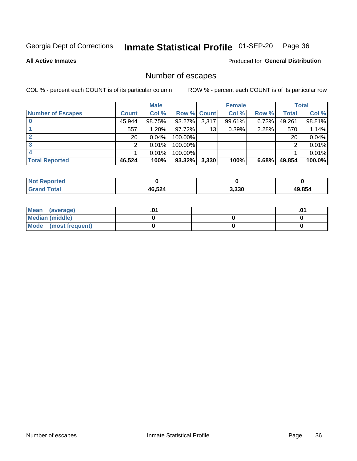# Inmate Statistical Profile 01-SEP-20 Page 36

**All Active Inmates** 

### **Produced for General Distribution**

# Number of escapes

COL % - percent each COUNT is of its particular column

|                          |              | <b>Male</b> |                    |       | <b>Female</b> |          |        | <b>Total</b> |
|--------------------------|--------------|-------------|--------------------|-------|---------------|----------|--------|--------------|
| <b>Number of Escapes</b> | <b>Count</b> | Col %       | <b>Row % Count</b> |       | Col %         | Row %    | Total  | Col %        |
|                          | 45,944       | 98.75%      | 93.27%             | 3,317 | 99.61%        | $6.73\%$ | 49,261 | 98.81%       |
|                          | 557          | 1.20%       | 97.72%             | 13    | 0.39%         | 2.28%    | 570    | 1.14%        |
|                          | 20           | $0.04\%$    | 100.00%            |       |               |          | 20     | 0.04%        |
|                          | ົ            | 0.01%       | $100.00\%$         |       |               |          |        | 0.01%        |
|                          |              | 0.01%       | 100.00%            |       |               |          |        | 0.01%        |
| <b>Total Reported</b>    | 46,524       | 100%        | 93.32%             | 3,330 | 100%          | 6.68%    | 49,854 | 100.0%       |

| <b>Not Reported</b> |        |       |        |
|---------------------|--------|-------|--------|
| <b>Total</b>        | 46,524 | 3,330 | 49.854 |

| Mean (average)         |  | .0 <sup>4</sup> |
|------------------------|--|-----------------|
| <b>Median (middle)</b> |  |                 |
| Mode (most frequent)   |  |                 |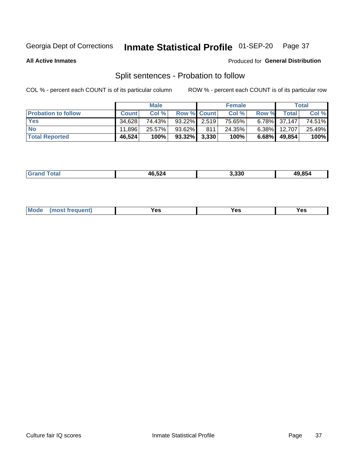#### Inmate Statistical Profile 01-SEP-20 Page 37

**All Active Inmates** 

### Produced for General Distribution

# Split sentences - Probation to follow

COL % - percent each COUNT is of its particular column

|                            |              | <b>Male</b> |                    |     | <b>Female</b> |          |                   | <b>Total</b> |
|----------------------------|--------------|-------------|--------------------|-----|---------------|----------|-------------------|--------------|
| <b>Probation to follow</b> | <b>Count</b> | Col%        | <b>Row % Count</b> |     | Col %         | Row %    | Total             | Col %        |
| <b>Yes</b>                 | 34.628       | 74.43%      | $93.22\%$ 2.519    |     | 75.65%        |          | $6.78\%$ 37,147   | 74.51%       |
| <b>No</b>                  | 11,896       | 25.57%      | 93.62%             | 811 | 24.35%        |          | $6.38\%$   12,707 | 25.49%       |
| <b>Total Reported</b>      | 46,524       | 100%        | $93.32\%$ 3,330    |     | 100%          | $6.68\%$ | 49,854            | 100%         |

| 46.524<br>-- - | 3,330 | 49.854 |
|----------------|-------|--------|
|                |       |        |

| <b>Mode</b><br>reauent)<br>Yes<br>v.c<br>0٥<br>.<br>. .<br>$\sim$ |
|-------------------------------------------------------------------|
|-------------------------------------------------------------------|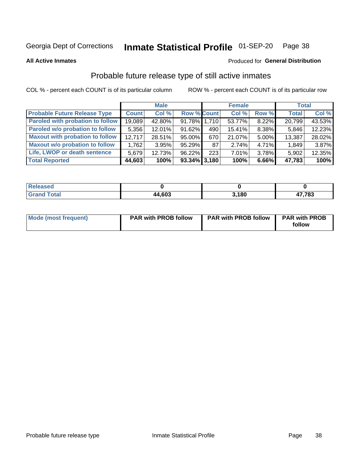#### Inmate Statistical Profile 01-SEP-20 Page 38

**All Active Inmates** 

### Produced for General Distribution

## Probable future release type of still active inmates

COL % - percent each COUNT is of its particular column

|                                         |              | <b>Male</b> |                    |      | <b>Female</b> |          | <b>Total</b> |        |
|-----------------------------------------|--------------|-------------|--------------------|------|---------------|----------|--------------|--------|
| <b>Probable Future Release Type</b>     | <b>Count</b> | Col%        | <b>Row % Count</b> |      | Col %         | Row %    | <b>Total</b> | Col %  |
| <b>Paroled with probation to follow</b> | 19,089       | 42.80%      | 91.78% 1.710       |      | 53.77%        | 8.22%    | 20,799       | 43.53% |
| Paroled w/o probation to follow         | 5,356        | 12.01%      | 91.62%             | 490  | 15.41%        | 8.38%    | 5,846        | 12.23% |
| <b>Maxout with probation to follow</b>  | 12.717       | 28.51%      | 95.00%             | 670  | 21.07%        | 5.00%    | 13,387       | 28.02% |
| <b>Maxout w/o probation to follow</b>   | 1,762        | 3.95%       | 95.29%             | 87 I | 2.74%         | $4.71\%$ | 1,849        | 3.87%  |
| Life, LWOP or death sentence            | 5,679        | 12.73%      | 96.22%             | 223  | 7.01%         | 3.78%    | 5,902        | 12.35% |
| <b>Total Reported</b>                   | 44,603       | 100%        | $93.34\%$ 3,180    |      | 100%          | 6.66%    | 47,783       | 100%   |

| eleased     |        |       |        |
|-------------|--------|-------|--------|
| <b>otal</b> | 44,603 | 3.180 | 17,783 |

| <b>Mode (most frequent)</b> | <b>PAR with PROB follow</b> | <b>PAR with PROB follow</b> | <b>PAR with PROB</b> |
|-----------------------------|-----------------------------|-----------------------------|----------------------|
|                             |                             |                             | follow               |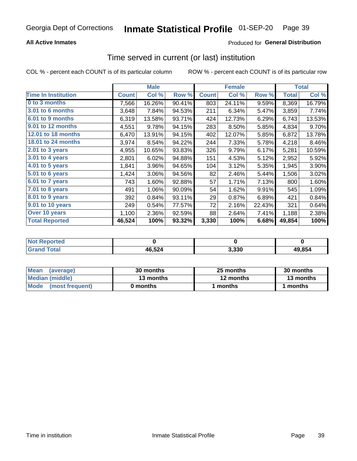## **All Active Inmates**

## **Produced for General Distribution**

## Time served in current (or last) institution

COL % - percent each COUNT is of its particular column

|                            |              | <b>Male</b> |        |              | <b>Female</b> |        |              | <b>Total</b> |
|----------------------------|--------------|-------------|--------|--------------|---------------|--------|--------------|--------------|
| <b>Time In Institution</b> | <b>Count</b> | Col %       | Row %  | <b>Count</b> | Col %         | Row %  | <b>Total</b> | Col %        |
| 0 to 3 months              | 7,566        | 16.26%      | 90.41% | 803          | 24.11%        | 9.59%  | 8,369        | 16.79%       |
| 3.01 to 6 months           | 3,648        | 7.84%       | 94.53% | 211          | 6.34%         | 5.47%  | 3,859        | 7.74%        |
| 6.01 to 9 months           | 6,319        | 13.58%      | 93.71% | 424          | 12.73%        | 6.29%  | 6,743        | 13.53%       |
| 9.01 to 12 months          | 4,551        | 9.78%       | 94.15% | 283          | 8.50%         | 5.85%  | 4,834        | 9.70%        |
| 12.01 to 18 months         | 6,470        | 13.91%      | 94.15% | 402          | 12.07%        | 5.85%  | 6,872        | 13.78%       |
| <b>18.01 to 24 months</b>  | 3,974        | 8.54%       | 94.22% | 244          | 7.33%         | 5.78%  | 4,218        | 8.46%        |
| 2.01 to 3 years            | 4,955        | 10.65%      | 93.83% | 326          | 9.79%         | 6.17%  | 5,281        | 10.59%       |
| 3.01 to 4 years            | 2,801        | 6.02%       | 94.88% | 151          | 4.53%         | 5.12%  | 2,952        | 5.92%        |
| $4.01$ to 5 years          | 1,841        | 3.96%       | 94.65% | 104          | 3.12%         | 5.35%  | 1,945        | 3.90%        |
| 5.01 to 6 years            | 1,424        | 3.06%       | 94.56% | 82           | 2.46%         | 5.44%  | 1,506        | 3.02%        |
| $6.01$ to 7 years          | 743          | 1.60%       | 92.88% | 57           | 1.71%         | 7.13%  | 800          | 1.60%        |
| 7.01 to 8 years            | 491          | 1.06%       | 90.09% | 54           | 1.62%         | 9.91%  | 545          | 1.09%        |
| $8.01$ to 9 years          | 392          | 0.84%       | 93.11% | 29           | 0.87%         | 6.89%  | 421          | 0.84%        |
| 9.01 to 10 years           | 249          | 0.54%       | 77.57% | 72           | 2.16%         | 22.43% | 321          | 0.64%        |
| Over 10 years              | 1,100        | 2.36%       | 92.59% | 88           | 2.64%         | 7.41%  | 1,188        | 2.38%        |
| <b>Total Reported</b>      | 46,524       | 100%        | 93.32% | 3,330        | 100%          | 6.68%  | 49,854       | 100%         |

| <b>Not R</b><br>Reported |        |      |        |
|--------------------------|--------|------|--------|
| Total                    | 46,524 | .330 | 49.854 |

| <b>Mean</b><br>(average) | 30 months | 25 months | 30 months |
|--------------------------|-----------|-----------|-----------|
| Median (middle)          | 13 months | 12 months | 13 months |
| Mode<br>(most frequent)  | 0 months  | months    | ∣ months  |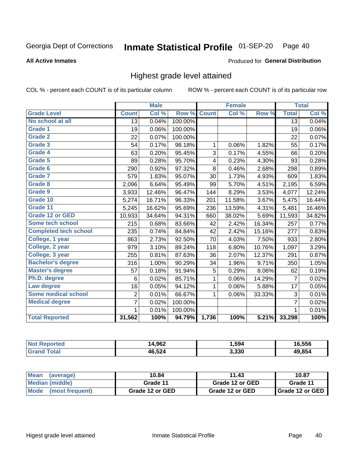#### Inmate Statistical Profile 01-SEP-20 Page 40

#### **All Active Inmates**

### Produced for General Distribution

## Highest grade level attained

COL % - percent each COUNT is of its particular column

|                              |                 | <b>Male</b> |         |              | <b>Female</b> |                     |                 | <b>Total</b> |
|------------------------------|-----------------|-------------|---------|--------------|---------------|---------------------|-----------------|--------------|
| <b>Grade Level</b>           | <b>Count</b>    | Col %       | Row %   | <b>Count</b> | Col %         | Row %               | <b>Total</b>    | Col %        |
| No school at all             | $\overline{13}$ | 0.04%       | 100.00% |              |               |                     | $\overline{13}$ | 0.04%        |
| <b>Grade 1</b>               | 19              | 0.06%       | 100.00% |              |               |                     | 19              | 0.06%        |
| <b>Grade 2</b>               | 22              | 0.07%       | 100.00% |              |               |                     | 22              | 0.07%        |
| Grade 3                      | 54              | 0.17%       | 98.18%  | $\mathbf{1}$ | 0.06%         | 1.82%               | 55              | 0.17%        |
| Grade 4                      | 63              | 0.20%       | 95.45%  | 3            | 0.17%         | 4.55%               | 66              | 0.20%        |
| Grade 5                      | 89              | 0.28%       | 95.70%  | 4            | 0.23%         | 4.30%               | 93              | 0.28%        |
| Grade 6                      | 290             | 0.92%       | 97.32%  | 8            | 0.46%         | 2.68%               | 298             | 0.89%        |
| <b>Grade 7</b>               | 579             | 1.83%       | 95.07%  | 30           | 1.73%         | 4.93%               | 609             | 1.83%        |
| Grade 8                      | 2,096           | 6.64%       | 95.49%  | 99           | 5.70%         | 4.51%               | 2,195           | 6.59%        |
| Grade 9                      | 3,933           | 12.46%      | 96.47%  | 144          | 8.29%         | 3.53%               | 4,077           | 12.24%       |
| Grade 10                     | 5,274           | 16.71%      | 96.33%  | 201          | 11.58%        | 3.67%               | 5,475           | 16.44%       |
| Grade 11                     | 5,245           | 16.62%      | 95.69%  | 236          | 13.59%        | 4.31%               | 5,481           | 16.46%       |
| <b>Grade 12 or GED</b>       | 10,933          | 34.64%      | 94.31%  | 660          | 38.02%        | 5.69%               | 11,593          | 34.82%       |
| <b>Some tech school</b>      | 215             | 0.68%       | 83.66%  | 42           | 2.42%         | 16.34%              | 257             | 0.77%        |
| <b>Completed tech school</b> | 235             | 0.74%       | 84.84%  | 42           | 2.42%         | 15.16%              | 277             | 0.83%        |
| College, 1 year              | 863             | 2.73%       | 92.50%  | 70           | 4.03%         | 7.50%               | 933             | 2.80%        |
| College, 2 year              | 979             | 3.10%       | 89.24%  | 118          | 6.80%         | 10.76%              | 1,097           | 3.29%        |
| College, 3 year              | 255             | 0.81%       | 87.63%  | 36           | 2.07%         | 12.37%              | 291             | 0.87%        |
| <b>Bachelor's degree</b>     | 316             | 1.00%       | 90.29%  | 34           | 1.96%         | 9.71%               | 350             | 1.05%        |
| <b>Master's degree</b>       | 57              | 0.18%       | 91.94%  | 5            | 0.29%         | 8.06%               | 62              | 0.19%        |
| Ph.D. degree                 | 6               | 0.02%       | 85.71%  | 1            | 0.06%         | 14.29%              | $\overline{7}$  | 0.02%        |
| Law degree                   | 16              | 0.05%       | 94.12%  | $\mathbf{1}$ | 0.06%         | 5.88%               | 17              | 0.05%        |
| <b>Some medical school</b>   | $\overline{2}$  | 0.01%       | 66.67%  | 1            | 0.06%         | 33.33%              | 3               | 0.01%        |
| <b>Medical degree</b>        | $\overline{7}$  | 0.02%       | 100.00% |              |               |                     | $\overline{7}$  | 0.02%        |
|                              | $\mathbf 1$     | 0.01%       | 100.00% |              |               |                     | 1               | 0.01%        |
| <b>Total Reported</b>        | 31,562          | 100%        | 94.79%  | 1,736        | 100%          | $\overline{5.21\%}$ | 33,298          | 100%         |

| ,962               | .594  | 6.556      |
|--------------------|-------|------------|
| 16 521<br>лı<br>__ | 3,330 | $AO$ $95/$ |

| <b>Mean</b><br>(average) | 10.84           | 11.43           | 10.87           |
|--------------------------|-----------------|-----------------|-----------------|
| Median (middle)          | Grade 11        | Grade 12 or GED | Grade 11        |
| Mode<br>(most frequent)  | Grade 12 or GED | Grade 12 or GED | Grade 12 or GED |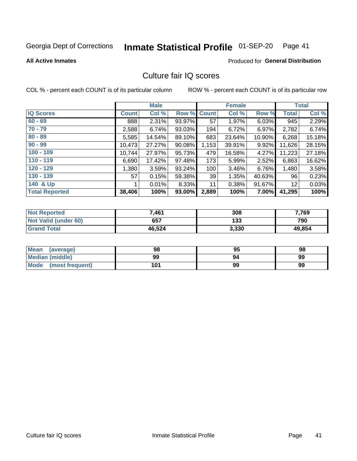#### Inmate Statistical Profile 01-SEP-20 Page 41

#### **All Active Inmates**

## **Produced for General Distribution**

## Culture fair IQ scores

COL % - percent each COUNT is of its particular column

|                       |              | <b>Male</b> |        |              | <b>Female</b> |          |              | <b>Total</b> |
|-----------------------|--------------|-------------|--------|--------------|---------------|----------|--------------|--------------|
| <b>IQ Scores</b>      | <b>Count</b> | Col %       | Row %  | <b>Count</b> | Col %         | Row %    | <b>Total</b> | Col %        |
| $60 - 69$             | 888          | 2.31%       | 93.97% | 57           | 1.97%         | $6.03\%$ | 945          | 2.29%        |
| $70 - 79$             | 2,588        | 6.74%       | 93.03% | 194          | 6.72%         | 6.97%    | 2,782        | 6.74%        |
| $80 - 89$             | 5,585        | 14.54%      | 89.10% | 683          | 23.64%        | 10.90%   | 6,268        | 15.18%       |
| $90 - 99$             | 10,473       | 27.27%      | 90.08% | 1,153        | 39.91%        | 9.92%    | 11,626       | 28.15%       |
| $100 - 109$           | 10,744       | 27.97%      | 95.73% | 479          | 16.58%        | 4.27%    | 11,223       | 27.18%       |
| $110 - 119$           | 6,690        | 17.42%      | 97.48% | 173          | 5.99%         | 2.52%    | 6,863        | 16.62%       |
| $120 - 129$           | 1,380        | 3.59%       | 93.24% | 100          | 3.46%         | 6.76%    | 1,480        | 3.58%        |
| $130 - 139$           | 57           | 0.15%       | 59.38% | 39           | 1.35%         | 40.63%   | 96           | 0.23%        |
| 140 & Up              |              | 0.01%       | 8.33%  | 11           | 0.38%         | 91.67%   | 12           | 0.03%        |
| <b>Total Reported</b> | 38,406       | 100%        | 93.00% | 2,889        | 100%          | $7.00\%$ | 41,295       | 100%         |

| <b>Not Reported</b>         | 7,461  | 308   | 7,769  |
|-----------------------------|--------|-------|--------|
| <b>Not Valid (under 60)</b> | 657    | 133   | 790    |
| <b>Grand Total</b>          | 46,524 | 3,330 | 49,854 |

| <b>Mean</b><br>(average) | 98  | 95 | 98 |
|--------------------------|-----|----|----|
| <b>Median (middle)</b>   | 99  | 94 | 99 |
| Mode<br>(most frequent)  | 101 | 99 | 99 |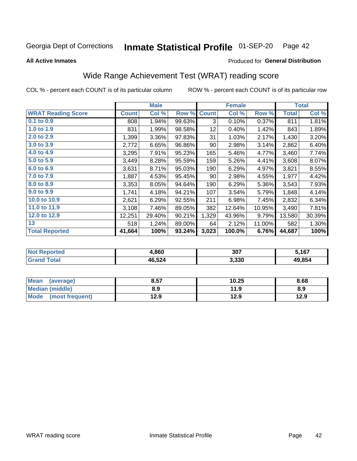#### Inmate Statistical Profile 01-SEP-20 Page 42

**All Active Inmates** 

## Produced for General Distribution

## Wide Range Achievement Test (WRAT) reading score

COL % - percent each COUNT is of its particular column

|                           |              | <b>Male</b> |        |              | <b>Female</b> |        |              | <b>Total</b> |
|---------------------------|--------------|-------------|--------|--------------|---------------|--------|--------------|--------------|
| <b>WRAT Reading Score</b> | <b>Count</b> | Col %       | Row %  | <b>Count</b> | Col %         | Row %  | <b>Total</b> | Col %        |
| 0.1 to 0.9                | 808          | 1.94%       | 99.63% | 3            | 0.10%         | 0.37%  | 811          | 1.81%        |
| 1.0 to 1.9                | 831          | 1.99%       | 98.58% | 12           | 0.40%         | 1.42%  | 843          | 1.89%        |
| 2.0 to 2.9                | 1,399        | 3.36%       | 97.83% | 31           | 1.03%         | 2.17%  | 1,430        | 3.20%        |
| 3.0 to 3.9                | 2,772        | 6.65%       | 96.86% | 90           | 2.98%         | 3.14%  | 2,862        | 6.40%        |
| 4.0 to 4.9                | 3,295        | 7.91%       | 95.23% | 165          | 5.46%         | 4.77%  | 3,460        | 7.74%        |
| 5.0 to 5.9                | 3,449        | 8.28%       | 95.59% | 159          | 5.26%         | 4.41%  | 3,608        | 8.07%        |
| 6.0 to 6.9                | 3,631        | 8.71%       | 95.03% | 190          | 6.29%         | 4.97%  | 3,821        | 8.55%        |
| 7.0 to 7.9                | 1,887        | 4.53%       | 95.45% | 90           | 2.98%         | 4.55%  | 1,977        | 4.42%        |
| 8.0 to 8.9                | 3,353        | 8.05%       | 94.64% | 190          | 6.29%         | 5.36%  | 3,543        | 7.93%        |
| 9.0 to 9.9                | 1,741        | 4.18%       | 94.21% | 107          | 3.54%         | 5.79%  | 1,848        | 4.14%        |
| 10.0 to 10.9              | 2,621        | 6.29%       | 92.55% | 211          | 6.98%         | 7.45%  | 2,832        | 6.34%        |
| 11.0 to 11.9              | 3,108        | 7.46%       | 89.05% | 382          | 12.64%        | 10.95% | 3,490        | 7.81%        |
| 12.0 to 12.9              | 12,251       | 29.40%      | 90.21% | 1,329        | 43.96%        | 9.79%  | 13,580       | 30.39%       |
| 13                        | 518          | 1.24%       | 89.00% | 64           | 2.12%         | 11.00% | 582          | 1.30%        |
| <b>Total Reported</b>     | 41,664       | 100%        | 93.24% | 3,023        | 100.0%        | 6.76%  | 44,687       | 100%         |

| NO | +,860  | 307   | 5,167  |
|----|--------|-------|--------|
|    | 46,524 | 3,330 | 49.854 |

| <b>Mean</b><br>(average) | 8.57 | 10.25 | 8.68 |
|--------------------------|------|-------|------|
| Median (middle)          | 8.9  | 11.9  | 8.9  |
| Mode<br>(most frequent)  | 12.9 | 12.9  | 12.9 |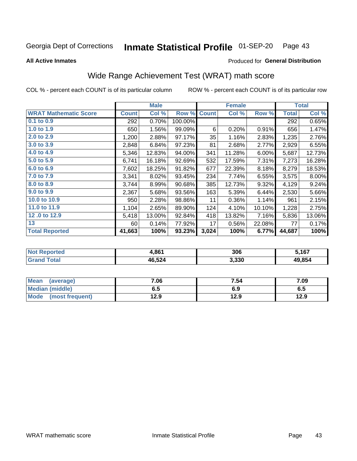#### Inmate Statistical Profile 01-SEP-20 Page 43

**All Active Inmates** 

### Produced for General Distribution

## Wide Range Achievement Test (WRAT) math score

COL % - percent each COUNT is of its particular column

|                              |              | <b>Male</b> |         |              | <b>Female</b> |        |              | <b>Total</b> |
|------------------------------|--------------|-------------|---------|--------------|---------------|--------|--------------|--------------|
| <b>WRAT Mathematic Score</b> | <b>Count</b> | Col %       | Row %   | <b>Count</b> | Col %         | Row %  | <b>Total</b> | Col %        |
| 0.1 to 0.9                   | 292          | 0.70%       | 100.00% |              |               |        | 292          | 0.65%        |
| 1.0 to 1.9                   | 650          | 1.56%       | 99.09%  | 6            | 0.20%         | 0.91%  | 656          | 1.47%        |
| 2.0 to 2.9                   | 1,200        | 2.88%       | 97.17%  | 35           | 1.16%         | 2.83%  | 1,235        | 2.76%        |
| 3.0 to 3.9                   | 2,848        | 6.84%       | 97.23%  | 81           | 2.68%         | 2.77%  | 2,929        | 6.55%        |
| 4.0 to 4.9                   | 5,346        | 12.83%      | 94.00%  | 341          | 11.28%        | 6.00%  | 5,687        | 12.73%       |
| 5.0 to 5.9                   | 6,741        | 16.18%      | 92.69%  | 532          | 17.59%        | 7.31%  | 7,273        | 16.28%       |
| 6.0 to 6.9                   | 7,602        | 18.25%      | 91.82%  | 677          | 22.39%        | 8.18%  | 8,279        | 18.53%       |
| 7.0 to 7.9                   | 3,341        | 8.02%       | 93.45%  | 234          | 7.74%         | 6.55%  | 3,575        | 8.00%        |
| 8.0 to 8.9                   | 3,744        | 8.99%       | 90.68%  | 385          | 12.73%        | 9.32%  | 4,129        | 9.24%        |
| 9.0 to 9.9                   | 2,367        | 5.68%       | 93.56%  | 163          | 5.39%         | 6.44%  | 2,530        | 5.66%        |
| 10.0 to 10.9                 | 950          | 2.28%       | 98.86%  | 11           | 0.36%         | 1.14%  | 961          | 2.15%        |
| 11.0 to 11.9                 | 1,104        | 2.65%       | 89.90%  | 124          | 4.10%         | 10.10% | 1,228        | 2.75%        |
| 12.0 to 12.9                 | 5,418        | 13.00%      | 92.84%  | 418          | 13.82%        | 7.16%  | 5,836        | 13.06%       |
| 13                           | 60           | 0.14%       | 77.92%  | 17           | 0.56%         | 22.08% | 77           | 0.17%        |
| <b>Total Reported</b>        | 41,663       | 100%        | 93.23%  | 3,024        | 100%          | 6.77%  | 44,687       | 100%         |

| Teu.<br>NO | 4,861  | 306   | 5,167  |
|------------|--------|-------|--------|
|            | 46,524 | 3,330 | 49.854 |

| <b>Mean</b><br>(average) | 7.06 | 7.54 | 7.09 |
|--------------------------|------|------|------|
| <b>Median (middle)</b>   | 6.5  | 6.9  | ხ.ე  |
| Mode (most frequent)     | 12.9 | 12.9 | 12.9 |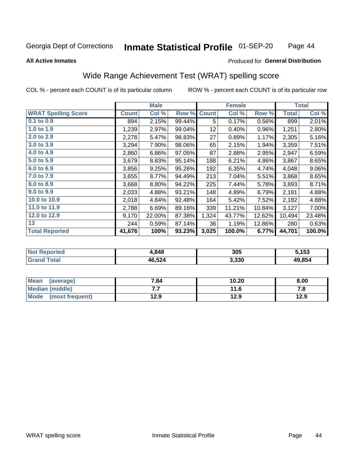#### Inmate Statistical Profile 01-SEP-20 Page 44

#### **All Active Inmates**

## **Produced for General Distribution**

## Wide Range Achievement Test (WRAT) spelling score

COL % - percent each COUNT is of its particular column

|                            |              | <b>Male</b> |        |              | <b>Female</b> |        |              | <b>Total</b> |
|----------------------------|--------------|-------------|--------|--------------|---------------|--------|--------------|--------------|
| <b>WRAT Spelling Score</b> | <b>Count</b> | Col %       | Row %  | <b>Count</b> | Col %         | Row %  | <b>Total</b> | Col %        |
| $0.1$ to $0.9$             | 894          | 2.15%       | 99.44% | 5            | 0.17%         | 0.56%  | 899          | 2.01%        |
| 1.0 to 1.9                 | 1,239        | 2.97%       | 99.04% | 12           | 0.40%         | 0.96%  | 1,251        | 2.80%        |
| 2.0 to 2.9                 | 2,278        | 5.47%       | 98.83% | 27           | 0.89%         | 1.17%  | 2,305        | 5.16%        |
| 3.0 to 3.9                 | 3,294        | 7.90%       | 98.06% | 65           | 2.15%         | 1.94%  | 3,359        | 7.51%        |
| 4.0 to 4.9                 | 2,860        | 6.86%       | 97.05% | 87           | 2.88%         | 2.95%  | 2,947        | 6.59%        |
| 5.0 to 5.9                 | 3,679        | 8.83%       | 95.14% | 188          | 6.21%         | 4.86%  | 3,867        | 8.65%        |
| 6.0 to 6.9                 | 3,856        | 9.25%       | 95.26% | 192          | 6.35%         | 4.74%  | 4,048        | 9.06%        |
| 7.0 to 7.9                 | 3,655        | 8.77%       | 94.49% | 213          | 7.04%         | 5.51%  | 3,868        | 8.65%        |
| 8.0 to 8.9                 | 3,668        | 8.80%       | 94.22% | 225          | 7.44%         | 5.78%  | 3,893        | 8.71%        |
| 9.0 to 9.9                 | 2,033        | 4.88%       | 93.21% | 148          | 4.89%         | 6.79%  | 2,181        | 4.88%        |
| 10.0 to 10.9               | 2,018        | 4.84%       | 92.48% | 164          | 5.42%         | 7.52%  | 2,182        | 4.88%        |
| 11.0 to 11.9               | 2,788        | 6.69%       | 89.16% | 339          | 11.21%        | 10.84% | 3,127        | 7.00%        |
| 12.0 to 12.9               | 9,170        | 22.00%      | 87.38% | 1,324        | 43.77%        | 12.62% | 10,494       | 23.48%       |
| 13                         | 244          | 0.59%       | 87.14% | 36           | 1.19%         | 12.86% | 280          | 0.63%        |
| <b>Total Reported</b>      | 41,676       | 100%        | 93.23% | 3,025        | 100.0%        | 6.77%  | 44,701       | 100.0%       |

| ∿rteα<br>NO | Ⅰ,848  | 305   | ,153   |
|-------------|--------|-------|--------|
|             | 46,524 | 3,330 | 49.854 |

| <b>Mean</b><br>(average) | 7.84 | 10.20 | 8.00 |
|--------------------------|------|-------|------|
| Median (middle)          | . .  | 11.6  | 7. O |
| Mode<br>(most frequent)  | 12.9 | 12.9  | 12.9 |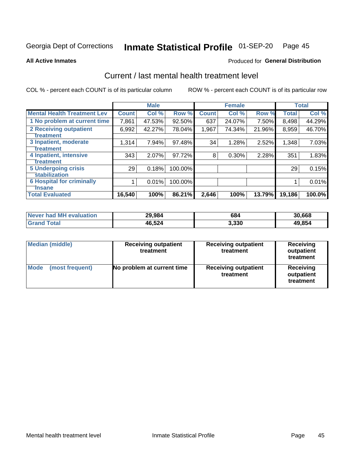#### Inmate Statistical Profile 01-SEP-20 Page 45

**All Active Inmates** 

## **Produced for General Distribution**

## Current / last mental health treatment level

COL % - percent each COUNT is of its particular column

|                                    |              | <b>Male</b> |           |              | <b>Female</b> |        |              | <b>Total</b> |
|------------------------------------|--------------|-------------|-----------|--------------|---------------|--------|--------------|--------------|
| <b>Mental Health Treatment Lev</b> | <b>Count</b> | Col %       | Row %     | <b>Count</b> | Col %         | Row %  | <b>Total</b> | Col %        |
| 1 No problem at current time       | 7,861        | 47.53%      | $92.50\%$ | 637          | 24.07%        | 7.50%  | 8,498        | 44.29%       |
| 2 Receiving outpatient             | 6,992        | 42.27%      | 78.04%    | 1,967        | 74.34%        | 21.96% | 8,959        | 46.70%       |
| <b>Treatment</b>                   |              |             |           |              |               |        |              |              |
| 3 Inpatient, moderate              | 1,314        | 7.94%       | 97.48%    | 34           | 1.28%         | 2.52%  | 1,348        | 7.03%        |
| <b>Treatment</b>                   |              |             |           |              |               |        |              |              |
| 4 Inpatient, intensive             | 343          | 2.07%       | 97.72%    | 8            | 0.30%         | 2.28%  | 351          | 1.83%        |
| <b>Treatment</b>                   |              |             |           |              |               |        |              |              |
| <b>5 Undergoing crisis</b>         | 29           | 0.18%       | 100.00%   |              |               |        | 29           | 0.15%        |
| <b>stabilization</b>               |              |             |           |              |               |        |              |              |
| <b>6 Hospital for criminally</b>   |              | 0.01%       | 100.00%   |              |               |        |              | 0.01%        |
| <b>Tinsane</b>                     |              |             |           |              |               |        |              |              |
| <b>Total Evaluated</b>             | 16,540       | 100%        | 86.21%    | 2,646        | 100%          | 13.79% | 19,186       | 100.0%       |

| Never had MH evaluation | 29,984 | 684   | 30,668 |
|-------------------------|--------|-------|--------|
| <b>Grand Total</b>      | 46,524 | 3,330 | 49,854 |

| <b>Median (middle)</b>         | <b>Receiving outpatient</b><br>treatment | <b>Receiving outpatient</b><br>treatment | <b>Receiving</b><br>outpatient<br>treatment |  |
|--------------------------------|------------------------------------------|------------------------------------------|---------------------------------------------|--|
| <b>Mode</b><br>(most frequent) | No problem at current time               | <b>Receiving outpatient</b><br>treatment | Receiving<br>outpatient<br>treatment        |  |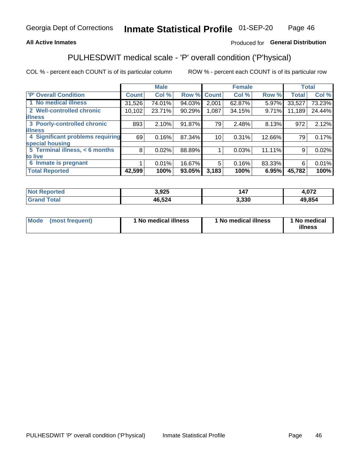## **All Active Inmates**

## Produced for General Distribution

## PULHESDWIT medical scale - 'P' overall condition ('P'hysical)

COL % - percent each COUNT is of its particular column

|                                  |              | <b>Male</b> |        |                 | <b>Female</b> |          |              | <b>Total</b> |
|----------------------------------|--------------|-------------|--------|-----------------|---------------|----------|--------------|--------------|
| 'P' Overall Condition            | <b>Count</b> | Col %       | Row %  | <b>Count</b>    | Col %         | Row %    | <b>Total</b> | Col %        |
| 1 No medical illness             | 31,526       | 74.01%      | 94.03% | 2,001           | 62.87%        | 5.97%    | 33,527       | 73.23%       |
| 2 Well-controlled chronic        | 10,102       | 23.71%      | 90.29% | 1.087           | 34.15%        | $9.71\%$ | 11,189       | 24.44%       |
| <b>lillness</b>                  |              |             |        |                 |               |          |              |              |
| 3 Poorly-controlled chronic      | 893          | 2.10%       | 91.87% | 79              | 2.48%         | 8.13%    | 972          | 2.12%        |
| <b>illness</b>                   |              |             |        |                 |               |          |              |              |
| 4 Significant problems requiring | 69           | 0.16%       | 87.34% | 10 <sup>1</sup> | 0.31%         | 12.66%   | 79           | 0.17%        |
| special housing                  |              |             |        |                 |               |          |              |              |
| 5 Terminal illness, < 6 months   | 8            | 0.02%       | 88.89% |                 | 0.03%         | 11.11%   | 9            | 0.02%        |
| to live                          |              |             |        |                 |               |          |              |              |
| 6 Inmate is pregnant             |              | 0.01%       | 16.67% | 5               | 0.16%         | 83.33%   | 6            | 0.01%        |
| <b>Total Reported</b>            | 42,599       | 100%        | 93.05% | 3,183           | 100%          | 6.95%    | 45,782       | 100%         |

| тес | 3,925  | 47   | ሰ72<br>$\sim$ U $\sim$ |
|-----|--------|------|------------------------|
|     | AG 52A | .330 | 49.854                 |

| Mode | (most frequent) | 1 No medical illness | 1 No medical illness | 1 No medical<br>illness |
|------|-----------------|----------------------|----------------------|-------------------------|
|------|-----------------|----------------------|----------------------|-------------------------|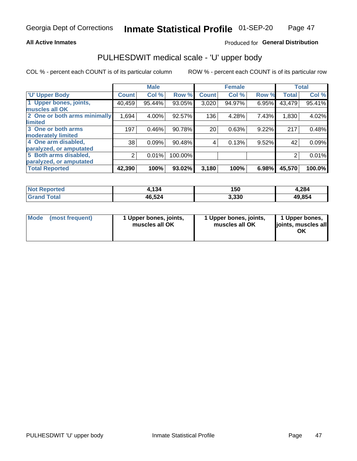### **All Active Inmates**

## Produced for General Distribution

## PULHESDWIT medical scale - 'U' upper body

COL % - percent each COUNT is of its particular column

|                              |              | <b>Male</b> |           |              | <b>Female</b> |       |              | <b>Total</b> |
|------------------------------|--------------|-------------|-----------|--------------|---------------|-------|--------------|--------------|
| <b>U' Upper Body</b>         | <b>Count</b> | Col %       | Row %     | <b>Count</b> | Col %         | Row % | <b>Total</b> | Col %        |
| 1 Upper bones, joints,       | 40,459       | 95.44%      | 93.05%    | 3,020        | 94.97%        | 6.95% | 43,479       | 95.41%       |
| muscles all OK               |              |             |           |              |               |       |              |              |
| 2 One or both arms minimally | 1,694        | 4.00%       | 92.57%    | 136          | 4.28%         | 7.43% | 1,830        | 4.02%        |
| limited                      |              |             |           |              |               |       |              |              |
| 3 One or both arms           | 197          | 0.46%       | 90.78%    | 20           | 0.63%         | 9.22% | 217          | 0.48%        |
| <b>moderately limited</b>    |              |             |           |              |               |       |              |              |
| 4 One arm disabled,          | 38           | 0.09%       | 90.48%    | 4            | 0.13%         | 9.52% | 42           | 0.09%        |
| paralyzed, or amputated      |              |             |           |              |               |       |              |              |
| 5 Both arms disabled,        | 2            | 0.01%       | 100.00%   |              |               |       | 2            | 0.01%        |
| paralyzed, or amputated      |              |             |           |              |               |       |              |              |
| <b>Total Reported</b>        | 42,390       | 100%        | $93.02\%$ | 3,180        | 100%          | 6.98% | 45,570       | 100.0%       |

| <b>Not Reported</b> | 1,134  | 150   | 4,284  |
|---------------------|--------|-------|--------|
| <b>Grand Total</b>  | 46,524 | 3,330 | 49,854 |

| Mode (most frequent) | 1 Upper bones, joints,<br>muscles all OK | 1 Upper bones, joints,<br>muscles all OK | 1 Upper bones,<br>joints, muscles all<br>ΟK |
|----------------------|------------------------------------------|------------------------------------------|---------------------------------------------|
|----------------------|------------------------------------------|------------------------------------------|---------------------------------------------|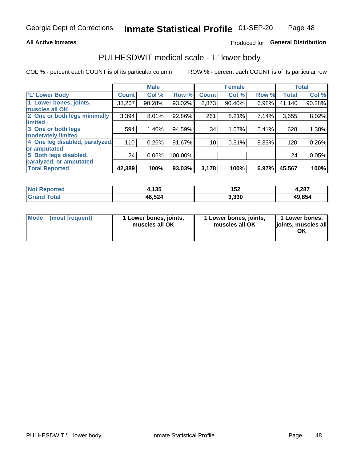### **All Active Inmates**

## Produced for General Distribution

## PULHESDWIT medical scale - 'L' lower body

COL % - percent each COUNT is of its particular column

|                                |              | <b>Male</b> |         |              | <b>Female</b> |       |              | <b>Total</b> |
|--------------------------------|--------------|-------------|---------|--------------|---------------|-------|--------------|--------------|
| 'L' Lower Body                 | <b>Count</b> | Col %       | Row %   | <b>Count</b> | Col %         | Row % | <b>Total</b> | Col %        |
| 1 Lower bones, joints,         | 38,267       | 90.28%      | 93.02%  | 2,873        | 90.40%        | 6.98% | 41,140       | 90.28%       |
| muscles all OK                 |              |             |         |              |               |       |              |              |
| 2 One or both legs minimally   | 3,394        | 8.01%       | 92.86%  | 261          | 8.21%         | 7.14% | 3,655        | 8.02%        |
| limited                        |              |             |         |              |               |       |              |              |
| 3 One or both legs             | 594          | 1.40%       | 94.59%  | 34           | 1.07%         | 5.41% | 628          | 1.38%        |
| moderately limited             |              |             |         |              |               |       |              |              |
| 4 One leg disabled, paralyzed, | 110          | 0.26%       | 91.67%  | 10           | 0.31%         | 8.33% | 120          | 0.26%        |
| or amputated                   |              |             |         |              |               |       |              |              |
| 5 Both legs disabled,          | 24           | $0.06\%$    | 100.00% |              |               |       | 24           | 0.05%        |
| paralyzed, or amputated        |              |             |         |              |               |       |              |              |
| <b>Total Reported</b>          | 42,389       | 100%        | 93.03%  | 3,178        | 100%          | 6.97% | 45,567       | 100%         |

| <b>Not Reported</b>   | 1,135  | 152   | 4,287  |
|-----------------------|--------|-------|--------|
| <b>Total</b><br>Grand | 46,524 | 3,330 | 49,854 |

|  | Mode (most frequent) | 1 Lower bones, joints,<br>muscles all OK | 1 Lower bones, joints,<br>muscles all OK | 1 Lower bones,<br>joints, muscles all<br>ΟK |
|--|----------------------|------------------------------------------|------------------------------------------|---------------------------------------------|
|--|----------------------|------------------------------------------|------------------------------------------|---------------------------------------------|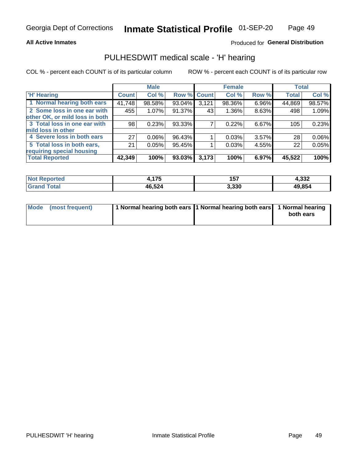### **All Active Inmates**

## Produced for General Distribution

## PULHESDWIT medical scale - 'H' hearing

COL % - percent each COUNT is of its particular column

|                                |              | <b>Male</b> |             |       | <b>Female</b> |       | <b>Total</b> |          |
|--------------------------------|--------------|-------------|-------------|-------|---------------|-------|--------------|----------|
| <b>'H' Hearing</b>             | <b>Count</b> | Col %       | Row % Count |       | Col %         | Row % | <b>Total</b> | Col %    |
| 1 Normal hearing both ears     | 41,748       | 98.58%      | 93.04%      | 3,121 | 98.36%        | 6.96% | 44,869       | 98.57%   |
| 2 Some loss in one ear with    | 455          | 1.07%       | 91.37%      | 43    | 1.36%         | 8.63% | 498          | 1.09%    |
| other OK, or mild loss in both |              |             |             |       |               |       |              |          |
| 3 Total loss in one ear with   | 98           | 0.23%       | 93.33%      |       | 0.22%         | 6.67% | 105          | 0.23%    |
| mild loss in other             |              |             |             |       |               |       |              |          |
| 4 Severe loss in both ears     | 27           | 0.06%       | 96.43%      |       | 0.03%         | 3.57% | 28           | $0.06\%$ |
| 5 Total loss in both ears,     | 21           | 0.05%       | 95.45%      |       | 0.03%         | 4.55% | 22           | 0.05%    |
| requiring special housing      |              |             |             |       |               |       |              |          |
| <b>Total Reported</b>          | 42,349       | 100%        | 93.03%      | 3,173 | 100%          | 6.97% | 45,522       | 100%     |

| <b>Not Renc</b> | 4 7 E    | <b>457</b> | ????         |
|-----------------|----------|------------|--------------|
| ≅norted and     | 7. I I J | וטו        | 4.JJZ        |
| Total           | 46,524   | 3,330      | 49.854<br>40 |

| Mode (most frequent) | 1 Normal hearing both ears 11 Normal hearing both ears 1 Normal hearing | both ears |
|----------------------|-------------------------------------------------------------------------|-----------|
|                      |                                                                         |           |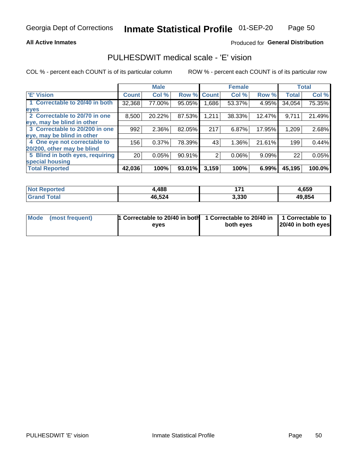### **All Active Inmates**

## Produced for General Distribution

## PULHESDWIT medical scale - 'E' vision

COL % - percent each COUNT is of its particular column

|                                 |                 | <b>Male</b> |        |              | <b>Female</b> |          |              | <b>Total</b> |
|---------------------------------|-----------------|-------------|--------|--------------|---------------|----------|--------------|--------------|
| 'E' Vision                      | <b>Count</b>    | Col %       | Row %  | <b>Count</b> | Col %         | Row %    | <b>Total</b> | Col %        |
| 1 Correctable to 20/40 in both  | 32,368          | 77.00%      | 95.05% | ا 686.       | 53.37%        | 4.95%    | 34,054       | 75.35%       |
| eyes                            |                 |             |        |              |               |          |              |              |
| 2 Correctable to 20/70 in one   | 8,500           | 20.22%      | 87.53% | 1,211        | 38.33%        | 12.47%   | 9,711        | 21.49%       |
| eye, may be blind in other      |                 |             |        |              |               |          |              |              |
| 3 Correctable to 20/200 in one  | 992             | 2.36%       | 82.05% | 217          | 6.87%         | 17.95%   | 1,209        | 2.68%        |
| eye, may be blind in other      |                 |             |        |              |               |          |              |              |
| 4 One eye not correctable to    | 156             | 0.37%       | 78.39% | 43           | 1.36%         | 21.61%   | 199          | 0.44%        |
| 20/200, other may be blind      |                 |             |        |              |               |          |              |              |
| 5 Blind in both eyes, requiring | 20 <sub>1</sub> | 0.05%       | 90.91% | 2            | 0.06%         | $9.09\%$ | 22           | 0.05%        |
| special housing                 |                 |             |        |              |               |          |              |              |
| <b>Total Reported</b>           | 42,036          | 100%        | 93.01% | 3,159        | 100%          | 6.99%    | 45,195       | 100.0%       |

| <b>Not Reported</b> | .488   | ۰,    | 4,659  |
|---------------------|--------|-------|--------|
| <b>Total</b>        | 46,524 | 3,330 | 49.854 |

| Mode (most frequent) | 1 Correctable to 20/40 in both<br>eves | 1 Correctable to 20/40 in   1 Correctable to  <br>both eves | 20/40 in both eyes |
|----------------------|----------------------------------------|-------------------------------------------------------------|--------------------|
|                      |                                        |                                                             |                    |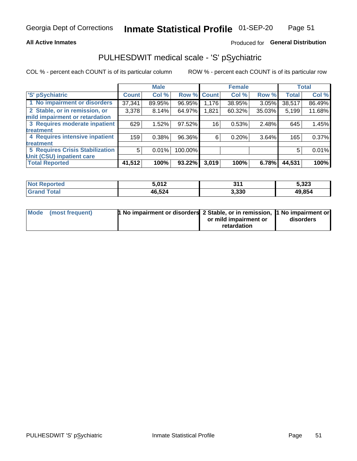### **All Active Inmates**

## Produced for General Distribution

## PULHESDWIT medical scale - 'S' pSychiatric

COL % - percent each COUNT is of its particular column

|                                        |              | <b>Male</b> |         |              | <b>Female</b> |        |              | <b>Total</b> |
|----------------------------------------|--------------|-------------|---------|--------------|---------------|--------|--------------|--------------|
| 'S' pSychiatric                        | <b>Count</b> | Col %       | Row %   | <b>Count</b> | Col %         | Row %  | <b>Total</b> | Col %        |
| 1 No impairment or disorders           | 37,341       | 89.95%      | 96.95%  | 1,176        | 38.95%        | 3.05%  | 38,517       | 86.49%       |
| 2 Stable, or in remission, or          | 3,378        | 8.14%       | 64.97%  | 1,821        | 60.32%        | 35.03% | 5,199        | 11.68%       |
| mild impairment or retardation         |              |             |         |              |               |        |              |              |
| 3 Requires moderate inpatient          | 629          | 1.52%       | 97.52%  | 16           | 0.53%         | 2.48%  | 645          | 1.45%        |
| <b>treatment</b>                       |              |             |         |              |               |        |              |              |
| 4 Requires intensive inpatient         | 159          | 0.38%       | 96.36%  | 6            | 0.20%         | 3.64%  | 165          | 0.37%        |
| <b>treatment</b>                       |              |             |         |              |               |        |              |              |
| <b>5 Requires Crisis Stabilization</b> | 5            | 0.01%       | 100.00% |              |               |        | 5            | 0.01%        |
| Unit (CSU) inpatient care              |              |             |         |              |               |        |              |              |
| <b>Total Reported</b>                  | 41,512       | 100%        | 93.22%  | 3,019        | 100%          | 6.78%  | 44,531       | 100%         |

| <b>Not Reported</b>   | 5,012  | 244<br>JI. | 5,323  |
|-----------------------|--------|------------|--------|
| Total<br><b>Grand</b> | 46,524 | 3,330      | 49,854 |

| Mode (most frequent) | <b>1 No impairment or disorders 2 Stable, or in remission, 1 No impairment or</b> |                       |           |
|----------------------|-----------------------------------------------------------------------------------|-----------------------|-----------|
|                      |                                                                                   | or mild impairment or | disorders |
|                      |                                                                                   | retardation           |           |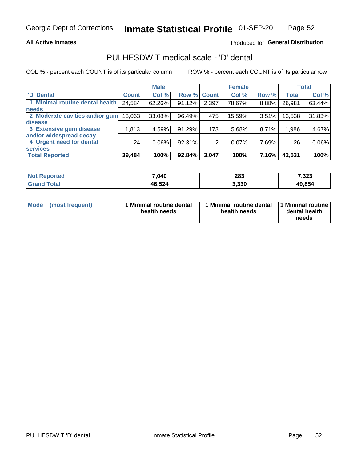### **All Active Inmates**

## Produced for General Distribution

## PULHESDWIT medical scale - 'D' dental

COL % - percent each COUNT is of its particular column

|                                 |              | <b>Male</b> |        |              | <b>Female</b> |          |              | <b>Total</b> |
|---------------------------------|--------------|-------------|--------|--------------|---------------|----------|--------------|--------------|
| <b>D'</b> Dental                | <b>Count</b> | Col %       | Row %  | <b>Count</b> | Col %         | Row %    | <b>Total</b> | Col %        |
| 1 Minimal routine dental health | 24,584       | 62.26%      | 91.12% | 2,397        | 78.67%        | 8.88%    | 26,981       | 63.44%       |
| <b>needs</b>                    |              |             |        |              |               |          |              |              |
| 2 Moderate cavities and/or gum  | 13,063       | 33.08%      | 96.49% | 475          | 15.59%        | $3.51\%$ | 13,538       | 31.83%       |
| disease                         |              |             |        |              |               |          |              |              |
| 3 Extensive gum disease         | 1,813        | 4.59%       | 91.29% | 173          | 5.68%         | 8.71%    | 1,986        | 4.67%        |
| and/or widespread decay         |              |             |        |              |               |          |              |              |
| 4 Urgent need for dental        | 24           | $0.06\%$    | 92.31% | 2            | 0.07%         | 7.69%    | 26           | 0.06%        |
| <b>services</b>                 |              |             |        |              |               |          |              |              |
| <b>Total Reported</b>           | 39,484       | 100%        | 92.84% | 3,047        | 100%          | 7.16%    | 42,531       | 100%         |

| <b>Not</b><br>Reported | 7,040  | 283   | 7,323  |
|------------------------|--------|-------|--------|
| 'otal<br>'Grand        | 46,524 | 3,330 | 49,854 |

| <b>Mode</b> | (most frequent) | <b>Minimal routine dental</b><br>health needs | 1 Minimal routine dental   1 Minimal routine  <br>health needs | dental health<br>needs |
|-------------|-----------------|-----------------------------------------------|----------------------------------------------------------------|------------------------|
|-------------|-----------------|-----------------------------------------------|----------------------------------------------------------------|------------------------|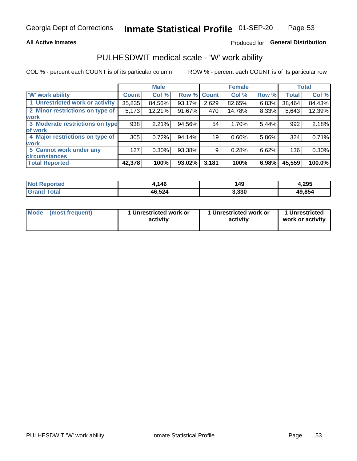### **All Active Inmates**

## Produced for General Distribution

## PULHESDWIT medical scale - 'W' work ability

COL % - percent each COUNT is of its particular column

|                                 |                    | <b>Male</b> |        |             | <b>Female</b> |       |              | <b>Total</b> |
|---------------------------------|--------------------|-------------|--------|-------------|---------------|-------|--------------|--------------|
| 'W' work ability                | Count <sup>1</sup> | Col %       |        | Row % Count | Col %         | Row % | <b>Total</b> | Col %        |
| 1 Unrestricted work or activity | 35,835             | 84.56%      | 93.17% | 2,629       | 82.65%        | 6.83% | 38,464       | 84.43%       |
| 2 Minor restrictions on type of | 5,173              | 12.21%      | 91.67% | 470         | 14.78%        | 8.33% | 5,643        | 12.39%       |
| <b>work</b>                     |                    |             |        |             |               |       |              |              |
| 3 Moderate restrictions on type | 938                | 2.21%       | 94.56% | 54          | 1.70%         | 5.44% | 992          | 2.18%        |
| lof work                        |                    |             |        |             |               |       |              |              |
| 4 Major restrictions on type of | 305                | 0.72%       | 94.14% | 19          | 0.60%         | 5.86% | 324          | 0.71%        |
| <b>work</b>                     |                    |             |        |             |               |       |              |              |
| 5 Cannot work under any         | 127                | $0.30\%$    | 93.38% | 9           | 0.28%         | 6.62% | 136          | 0.30%        |
| <b>circumstances</b>            |                    |             |        |             |               |       |              |              |
| <b>Total Reported</b>           | 42,378             | 100%        | 93.02% | 3,181       | 100%          | 6.98% | 45,559       | 100.0%       |

| <b>Not Reported</b> | 146    | 149   | 4,295  |
|---------------------|--------|-------|--------|
| Total<br>'Grand     | 46,524 | 3,330 | 49,854 |

| Mode            | 1 Unrestricted work or | 1 Unrestricted work or | 1 Unrestricted   |
|-----------------|------------------------|------------------------|------------------|
| (most frequent) | activity               | activity               | work or activity |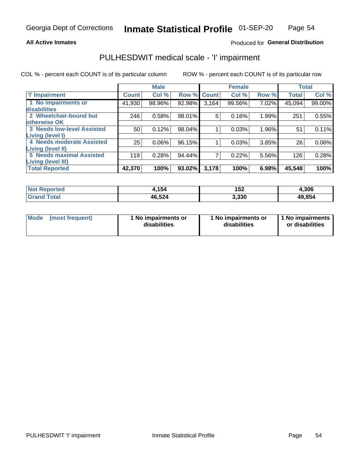### **All Active Inmates**

## Produced for General Distribution

## PULHESDWIT medical scale - 'I' impairment

COL % - percent each COUNT is of its particular column

|                                   |              | <b>Male</b> |        |             | <b>Female</b> |       |              | <b>Total</b> |
|-----------------------------------|--------------|-------------|--------|-------------|---------------|-------|--------------|--------------|
| <b>T' Impairment</b>              | <b>Count</b> | Col %       |        | Row % Count | Col %         | Row % | <b>Total</b> | Col %        |
| 1 No impairments or               | 41,930       | 98.96%      | 92.98% | 3,164       | 99.56%        | 7.02% | 45,094       | 99.00%       |
| <b>disabilities</b>               |              |             |        |             |               |       |              |              |
| 2 Wheelchair-bound but            | 246          | 0.58%       | 98.01% | 5           | 0.16%         | 1.99% | 251          | 0.55%        |
| otherwise OK                      |              |             |        |             |               |       |              |              |
| <b>3 Needs low-level Assisted</b> | 50           | 0.12%       | 98.04% |             | 0.03%         | 1.96% | 51           | 0.11%        |
| Living (level I)                  |              |             |        |             |               |       |              |              |
| 4 Needs moderate Assisted         | 25           | 0.06%       | 96.15% |             | 0.03%         | 3.85% | 26           | $0.06\%$     |
| Living (level II)                 |              |             |        |             |               |       |              |              |
| <b>5 Needs maximal Assisted</b>   | 119          | 0.28%       | 94.44% | 7           | 0.22%         | 5.56% | 126          | 0.28%        |
| Living (level III)                |              |             |        |             |               |       |              |              |
| <b>Total Reported</b>             | 42,370       | 100%        | 93.02% | 3,178       | 100%          | 6.98% | 45,548       | 100%         |

| <b>Not Reported</b>     | 1.154  | 152   | 4,306  |
|-------------------------|--------|-------|--------|
| <b>Total</b><br>' Grand | 46,524 | 3,330 | 49,854 |

| Mode | (most frequent) | 1 No impairments or<br>disabilities | 1 No impairments or<br>disabilities | 1 No impairments<br>or disabilities |
|------|-----------------|-------------------------------------|-------------------------------------|-------------------------------------|
|------|-----------------|-------------------------------------|-------------------------------------|-------------------------------------|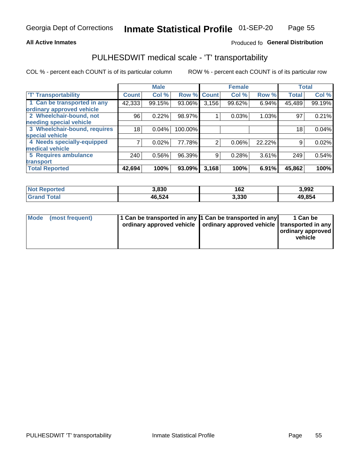### **All Active Inmates**

## Produced fo General Distribution

## PULHESDWIT medical scale - 'T' transportability

COL % - percent each COUNT is of its particular column

|                              |              | <b>Male</b> |         |                | <b>Female</b> |        |              | <b>Total</b> |
|------------------------------|--------------|-------------|---------|----------------|---------------|--------|--------------|--------------|
| <b>T' Transportability</b>   | <b>Count</b> | Col %       | Row %   | <b>Count</b>   | Col %         | Row %  | <b>Total</b> | Col %        |
| 1 Can be transported in any  | 42,333       | 99.15%      | 93.06%  | 3,156          | 99.62%        | 6.94%  | 45,489       | 99.19%       |
| ordinary approved vehicle    |              |             |         |                |               |        |              |              |
| 2 Wheelchair-bound, not      | 96           | 0.22%       | 98.97%  |                | 0.03%         | 1.03%  | 97           | 0.21%        |
| needing special vehicle      |              |             |         |                |               |        |              |              |
| 3 Wheelchair-bound, requires | 18           | 0.04%       | 100.00% |                |               |        | 18           | 0.04%        |
| special vehicle              |              |             |         |                |               |        |              |              |
| 4 Needs specially-equipped   |              | 0.02%       | 77.78%  | $\overline{2}$ | 0.06%         | 22.22% | 9            | 0.02%        |
| medical vehicle              |              |             |         |                |               |        |              |              |
| <b>5 Requires ambulance</b>  | 240          | 0.56%       | 96.39%  | 9              | 0.28%         | 3.61%  | 249          | 0.54%        |
| transport                    |              |             |         |                |               |        |              |              |
| <b>Total Reported</b>        | 42,694       | 100%        | 93.09%  | 3,168          | 100%          | 6.91%  | 45,862       | 100%         |

| orted | 3,830  | 162   | 3,992  |
|-------|--------|-------|--------|
| 'otal | 46,524 | 3,330 | 49,854 |

|  | Mode (most frequent) | 1 Can be transported in any 1 Can be transported in any<br>ordinary approved vehicle   ordinary approved vehicle   transported in any |  | 1 Can be<br>  ordinary approved  <br>vehicle |
|--|----------------------|---------------------------------------------------------------------------------------------------------------------------------------|--|----------------------------------------------|
|--|----------------------|---------------------------------------------------------------------------------------------------------------------------------------|--|----------------------------------------------|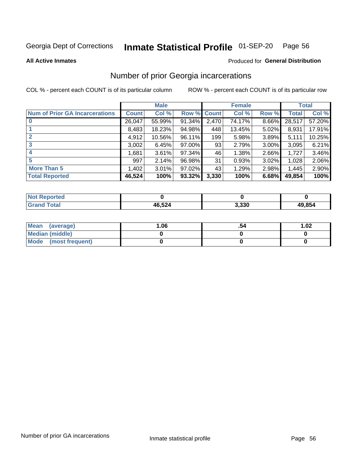#### Inmate Statistical Profile 01-SEP-20 Page 56

**All Active Inmates** 

### Produced for General Distribution

## Number of prior Georgia incarcerations

COL % - percent each COUNT is of its particular column

|                                       |              | <b>Male</b> |                    |       | <b>Female</b> |          |        | <b>Total</b> |
|---------------------------------------|--------------|-------------|--------------------|-------|---------------|----------|--------|--------------|
| <b>Num of Prior GA Incarcerations</b> | <b>Count</b> | Col %       | <b>Row % Count</b> |       | Col %         | Row %    | Total  | Col %        |
| $\bf{0}$                              | 26,047       | 55.99%      | 91.34%             | 2,470 | 74.17%        | 8.66%    | 28,517 | 57.20%       |
|                                       | 8,483        | 18.23%      | 94.98%             | 448   | 13.45%        | 5.02%    | 8,931  | 17.91%       |
| $\mathbf{2}$                          | 4,912        | 10.56%      | 96.11%             | 199   | 5.98%         | 3.89%    | 5,111  | 10.25%       |
| 3                                     | 3,002        | 6.45%       | 97.00%             | 93    | 2.79%         | $3.00\%$ | 3,095  | 6.21%        |
| 4                                     | 1,681        | 3.61%       | 97.34%             | 46'   | 1.38%         | 2.66%    | 1,727  | 3.46%        |
| 5                                     | 997          | 2.14%       | 96.98%             | 31    | 0.93%         | 3.02%    | 1,028  | 2.06%        |
| <b>More Than 5</b>                    | 1,402        | 3.01%       | 97.02%             | 43    | 1.29%         | 2.98%    | 1,445  | 2.90%        |
| <b>Total Reported</b>                 | 46,524       | 100%        | 93.32%             | 3,330 | 100%          | 6.68%    | 49,854 | 100%         |

| <b>Not</b><br>Reported         |        |       |        |
|--------------------------------|--------|-------|--------|
| <b>Total</b><br><b>'</b> Gran⊾ | 46,524 | 3,330 | 49,854 |

| Mean (average)       | 06.، | 1.02 |
|----------------------|------|------|
| Median (middle)      |      |      |
| Mode (most frequent) |      |      |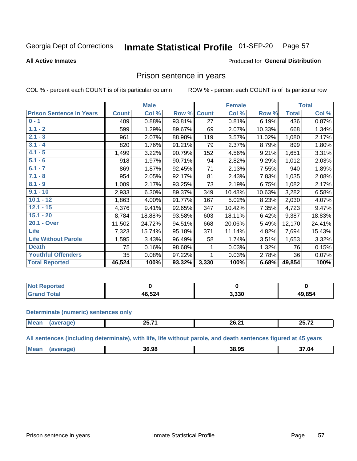#### Inmate Statistical Profile 01-SEP-20 Page 57

**All Active Inmates** 

### Produced for General Distribution

## Prison sentence in years

COL % - percent each COUNT is of its particular column

ROW % - percent each COUNT is of its particular row

|                                 |              | <b>Male</b> |        |              | <b>Female</b> |        |              | <b>Total</b> |
|---------------------------------|--------------|-------------|--------|--------------|---------------|--------|--------------|--------------|
| <b>Prison Sentence In Years</b> | <b>Count</b> | Col %       | Row %  | <b>Count</b> | Col %         | Row %  | <b>Total</b> | Col %        |
| $0 - 1$                         | 409          | 0.88%       | 93.81% | 27           | 0.81%         | 6.19%  | 436          | 0.87%        |
| $1.1 - 2$                       | 599          | 1.29%       | 89.67% | 69           | 2.07%         | 10.33% | 668          | 1.34%        |
| $2.1 - 3$                       | 961          | 2.07%       | 88.98% | 119          | 3.57%         | 11.02% | 1,080        | 2.17%        |
| $3.1 - 4$                       | 820          | 1.76%       | 91.21% | 79           | 2.37%         | 8.79%  | 899          | 1.80%        |
| $4.1 - 5$                       | 1,499        | 3.22%       | 90.79% | 152          | 4.56%         | 9.21%  | 1,651        | 3.31%        |
| $5.1 - 6$                       | 918          | 1.97%       | 90.71% | 94           | 2.82%         | 9.29%  | 1,012        | 2.03%        |
| $6.1 - 7$                       | 869          | 1.87%       | 92.45% | 71           | 2.13%         | 7.55%  | 940          | 1.89%        |
| $7.1 - 8$                       | 954          | 2.05%       | 92.17% | 81           | 2.43%         | 7.83%  | 1,035        | 2.08%        |
| $8.1 - 9$                       | 1,009        | 2.17%       | 93.25% | 73           | 2.19%         | 6.75%  | 1,082        | 2.17%        |
| $9.1 - 10$                      | 2,933        | 6.30%       | 89.37% | 349          | 10.48%        | 10.63% | 3,282        | 6.58%        |
| $10.1 - 12$                     | 1,863        | 4.00%       | 91.77% | 167          | 5.02%         | 8.23%  | 2,030        | 4.07%        |
| $12.1 - 15$                     | 4,376        | 9.41%       | 92.65% | 347          | 10.42%        | 7.35%  | 4,723        | 9.47%        |
| $15.1 - 20$                     | 8,784        | 18.88%      | 93.58% | 603          | 18.11%        | 6.42%  | 9,387        | 18.83%       |
| 20.1 - Over                     | 11,502       | 24.72%      | 94.51% | 668          | 20.06%        | 5.49%  | 12,170       | 24.41%       |
| <b>Life</b>                     | 7,323        | 15.74%      | 95.18% | 371          | 11.14%        | 4.82%  | 7,694        | 15.43%       |
| <b>Life Without Parole</b>      | 1,595        | 3.43%       | 96.49% | 58           | 1.74%         | 3.51%  | 1,653        | 3.32%        |
| <b>Death</b>                    | 75           | 0.16%       | 98.68% |              | 0.03%         | 1.32%  | 76           | 0.15%        |
| <b>Youthful Offenders</b>       | 35           | 0.08%       | 97.22% |              | 0.03%         | 2.78%  | 36           | 0.07%        |
| <b>Total Reported</b>           | 46,524       | 100%        | 93.32% | 3,330        | 100%          | 6.68%  | 49,854       | 100%         |

| <b>Not Reported</b> |               |       |        |
|---------------------|---------------|-------|--------|
| <b>cotal</b>        | 16,524<br>46. | 3,330 | 49,854 |

#### **Determinate (numeric) sentences only**

| ' Mea<br>$\cdots$ | ----<br>---<br>---- - | $\sim$<br>ne.<br><b>20.21</b> | <br><u> ЭБ</u><br><u>. J. J</u> |
|-------------------|-----------------------|-------------------------------|---------------------------------|
|                   |                       |                               |                                 |

All sentences (including determinate), with life, life without parole, and death sentences figured at 45 years

| 38.95<br><b>Me</b><br>36.98<br>37.04 |  |  |  |
|--------------------------------------|--|--|--|
|                                      |  |  |  |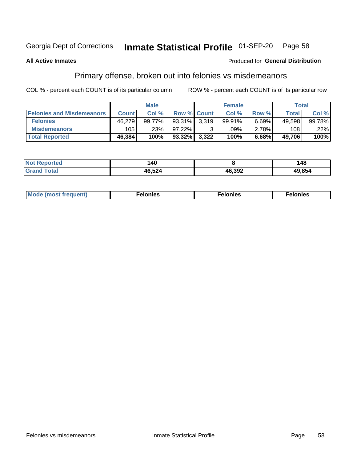#### Inmate Statistical Profile 01-SEP-20 Page 58

#### **All Active Inmates**

### Produced for General Distribution

## Primary offense, broken out into felonies vs misdemeanors

COL % - percent each COUNT is of its particular column

|                                  | <b>Male</b>  |        |                    |       | <b>Female</b> | Total |              |        |
|----------------------------------|--------------|--------|--------------------|-------|---------------|-------|--------------|--------|
| <b>Felonies and Misdemeanors</b> | <b>Count</b> | Col %  | <b>Row % Count</b> |       | Col %         | Row % | <b>Total</b> | Col %  |
| <b>Felonies</b>                  | 46,279       | 99.77% | $93.31\%$ 3.319    |       | 99.91%        | 6.69% | 49.598       | 99.78% |
| <b>Misdemeanors</b>              | 105          | .23%   | 97.22%             |       | .09% '        | 2.78% | 108          | .22%   |
| <b>Total Reported</b>            | 46,384       | 100%   | 93.32%             | 3,322 | 100%          | 6.68% | 49.706       | 100%   |

| <b>Not</b><br>Reported | 140    |        | 48     |
|------------------------|--------|--------|--------|
| ⊺otal<br><b>Grand</b>  | 46,524 | 46,392 | 49,854 |

| Mo | ____ | 11 C.S<br>. | onies<br>. |
|----|------|-------------|------------|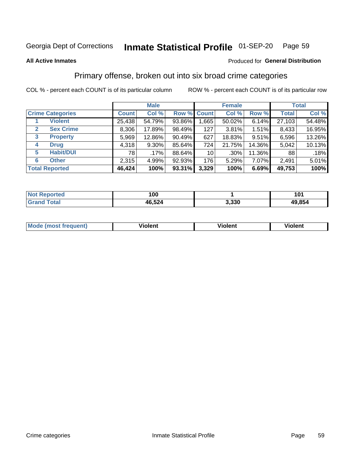#### Inmate Statistical Profile 01-SEP-20 Page 59

#### **All Active Inmates**

### Produced for General Distribution

## Primary offense, broken out into six broad crime categories

COL % - percent each COUNT is of its particular column

|                         | <b>Male</b>  |         |           |                 | <b>Female</b> | <b>Total</b> |              |        |
|-------------------------|--------------|---------|-----------|-----------------|---------------|--------------|--------------|--------|
| <b>Crime Categories</b> | <b>Count</b> | Col %   |           | Row % Count     | Col %         | Row %        | <b>Total</b> | Col %  |
| <b>Violent</b>          | 25,438       | 54.79%  | 93.86%    | 1,665           | 50.02%        | 6.14%        | 27,103       | 54.48% |
| <b>Sex Crime</b><br>2   | 8,306        | 17.89%  | 98.49%    | 127             | 3.81%         | 1.51%        | 8,433        | 16.95% |
| 3<br><b>Property</b>    | 5,969        | 12.86%  | 90.49%    | 627             | 18.83%        | 9.51%        | 6,596        | 13.26% |
| <b>Drug</b><br>4        | 4,318        | 9.30%   | 85.64%    | 724             | 21.75%        | 14.36%       | 5,042        | 10.13% |
| <b>Habit/DUI</b><br>5   | 78           | $.17\%$ | 88.64%    | 10 <sup>1</sup> | $.30\%$       | 11.36%       | 88           | .18%   |
| <b>Other</b><br>6       | 2,315        | 4.99%   | 92.93%    | 176             | 5.29%         | 7.07%        | 2,491        | 5.01%  |
| <b>Total Reported</b>   | 46,424       | 100%    | $93.31\%$ | 3,329           | 100%          | 6.69%        | 49,753       | 100%   |

| `ortea<br>NO  | 100    |       | 101    |
|---------------|--------|-------|--------|
| Eatal<br>. Gr | 46,524 | 3,330 | 49,854 |

| Mo<br>uent)<br>nos | .<br>/iolent | <br>Violent | - --<br><b>Tiolent</b> |
|--------------------|--------------|-------------|------------------------|
|                    |              |             |                        |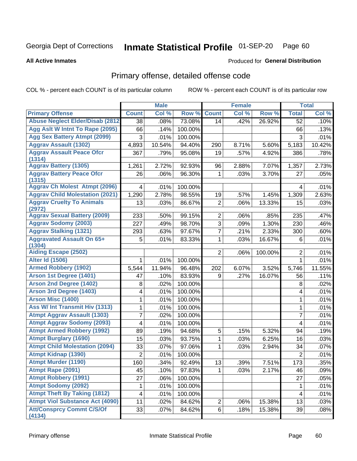#### Inmate Statistical Profile 01-SEP-20 Page 60

**All Active Inmates** 

### Produced for General Distribution

## Primary offense, detailed offense code

COL % - percent each COUNT is of its particular column

| <b>Primary Offense</b><br><b>Count</b><br>Col %<br>Row %<br><b>Count</b><br>Col %<br>Row %<br>Col %<br><b>Total</b><br><b>Abuse Neglect Elder/Disab (2812)</b><br>73.08%<br>26.92%<br>38<br>.08%<br>.42%<br>.10%<br>14<br>52<br>Agg Aslt W Intnt To Rape (2095)<br>66<br>100.00%<br>.14%<br>66<br>.13%<br><b>Agg Sex Battery Atmpt (2099)</b><br>3<br>100.00%<br>3<br>.01%<br>.01%<br><b>Aggrav Assault (1302)</b><br>10.42%<br>4,893<br>10.54%<br>94.40%<br>290<br>8.71%<br>5.60%<br>5,183<br><b>Aggrav Assault Peace Ofcr</b><br>367<br>.79%<br>95.08%<br>19<br>.57%<br>4.92%<br>.78%<br>386<br>(1314)<br><b>Aggrav Battery (1305)</b><br>2.72%<br>92.93%<br>7.07%<br>2.73%<br>1,261<br>96<br>2.88%<br>1,357<br><b>Aggrav Battery Peace Ofcr</b><br>96.30%<br>3.70%<br>.05%<br>26<br>.06%<br>1<br>.03%<br>27<br>(1315)<br><b>Aggrav Ch Molest Atmpt (2096)</b><br>100.00%<br>.01%<br>4<br>.01%<br>4<br><b>Aggrav Child Molestation (2021)</b><br>1,290<br>2.78%<br>98.55%<br>19<br>1.45%<br>1,309<br>2.63%<br>.57%<br><b>Aggrav Cruelty To Animals</b><br>86.67%<br>$\overline{2}$<br>13.33%<br>13<br>.03%<br>.06%<br>15<br>.03%<br>(2972)<br><b>Aggrav Sexual Battery (2009)</b><br>$\overline{2}$<br>233<br>99.15%<br>235<br>.47%<br>.50%<br>.06%<br>.85%<br><b>Aggrav Sodomy (2003)</b><br>3<br>227<br>.49%<br>98.70%<br>1.30%<br>230<br>.46%<br>.09%<br><b>Aggrav Stalking (1321)</b><br>7<br>293<br>97.67%<br>.63%<br>.21%<br>2.33%<br>300<br>.60%<br><b>Aggravated Assault On 65+</b><br>.01%<br>5<br>.01%<br>83.33%<br>1<br>.03%<br>16.67%<br>6<br>(1304)<br><b>Aiding Escape (2502)</b><br>$\overline{2}$<br>$\overline{2}$<br>100.00%<br>.01%<br>.06%<br><b>Alter Id (1506)</b><br>.01%<br>.01%<br>100.00%<br>$\mathbf{1}$<br>1<br><b>Armed Robbery (1902)</b><br>11.94%<br>96.48%<br>3.52%<br>11.55%<br>5,544<br>202<br>6.07%<br>5,746<br>Arson 1st Degree (1401)<br>83.93%<br>.11%<br>47<br>.10%<br>9<br>.27%<br>16.07%<br>56<br><b>Arson 2nd Degree (1402)</b><br>8<br>.02%<br>100.00%<br>8<br>.02%<br><b>Arson 3rd Degree (1403)</b><br>4<br>.01%<br>100.00%<br>.01%<br>4<br><b>Arson Misc (1400)</b><br>1<br>.01%<br>100.00%<br>$\mathbf{1}$<br>.01%<br><b>Ass W/ Int Transmit Hiv (1313)</b><br>.01%<br>100.00%<br>.01%<br>1<br>1<br><b>Atmpt Aggrav Assault (1303)</b><br>7<br>7<br>100.00%<br>.02%<br>.01%<br><b>Atmpt Aggrav Sodomy (2093)</b><br>4<br>.01%<br>100.00%<br>.01%<br>4<br><b>Atmpt Armed Robbery (1992)</b><br>5<br>89<br>94.68%<br>5.32%<br>.19%<br>.15%<br>94<br>.19%<br><b>Atmpt Burglary (1690)</b><br>15<br>93.75%<br>1<br>6.25%<br>.03%<br>.03%<br>.03%<br>16<br><b>Atmpt Child Molestation (2094)</b><br>33<br>.07%<br>97.06%<br>1<br>.03%<br>34<br>.07%<br>2.94%<br><b>Atmpt Kidnap (1390)</b><br>$\overline{2}$<br>.01%<br>.01%<br>100.00%<br>$\overline{2}$<br><b>Atmpt Murder (1190)</b><br>$\overline{173}$<br>160<br>.34%<br>92.49%<br>13<br>.39%<br>7.51%<br>Atmpt Rape (2091)<br>45<br>.10%<br>97.83%<br>2.17%<br>46<br>.09%<br>1<br>.03%<br><b>Atmpt Robbery (1991)</b><br>27<br>.06%<br>100.00%<br>27<br>.05%<br><b>Atmpt Sodomy (2092)</b><br>.01%<br>100.00%<br>.01%<br>1<br>1<br><b>Atmpt Theft By Taking (1812)</b><br>4<br>.01%<br>100.00%<br>.01%<br>4<br><b>Atmpt Viol Substance Act (4090)</b><br>11<br>84.62%<br>$\overline{c}$<br>13<br>.02%<br>.06%<br>15.38%<br>.03%<br><b>Att/Consprcy Commt C/S/Of</b><br>33 <br>6 <sup>1</sup><br>.07%<br>84.62%<br>.18%<br>15.38%<br>39<br>.08% |        | <b>Male</b> |  | <b>Female</b> |  | <b>Total</b> |
|---------------------------------------------------------------------------------------------------------------------------------------------------------------------------------------------------------------------------------------------------------------------------------------------------------------------------------------------------------------------------------------------------------------------------------------------------------------------------------------------------------------------------------------------------------------------------------------------------------------------------------------------------------------------------------------------------------------------------------------------------------------------------------------------------------------------------------------------------------------------------------------------------------------------------------------------------------------------------------------------------------------------------------------------------------------------------------------------------------------------------------------------------------------------------------------------------------------------------------------------------------------------------------------------------------------------------------------------------------------------------------------------------------------------------------------------------------------------------------------------------------------------------------------------------------------------------------------------------------------------------------------------------------------------------------------------------------------------------------------------------------------------------------------------------------------------------------------------------------------------------------------------------------------------------------------------------------------------------------------------------------------------------------------------------------------------------------------------------------------------------------------------------------------------------------------------------------------------------------------------------------------------------------------------------------------------------------------------------------------------------------------------------------------------------------------------------------------------------------------------------------------------------------------------------------------------------------------------------------------------------------------------------------------------------------------------------------------------------------------------------------------------------------------------------------------------------------------------------------------------------------------------------------------------------------------------------------------------------------------------------------------------------------------------------------------------------------------------------------------------------------------------------------------------------------------------------------------------------------------------------------------------------------------------------------------------------------------------------------------------------------------------------------------------------------------------------|--------|-------------|--|---------------|--|--------------|
| .35%                                                                                                                                                                                                                                                                                                                                                                                                                                                                                                                                                                                                                                                                                                                                                                                                                                                                                                                                                                                                                                                                                                                                                                                                                                                                                                                                                                                                                                                                                                                                                                                                                                                                                                                                                                                                                                                                                                                                                                                                                                                                                                                                                                                                                                                                                                                                                                                                                                                                                                                                                                                                                                                                                                                                                                                                                                                                                                                                                                                                                                                                                                                                                                                                                                                                                                                                                                                                                                              |        |             |  |               |  |              |
|                                                                                                                                                                                                                                                                                                                                                                                                                                                                                                                                                                                                                                                                                                                                                                                                                                                                                                                                                                                                                                                                                                                                                                                                                                                                                                                                                                                                                                                                                                                                                                                                                                                                                                                                                                                                                                                                                                                                                                                                                                                                                                                                                                                                                                                                                                                                                                                                                                                                                                                                                                                                                                                                                                                                                                                                                                                                                                                                                                                                                                                                                                                                                                                                                                                                                                                                                                                                                                                   |        |             |  |               |  |              |
|                                                                                                                                                                                                                                                                                                                                                                                                                                                                                                                                                                                                                                                                                                                                                                                                                                                                                                                                                                                                                                                                                                                                                                                                                                                                                                                                                                                                                                                                                                                                                                                                                                                                                                                                                                                                                                                                                                                                                                                                                                                                                                                                                                                                                                                                                                                                                                                                                                                                                                                                                                                                                                                                                                                                                                                                                                                                                                                                                                                                                                                                                                                                                                                                                                                                                                                                                                                                                                                   |        |             |  |               |  |              |
|                                                                                                                                                                                                                                                                                                                                                                                                                                                                                                                                                                                                                                                                                                                                                                                                                                                                                                                                                                                                                                                                                                                                                                                                                                                                                                                                                                                                                                                                                                                                                                                                                                                                                                                                                                                                                                                                                                                                                                                                                                                                                                                                                                                                                                                                                                                                                                                                                                                                                                                                                                                                                                                                                                                                                                                                                                                                                                                                                                                                                                                                                                                                                                                                                                                                                                                                                                                                                                                   |        |             |  |               |  |              |
|                                                                                                                                                                                                                                                                                                                                                                                                                                                                                                                                                                                                                                                                                                                                                                                                                                                                                                                                                                                                                                                                                                                                                                                                                                                                                                                                                                                                                                                                                                                                                                                                                                                                                                                                                                                                                                                                                                                                                                                                                                                                                                                                                                                                                                                                                                                                                                                                                                                                                                                                                                                                                                                                                                                                                                                                                                                                                                                                                                                                                                                                                                                                                                                                                                                                                                                                                                                                                                                   |        |             |  |               |  |              |
|                                                                                                                                                                                                                                                                                                                                                                                                                                                                                                                                                                                                                                                                                                                                                                                                                                                                                                                                                                                                                                                                                                                                                                                                                                                                                                                                                                                                                                                                                                                                                                                                                                                                                                                                                                                                                                                                                                                                                                                                                                                                                                                                                                                                                                                                                                                                                                                                                                                                                                                                                                                                                                                                                                                                                                                                                                                                                                                                                                                                                                                                                                                                                                                                                                                                                                                                                                                                                                                   |        |             |  |               |  |              |
|                                                                                                                                                                                                                                                                                                                                                                                                                                                                                                                                                                                                                                                                                                                                                                                                                                                                                                                                                                                                                                                                                                                                                                                                                                                                                                                                                                                                                                                                                                                                                                                                                                                                                                                                                                                                                                                                                                                                                                                                                                                                                                                                                                                                                                                                                                                                                                                                                                                                                                                                                                                                                                                                                                                                                                                                                                                                                                                                                                                                                                                                                                                                                                                                                                                                                                                                                                                                                                                   |        |             |  |               |  |              |
|                                                                                                                                                                                                                                                                                                                                                                                                                                                                                                                                                                                                                                                                                                                                                                                                                                                                                                                                                                                                                                                                                                                                                                                                                                                                                                                                                                                                                                                                                                                                                                                                                                                                                                                                                                                                                                                                                                                                                                                                                                                                                                                                                                                                                                                                                                                                                                                                                                                                                                                                                                                                                                                                                                                                                                                                                                                                                                                                                                                                                                                                                                                                                                                                                                                                                                                                                                                                                                                   |        |             |  |               |  |              |
|                                                                                                                                                                                                                                                                                                                                                                                                                                                                                                                                                                                                                                                                                                                                                                                                                                                                                                                                                                                                                                                                                                                                                                                                                                                                                                                                                                                                                                                                                                                                                                                                                                                                                                                                                                                                                                                                                                                                                                                                                                                                                                                                                                                                                                                                                                                                                                                                                                                                                                                                                                                                                                                                                                                                                                                                                                                                                                                                                                                                                                                                                                                                                                                                                                                                                                                                                                                                                                                   |        |             |  |               |  |              |
|                                                                                                                                                                                                                                                                                                                                                                                                                                                                                                                                                                                                                                                                                                                                                                                                                                                                                                                                                                                                                                                                                                                                                                                                                                                                                                                                                                                                                                                                                                                                                                                                                                                                                                                                                                                                                                                                                                                                                                                                                                                                                                                                                                                                                                                                                                                                                                                                                                                                                                                                                                                                                                                                                                                                                                                                                                                                                                                                                                                                                                                                                                                                                                                                                                                                                                                                                                                                                                                   |        |             |  |               |  |              |
|                                                                                                                                                                                                                                                                                                                                                                                                                                                                                                                                                                                                                                                                                                                                                                                                                                                                                                                                                                                                                                                                                                                                                                                                                                                                                                                                                                                                                                                                                                                                                                                                                                                                                                                                                                                                                                                                                                                                                                                                                                                                                                                                                                                                                                                                                                                                                                                                                                                                                                                                                                                                                                                                                                                                                                                                                                                                                                                                                                                                                                                                                                                                                                                                                                                                                                                                                                                                                                                   |        |             |  |               |  |              |
|                                                                                                                                                                                                                                                                                                                                                                                                                                                                                                                                                                                                                                                                                                                                                                                                                                                                                                                                                                                                                                                                                                                                                                                                                                                                                                                                                                                                                                                                                                                                                                                                                                                                                                                                                                                                                                                                                                                                                                                                                                                                                                                                                                                                                                                                                                                                                                                                                                                                                                                                                                                                                                                                                                                                                                                                                                                                                                                                                                                                                                                                                                                                                                                                                                                                                                                                                                                                                                                   |        |             |  |               |  |              |
|                                                                                                                                                                                                                                                                                                                                                                                                                                                                                                                                                                                                                                                                                                                                                                                                                                                                                                                                                                                                                                                                                                                                                                                                                                                                                                                                                                                                                                                                                                                                                                                                                                                                                                                                                                                                                                                                                                                                                                                                                                                                                                                                                                                                                                                                                                                                                                                                                                                                                                                                                                                                                                                                                                                                                                                                                                                                                                                                                                                                                                                                                                                                                                                                                                                                                                                                                                                                                                                   |        |             |  |               |  |              |
|                                                                                                                                                                                                                                                                                                                                                                                                                                                                                                                                                                                                                                                                                                                                                                                                                                                                                                                                                                                                                                                                                                                                                                                                                                                                                                                                                                                                                                                                                                                                                                                                                                                                                                                                                                                                                                                                                                                                                                                                                                                                                                                                                                                                                                                                                                                                                                                                                                                                                                                                                                                                                                                                                                                                                                                                                                                                                                                                                                                                                                                                                                                                                                                                                                                                                                                                                                                                                                                   |        |             |  |               |  |              |
|                                                                                                                                                                                                                                                                                                                                                                                                                                                                                                                                                                                                                                                                                                                                                                                                                                                                                                                                                                                                                                                                                                                                                                                                                                                                                                                                                                                                                                                                                                                                                                                                                                                                                                                                                                                                                                                                                                                                                                                                                                                                                                                                                                                                                                                                                                                                                                                                                                                                                                                                                                                                                                                                                                                                                                                                                                                                                                                                                                                                                                                                                                                                                                                                                                                                                                                                                                                                                                                   |        |             |  |               |  |              |
|                                                                                                                                                                                                                                                                                                                                                                                                                                                                                                                                                                                                                                                                                                                                                                                                                                                                                                                                                                                                                                                                                                                                                                                                                                                                                                                                                                                                                                                                                                                                                                                                                                                                                                                                                                                                                                                                                                                                                                                                                                                                                                                                                                                                                                                                                                                                                                                                                                                                                                                                                                                                                                                                                                                                                                                                                                                                                                                                                                                                                                                                                                                                                                                                                                                                                                                                                                                                                                                   |        |             |  |               |  |              |
|                                                                                                                                                                                                                                                                                                                                                                                                                                                                                                                                                                                                                                                                                                                                                                                                                                                                                                                                                                                                                                                                                                                                                                                                                                                                                                                                                                                                                                                                                                                                                                                                                                                                                                                                                                                                                                                                                                                                                                                                                                                                                                                                                                                                                                                                                                                                                                                                                                                                                                                                                                                                                                                                                                                                                                                                                                                                                                                                                                                                                                                                                                                                                                                                                                                                                                                                                                                                                                                   |        |             |  |               |  |              |
|                                                                                                                                                                                                                                                                                                                                                                                                                                                                                                                                                                                                                                                                                                                                                                                                                                                                                                                                                                                                                                                                                                                                                                                                                                                                                                                                                                                                                                                                                                                                                                                                                                                                                                                                                                                                                                                                                                                                                                                                                                                                                                                                                                                                                                                                                                                                                                                                                                                                                                                                                                                                                                                                                                                                                                                                                                                                                                                                                                                                                                                                                                                                                                                                                                                                                                                                                                                                                                                   |        |             |  |               |  |              |
|                                                                                                                                                                                                                                                                                                                                                                                                                                                                                                                                                                                                                                                                                                                                                                                                                                                                                                                                                                                                                                                                                                                                                                                                                                                                                                                                                                                                                                                                                                                                                                                                                                                                                                                                                                                                                                                                                                                                                                                                                                                                                                                                                                                                                                                                                                                                                                                                                                                                                                                                                                                                                                                                                                                                                                                                                                                                                                                                                                                                                                                                                                                                                                                                                                                                                                                                                                                                                                                   |        |             |  |               |  |              |
|                                                                                                                                                                                                                                                                                                                                                                                                                                                                                                                                                                                                                                                                                                                                                                                                                                                                                                                                                                                                                                                                                                                                                                                                                                                                                                                                                                                                                                                                                                                                                                                                                                                                                                                                                                                                                                                                                                                                                                                                                                                                                                                                                                                                                                                                                                                                                                                                                                                                                                                                                                                                                                                                                                                                                                                                                                                                                                                                                                                                                                                                                                                                                                                                                                                                                                                                                                                                                                                   |        |             |  |               |  |              |
|                                                                                                                                                                                                                                                                                                                                                                                                                                                                                                                                                                                                                                                                                                                                                                                                                                                                                                                                                                                                                                                                                                                                                                                                                                                                                                                                                                                                                                                                                                                                                                                                                                                                                                                                                                                                                                                                                                                                                                                                                                                                                                                                                                                                                                                                                                                                                                                                                                                                                                                                                                                                                                                                                                                                                                                                                                                                                                                                                                                                                                                                                                                                                                                                                                                                                                                                                                                                                                                   |        |             |  |               |  |              |
|                                                                                                                                                                                                                                                                                                                                                                                                                                                                                                                                                                                                                                                                                                                                                                                                                                                                                                                                                                                                                                                                                                                                                                                                                                                                                                                                                                                                                                                                                                                                                                                                                                                                                                                                                                                                                                                                                                                                                                                                                                                                                                                                                                                                                                                                                                                                                                                                                                                                                                                                                                                                                                                                                                                                                                                                                                                                                                                                                                                                                                                                                                                                                                                                                                                                                                                                                                                                                                                   |        |             |  |               |  |              |
|                                                                                                                                                                                                                                                                                                                                                                                                                                                                                                                                                                                                                                                                                                                                                                                                                                                                                                                                                                                                                                                                                                                                                                                                                                                                                                                                                                                                                                                                                                                                                                                                                                                                                                                                                                                                                                                                                                                                                                                                                                                                                                                                                                                                                                                                                                                                                                                                                                                                                                                                                                                                                                                                                                                                                                                                                                                                                                                                                                                                                                                                                                                                                                                                                                                                                                                                                                                                                                                   |        |             |  |               |  |              |
|                                                                                                                                                                                                                                                                                                                                                                                                                                                                                                                                                                                                                                                                                                                                                                                                                                                                                                                                                                                                                                                                                                                                                                                                                                                                                                                                                                                                                                                                                                                                                                                                                                                                                                                                                                                                                                                                                                                                                                                                                                                                                                                                                                                                                                                                                                                                                                                                                                                                                                                                                                                                                                                                                                                                                                                                                                                                                                                                                                                                                                                                                                                                                                                                                                                                                                                                                                                                                                                   |        |             |  |               |  |              |
|                                                                                                                                                                                                                                                                                                                                                                                                                                                                                                                                                                                                                                                                                                                                                                                                                                                                                                                                                                                                                                                                                                                                                                                                                                                                                                                                                                                                                                                                                                                                                                                                                                                                                                                                                                                                                                                                                                                                                                                                                                                                                                                                                                                                                                                                                                                                                                                                                                                                                                                                                                                                                                                                                                                                                                                                                                                                                                                                                                                                                                                                                                                                                                                                                                                                                                                                                                                                                                                   |        |             |  |               |  |              |
|                                                                                                                                                                                                                                                                                                                                                                                                                                                                                                                                                                                                                                                                                                                                                                                                                                                                                                                                                                                                                                                                                                                                                                                                                                                                                                                                                                                                                                                                                                                                                                                                                                                                                                                                                                                                                                                                                                                                                                                                                                                                                                                                                                                                                                                                                                                                                                                                                                                                                                                                                                                                                                                                                                                                                                                                                                                                                                                                                                                                                                                                                                                                                                                                                                                                                                                                                                                                                                                   |        |             |  |               |  |              |
|                                                                                                                                                                                                                                                                                                                                                                                                                                                                                                                                                                                                                                                                                                                                                                                                                                                                                                                                                                                                                                                                                                                                                                                                                                                                                                                                                                                                                                                                                                                                                                                                                                                                                                                                                                                                                                                                                                                                                                                                                                                                                                                                                                                                                                                                                                                                                                                                                                                                                                                                                                                                                                                                                                                                                                                                                                                                                                                                                                                                                                                                                                                                                                                                                                                                                                                                                                                                                                                   |        |             |  |               |  |              |
|                                                                                                                                                                                                                                                                                                                                                                                                                                                                                                                                                                                                                                                                                                                                                                                                                                                                                                                                                                                                                                                                                                                                                                                                                                                                                                                                                                                                                                                                                                                                                                                                                                                                                                                                                                                                                                                                                                                                                                                                                                                                                                                                                                                                                                                                                                                                                                                                                                                                                                                                                                                                                                                                                                                                                                                                                                                                                                                                                                                                                                                                                                                                                                                                                                                                                                                                                                                                                                                   |        |             |  |               |  |              |
|                                                                                                                                                                                                                                                                                                                                                                                                                                                                                                                                                                                                                                                                                                                                                                                                                                                                                                                                                                                                                                                                                                                                                                                                                                                                                                                                                                                                                                                                                                                                                                                                                                                                                                                                                                                                                                                                                                                                                                                                                                                                                                                                                                                                                                                                                                                                                                                                                                                                                                                                                                                                                                                                                                                                                                                                                                                                                                                                                                                                                                                                                                                                                                                                                                                                                                                                                                                                                                                   |        |             |  |               |  |              |
|                                                                                                                                                                                                                                                                                                                                                                                                                                                                                                                                                                                                                                                                                                                                                                                                                                                                                                                                                                                                                                                                                                                                                                                                                                                                                                                                                                                                                                                                                                                                                                                                                                                                                                                                                                                                                                                                                                                                                                                                                                                                                                                                                                                                                                                                                                                                                                                                                                                                                                                                                                                                                                                                                                                                                                                                                                                                                                                                                                                                                                                                                                                                                                                                                                                                                                                                                                                                                                                   |        |             |  |               |  |              |
|                                                                                                                                                                                                                                                                                                                                                                                                                                                                                                                                                                                                                                                                                                                                                                                                                                                                                                                                                                                                                                                                                                                                                                                                                                                                                                                                                                                                                                                                                                                                                                                                                                                                                                                                                                                                                                                                                                                                                                                                                                                                                                                                                                                                                                                                                                                                                                                                                                                                                                                                                                                                                                                                                                                                                                                                                                                                                                                                                                                                                                                                                                                                                                                                                                                                                                                                                                                                                                                   |        |             |  |               |  |              |
|                                                                                                                                                                                                                                                                                                                                                                                                                                                                                                                                                                                                                                                                                                                                                                                                                                                                                                                                                                                                                                                                                                                                                                                                                                                                                                                                                                                                                                                                                                                                                                                                                                                                                                                                                                                                                                                                                                                                                                                                                                                                                                                                                                                                                                                                                                                                                                                                                                                                                                                                                                                                                                                                                                                                                                                                                                                                                                                                                                                                                                                                                                                                                                                                                                                                                                                                                                                                                                                   |        |             |  |               |  |              |
|                                                                                                                                                                                                                                                                                                                                                                                                                                                                                                                                                                                                                                                                                                                                                                                                                                                                                                                                                                                                                                                                                                                                                                                                                                                                                                                                                                                                                                                                                                                                                                                                                                                                                                                                                                                                                                                                                                                                                                                                                                                                                                                                                                                                                                                                                                                                                                                                                                                                                                                                                                                                                                                                                                                                                                                                                                                                                                                                                                                                                                                                                                                                                                                                                                                                                                                                                                                                                                                   |        |             |  |               |  |              |
|                                                                                                                                                                                                                                                                                                                                                                                                                                                                                                                                                                                                                                                                                                                                                                                                                                                                                                                                                                                                                                                                                                                                                                                                                                                                                                                                                                                                                                                                                                                                                                                                                                                                                                                                                                                                                                                                                                                                                                                                                                                                                                                                                                                                                                                                                                                                                                                                                                                                                                                                                                                                                                                                                                                                                                                                                                                                                                                                                                                                                                                                                                                                                                                                                                                                                                                                                                                                                                                   |        |             |  |               |  |              |
|                                                                                                                                                                                                                                                                                                                                                                                                                                                                                                                                                                                                                                                                                                                                                                                                                                                                                                                                                                                                                                                                                                                                                                                                                                                                                                                                                                                                                                                                                                                                                                                                                                                                                                                                                                                                                                                                                                                                                                                                                                                                                                                                                                                                                                                                                                                                                                                                                                                                                                                                                                                                                                                                                                                                                                                                                                                                                                                                                                                                                                                                                                                                                                                                                                                                                                                                                                                                                                                   |        |             |  |               |  |              |
|                                                                                                                                                                                                                                                                                                                                                                                                                                                                                                                                                                                                                                                                                                                                                                                                                                                                                                                                                                                                                                                                                                                                                                                                                                                                                                                                                                                                                                                                                                                                                                                                                                                                                                                                                                                                                                                                                                                                                                                                                                                                                                                                                                                                                                                                                                                                                                                                                                                                                                                                                                                                                                                                                                                                                                                                                                                                                                                                                                                                                                                                                                                                                                                                                                                                                                                                                                                                                                                   |        |             |  |               |  |              |
|                                                                                                                                                                                                                                                                                                                                                                                                                                                                                                                                                                                                                                                                                                                                                                                                                                                                                                                                                                                                                                                                                                                                                                                                                                                                                                                                                                                                                                                                                                                                                                                                                                                                                                                                                                                                                                                                                                                                                                                                                                                                                                                                                                                                                                                                                                                                                                                                                                                                                                                                                                                                                                                                                                                                                                                                                                                                                                                                                                                                                                                                                                                                                                                                                                                                                                                                                                                                                                                   |        |             |  |               |  |              |
|                                                                                                                                                                                                                                                                                                                                                                                                                                                                                                                                                                                                                                                                                                                                                                                                                                                                                                                                                                                                                                                                                                                                                                                                                                                                                                                                                                                                                                                                                                                                                                                                                                                                                                                                                                                                                                                                                                                                                                                                                                                                                                                                                                                                                                                                                                                                                                                                                                                                                                                                                                                                                                                                                                                                                                                                                                                                                                                                                                                                                                                                                                                                                                                                                                                                                                                                                                                                                                                   | (4134) |             |  |               |  |              |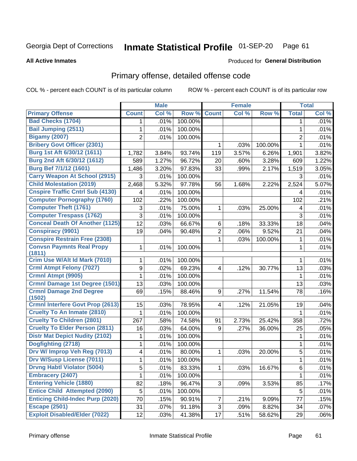#### Inmate Statistical Profile 01-SEP-20 Page 61

**All Active Inmates** 

### Produced for General Distribution

## Primary offense, detailed offense code

COL % - percent each COUNT is of its particular column

|                                          |                         | <b>Male</b> |         |                         | <b>Female</b> |         |                | <b>Total</b> |
|------------------------------------------|-------------------------|-------------|---------|-------------------------|---------------|---------|----------------|--------------|
| <b>Primary Offense</b>                   | <b>Count</b>            | Col %       | Row %   | <b>Count</b>            | Col %         | Row %   | <b>Total</b>   | Col %        |
| <b>Bad Checks (1704)</b>                 | 1                       | .01%        | 100.00% |                         |               |         | 1              | .01%         |
| <b>Bail Jumping (2511)</b>               | 1                       | .01%        | 100.00% |                         |               |         | $\mathbf{1}$   | .01%         |
| <b>Bigamy (2007)</b>                     | $\overline{2}$          | .01%        | 100.00% |                         |               |         | $\overline{2}$ | .01%         |
| <b>Bribery Govt Officer (2301)</b>       |                         |             |         | 1                       | .03%          | 100.00% | 1              | .01%         |
| Burg 1st Aft 6/30/12 (1611)              | 1,782                   | 3.84%       | 93.74%  | 119                     | 3.57%         | 6.26%   | 1,901          | 3.82%        |
| Burg 2nd Aft 6/30/12 (1612)              | 589                     | 1.27%       | 96.72%  | 20                      | .60%          | 3.28%   | 609            | 1.22%        |
| Burg Bef 7/1/12 (1601)                   | 1,486                   | 3.20%       | 97.83%  | 33                      | .99%          | 2.17%   | 1,519          | 3.05%        |
| <b>Carry Weapon At School (2915)</b>     | 3                       | .01%        | 100.00% |                         |               |         | 3              | .01%         |
| <b>Child Molestation (2019)</b>          | 2,468                   | 5.32%       | 97.78%  | 56                      | 1.68%         | 2.22%   | 2,524          | 5.07%        |
| <b>Cnspire Traffic Cntrl Sub (4130)</b>  | 4                       | .01%        | 100.00% |                         |               |         | 4              | .01%         |
| <b>Computer Pornography (1760)</b>       | 102                     | .22%        | 100.00% |                         |               |         | 102            | .21%         |
| <b>Computer Theft (1761)</b>             | 3                       | .01%        | 75.00%  | 1                       | .03%          | 25.00%  | 4              | .01%         |
| <b>Computer Trespass (1762)</b>          | 3                       | .01%        | 100.00% |                         |               |         | 3              | .01%         |
| <b>Conceal Death Of Another (1125)</b>   | 12                      | .03%        | 66.67%  | 6                       | .18%          | 33.33%  | 18             | .04%         |
| <b>Conspiracy (9901)</b>                 | 19                      | .04%        | 90.48%  | $\overline{2}$          | .06%          | 9.52%   | 21             | .04%         |
| <b>Conspire Restrain Free (2308)</b>     |                         |             |         | 1                       | .03%          | 100.00% | 1              | .01%         |
| <b>Convsn Paymnts Real Propy</b>         | 1                       | .01%        | 100.00% |                         |               |         | $\mathbf{1}$   | .01%         |
| (1811)                                   |                         |             |         |                         |               |         |                |              |
| Crim Use W/Alt Id Mark (7010)            | 1                       | .01%        | 100.00% |                         |               |         | 1              | .01%         |
| <b>Crml Atmpt Felony (7027)</b>          | 9                       | .02%        | 69.23%  | 4                       | .12%          | 30.77%  | 13             | .03%         |
| Crmnl Atmpt (9905)                       | 1                       | .01%        | 100.00% |                         |               |         | 1              | .01%         |
| <b>Crmnl Damage 1st Degree (1501)</b>    | 13                      | .03%        | 100.00% |                         |               |         | 13             | .03%         |
| <b>Crmnl Damage 2nd Degree</b><br>(1502) | 69                      | .15%        | 88.46%  | 9                       | .27%          | 11.54%  | 78             | .16%         |
| <b>Crmnl Interfere Govt Prop (2613)</b>  | 15                      | .03%        | 78.95%  | $\overline{\mathbf{4}}$ | .12%          | 21.05%  | 19             | .04%         |
| <b>Cruelty To An Inmate (2810)</b>       | 1                       | .01%        | 100.00% |                         |               |         | 1              | .01%         |
| <b>Cruelty To Children (2801)</b>        | 267                     | .58%        | 74.58%  | 91                      | 2.73%         | 25.42%  | 358            | .72%         |
| <b>Cruelty To Elder Person (2811)</b>    | 16                      | .03%        | 64.00%  | 9                       | .27%          | 36.00%  | 25             | .05%         |
| <b>Distr Mat Depict Nudity (2102)</b>    | 1                       | .01%        | 100.00% |                         |               |         | 1              | .01%         |
| Dogfighting (2718)                       | 1                       | .01%        | 100.00% |                         |               |         | 1              | .01%         |
| Drv W/ Improp Veh Reg (7013)             | $\overline{\mathbf{4}}$ | .01%        | 80.00%  | 1                       | .03%          | 20.00%  | 5              | .01%         |
| <b>Drv W/Susp License (7011)</b>         | 1                       | .01%        | 100.00% |                         |               |         | $\mathbf{1}$   | .01%         |
| <b>Drvng Habtl Violator (5004)</b>       | 5                       | .01%        | 83.33%  | 1                       | .03%          | 16.67%  | 6              | .01%         |
| <b>Embracery (2407)</b>                  | 1                       | .01%        | 100.00% |                         |               |         | 1              | .01%         |
| <b>Entering Vehicle (1880)</b>           | 82                      | .18%        | 96.47%  | 3                       | .09%          | 3.53%   | 85             | .17%         |
| <b>Entice Child Attempted (2090)</b>     | 5                       | .01%        | 100.00% |                         |               |         | $\sqrt{5}$     | .01%         |
| <b>Enticing Child-Indec Purp (2020)</b>  | 70                      | .15%        | 90.91%  | $\overline{7}$          | .21%          | 9.09%   | 77             | .15%         |
| <b>Escape (2501)</b>                     | 31                      | .07%        | 91.18%  | 3                       | .09%          | 8.82%   | 34             | .07%         |
| <b>Exploit Disabled/Elder (7022)</b>     | 12                      | .03%        | 41.38%  | 17                      | .51%          | 58.62%  | 29             | .06%         |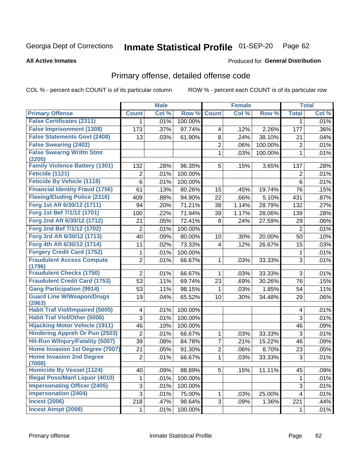#### Inmate Statistical Profile 01-SEP-20 Page 62

#### **All Active Inmates**

## Produced for General Distribution

## Primary offense, detailed offense code

COL % - percent each COUNT is of its particular column

|                                            |                | <b>Male</b> |         |                | <b>Female</b> |         |                         | <b>Total</b> |
|--------------------------------------------|----------------|-------------|---------|----------------|---------------|---------|-------------------------|--------------|
| <b>Primary Offense</b>                     | <b>Count</b>   | Col %       | Row %   | <b>Count</b>   | Col %         | Row %   | <b>Total</b>            | Col %        |
| <b>False Certificates (2311)</b>           | 1.             | .01%        | 100.00% |                |               |         | 1                       | $.01\%$      |
| <b>False Imprisonment (1308)</b>           | 173            | .37%        | 97.74%  | 4              | .12%          | 2.26%   | 177                     | .36%         |
| <b>False Statements Govt (2408)</b>        | 13             | .03%        | 61.90%  | 8              | .24%          | 38.10%  | 21                      | .04%         |
| <b>False Swearing (2402)</b>               |                |             |         | 2              | .06%          | 100.00% | $\overline{2}$          | .01%         |
| <b>False Swearng Writtn Stmt</b>           |                |             |         | $\mathbf{1}$   | .03%          | 100.00% | 1                       | .01%         |
| (2205)                                     |                |             |         |                |               |         |                         |              |
| <b>Family Violence Battery (1301)</b>      | 132            | .28%        | 96.35%  | 5              | .15%          | 3.65%   | 137                     | .28%         |
| Feticide (1121)                            | $\overline{2}$ | .01%        | 100.00% |                |               |         | 2                       | .01%         |
| <b>Feticide By Vehicle (1118)</b>          | 6              | .01%        | 100.00% |                |               |         | 6                       | .01%         |
| <b>Financial Identity Fraud (1756)</b>     | 61             | .13%        | 80.26%  | 15             | .45%          | 19.74%  | 76                      | .15%         |
| <b>Fleeing/Eluding Police (2316)</b>       | 409            | .88%        | 94.90%  | 22             | .66%          | 5.10%   | 431                     | .87%         |
| Forg 1st Aft 6/30/12 (1711)                | 94             | .20%        | 71.21%  | 38             | 1.14%         | 28.79%  | 132                     | .27%         |
| Forg 1st Bef 7/1/12 (1701)                 | 100            | .22%        | 71.94%  | 39             | 1.17%         | 28.06%  | 139                     | .28%         |
| Forg 2nd Aft 6/30/12 (1712)                | 21             | .05%        | 72.41%  | 8              | .24%          | 27.59%  | 29                      | .06%         |
| Forg 2nd Bef 7/1/12 (1702)                 | $\overline{2}$ | .01%        | 100.00% |                |               |         | $\overline{2}$          | .01%         |
| Forg 3rd Aft 6/30/12 (1713)                | 40             | .09%        | 80.00%  | 10             | .30%          | 20.00%  | 50                      | .10%         |
| Forg 4th Aft 6/30/12 (1714)                | 11             | .02%        | 73.33%  | 4              | .12%          | 26.67%  | 15                      | .03%         |
| <b>Forgery Credit Card (1752)</b>          | 1              | .01%        | 100.00% |                |               |         | 1                       | .01%         |
| <b>Fraudulent Access Compute</b><br>(1796) | $\overline{2}$ | .01%        | 66.67%  | 1              | .03%          | 33.33%  | 3                       | .01%         |
| <b>Fraudulent Checks (1750)</b>            | $\overline{2}$ | .01%        | 66.67%  | 1              | .03%          | 33.33%  | 3                       | .01%         |
| <b>Fraudulent Credit Card (1753)</b>       | 53             | .11%        | 69.74%  | 23             | .69%          | 30.26%  | 76                      | .15%         |
| <b>Gang Participation (9914)</b>           | 53             | .11%        | 98.15%  | 1              | .03%          | 1.85%   | 54                      | .11%         |
| <b>Guard Line W/Weapon/Drugs</b>           | 19             | .04%        | 65.52%  | 10             | .30%          | 34.48%  | 29                      | .06%         |
| (2963)                                     |                |             |         |                |               |         |                         |              |
| <b>Habit Traf Viol/Impaired (5005)</b>     | 4              | .01%        | 100.00% |                |               |         | 4                       | .01%         |
| <b>Habit Traf Viol/Other (5006)</b>        | 3              | .01%        | 100.00% |                |               |         | 3                       | .01%         |
| <b>Hijacking Motor Vehicle (1911)</b>      | 46             | .10%        | 100.00% |                |               |         | 46                      | .09%         |
| <b>Hindering Appreh Or Pun (2503)</b>      | $\overline{2}$ | .01%        | 66.67%  | 1              | .03%          | 33.33%  | 3                       | .01%         |
| Hit-Run W/Injury/Fatality (5007)           | 39             | .08%        | 84.78%  | $\overline{7}$ | .21%          | 15.22%  | 46                      | .09%         |
| Home Invasion 1st Degree (7007)            | 21             | .05%        | 91.30%  | 2              | .06%          | 8.70%   | 23                      | .05%         |
| <b>Home Invasion 2nd Degree</b><br>(7008)  | $\overline{2}$ | .01%        | 66.67%  | 1              | .03%          | 33.33%  | 3                       | .01%         |
| <b>Homicide By Vessel (1124)</b>           | 40             | .09%        | 88.89%  | 5 <sup>1</sup> | .15%          | 11.11%  | 45                      | .09%         |
| <b>Illegal Poss/Manf Liquor (4010)</b>     | 1              | .01%        | 100.00% |                |               |         | $\mathbf 1$             | .01%         |
| <b>Impersonating Officer (2405)</b>        | 3              | .01%        | 100.00% |                |               |         | $\overline{3}$          | .01%         |
| <b>Impersonation (2404)</b>                | 3              | .01%        | 75.00%  | $\mathbf 1$    | .03%          | 25.00%  | $\overline{\mathbf{4}}$ | .01%         |
| <b>Incest (2006)</b>                       | 218            | .47%        | 98.64%  | 3 <sup>1</sup> | .09%          | 1.36%   | 221                     | .44%         |
| <b>Incest Atmpt (2098)</b>                 | 1.             | .01%        | 100.00% |                |               |         | 1                       | .01%         |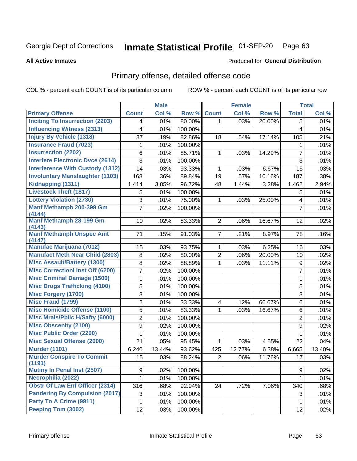#### Inmate Statistical Profile 01-SEP-20 Page 63

#### **All Active Inmates**

## Produced for General Distribution

## Primary offense, detailed offense code

COL % - percent each COUNT is of its particular column

|                                            |                 | <b>Male</b> |         |                | <b>Female</b> |        |                | <b>Total</b> |
|--------------------------------------------|-----------------|-------------|---------|----------------|---------------|--------|----------------|--------------|
| <b>Primary Offense</b>                     | <b>Count</b>    | Col %       | Row %   | <b>Count</b>   | Col %         | Row %  | <b>Total</b>   | Col %        |
| <b>Inciting To Insurrection (2203)</b>     | 4               | .01%        | 80.00%  | 1 <sup>1</sup> | .03%          | 20.00% | 5              | .01%         |
| <b>Influencing Witness (2313)</b>          | 4               | .01%        | 100.00% |                |               |        | 4              | .01%         |
| <b>Injury By Vehicle (1318)</b>            | 87              | .19%        | 82.86%  | 18             | .54%          | 17.14% | 105            | .21%         |
| <b>Insurance Fraud (7023)</b>              | 1               | .01%        | 100.00% |                |               |        | 1              | .01%         |
| <b>Insurrection (2202)</b>                 | 6               | .01%        | 85.71%  | 1              | .03%          | 14.29% | $\overline{7}$ | .01%         |
| <b>Interfere Electronic Dvce (2614)</b>    | 3               | .01%        | 100.00% |                |               |        | 3              | .01%         |
| <b>Interference With Custody (1312)</b>    | 14              | .03%        | 93.33%  | 1              | .03%          | 6.67%  | 15             | .03%         |
| <b>Involuntary Manslaughter (1103)</b>     | 168             | .36%        | 89.84%  | 19             | .57%          | 10.16% | 187            | .38%         |
| Kidnapping (1311)                          | 1,414           | 3.05%       | 96.72%  | 48             | 1.44%         | 3.28%  | 1,462          | 2.94%        |
| <b>Livestock Theft (1817)</b>              | 5               | .01%        | 100.00% |                |               |        | 5              | .01%         |
| <b>Lottery Violation (2730)</b>            | 3               | .01%        | 75.00%  | 1              | .03%          | 25.00% | 4              | .01%         |
| Manf Methamph 200-399 Gm<br>(4144)         | $\overline{7}$  | .02%        | 100.00% |                |               |        | $\overline{7}$ | .01%         |
| Manf Methamph 28-199 Gm<br>(4143)          | 10 <sup>1</sup> | .02%        | 83.33%  | 2              | .06%          | 16.67% | 12             | .02%         |
| <b>Manf Methamph Unspec Amt</b><br>(4147)  | 71              | .15%        | 91.03%  | $\overline{7}$ | .21%          | 8.97%  | 78             | .16%         |
| <b>Manufac Marijuana (7012)</b>            | 15              | .03%        | 93.75%  | $\mathbf{1}$   | .03%          | 6.25%  | 16             | .03%         |
| <b>Manufact Meth Near Child (2803)</b>     | 8               | .02%        | 80.00%  | $\overline{2}$ | .06%          | 20.00% | 10             | .02%         |
| <b>Misc Assault/Battery (1300)</b>         | 8               | .02%        | 88.89%  | 1              | .03%          | 11.11% | 9              | .02%         |
| <b>Misc Correctionl Inst Off (6200)</b>    | 7               | .02%        | 100.00% |                |               |        | 7              | .01%         |
| <b>Misc Criminal Damage (1500)</b>         | 1               | .01%        | 100.00% |                |               |        | $\mathbf{1}$   | .01%         |
| <b>Misc Drugs Trafficking (4100)</b>       | 5               | .01%        | 100.00% |                |               |        | 5              | .01%         |
| <b>Misc Forgery (1700)</b>                 | 3               | .01%        | 100.00% |                |               |        | $\overline{3}$ | .01%         |
| <b>Misc Fraud (1799)</b>                   | $\overline{2}$  | .01%        | 33.33%  | 4              | .12%          | 66.67% | 6              | .01%         |
| <b>Misc Homicide Offense (1100)</b>        | 5               | .01%        | 83.33%  | $\mathbf 1$    | .03%          | 16.67% | 6              | .01%         |
| <b>Misc Mrals/Pblic H/Safty (6000)</b>     | $\overline{2}$  | .01%        | 100.00% |                |               |        | $\overline{2}$ | .01%         |
| <b>Misc Obscenity (2100)</b>               | 9               | .02%        | 100.00% |                |               |        | $\mathsf g$    | .02%         |
| <b>Misc Public Order (2200)</b>            | 1               | .01%        | 100.00% |                |               |        | 1              | .01%         |
| <b>Misc Sexual Offense (2000)</b>          | 21              | .05%        | 95.45%  | $\mathbf 1$    | .03%          | 4.55%  | 22             | .04%         |
| <b>Murder (1101)</b>                       | 6,240           | 13.44%      | 93.62%  | 425            | 12.77%        | 6.38%  | 6,665          | 13.40%       |
| <b>Murder Conspire To Commit</b><br>(1191) | 15              | .03%        | 88.24%  | $\overline{2}$ | .06%          | 11.76% | 17             | .03%         |
| <b>Mutiny In Penal Inst (2507)</b>         | 9               | .02%        | 100.00% |                |               |        | 9              | .02%         |
| Necrophilia (2022)                         | 1               | .01%        | 100.00% |                |               |        | 1              | .01%         |
| <b>Obstr Of Law Enf Officer (2314)</b>     | 316             | .68%        | 92.94%  | 24             | .72%          | 7.06%  | 340            | .68%         |
| <b>Pandering By Compulsion (2017)</b>      | 3               | .01%        | 100.00% |                |               |        | 3              | .01%         |
| Party To A Crime (9911)                    | 1               | .01%        | 100.00% |                |               |        | 1              | .01%         |
| Peeping Tom (3002)                         | 12              | .03%        | 100.00% |                |               |        | 12             | .02%         |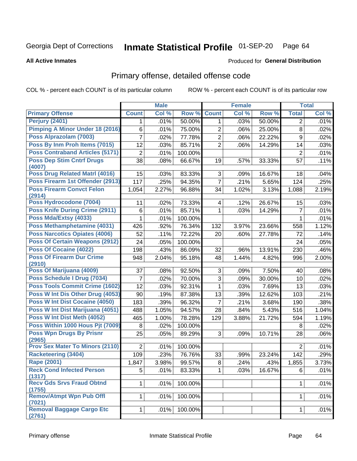#### Inmate Statistical Profile 01-SEP-20 Page 64

Produced for General Distribution

### **All Active Inmates**

## Primary offense, detailed offense code

COL % - percent each COUNT is of its particular column

|                                            |                | <b>Male</b> |         |                | <b>Female</b> |        |                | <b>Total</b> |
|--------------------------------------------|----------------|-------------|---------|----------------|---------------|--------|----------------|--------------|
| <b>Primary Offense</b>                     | <b>Count</b>   | Col %       | Row %   | <b>Count</b>   | Col %         | Row %  | <b>Total</b>   | Col %        |
| <b>Perjury (2401)</b>                      | $\mathbf 1$    | .01%        | 50.00%  | 1              | .03%          | 50.00% | $\overline{2}$ | .01%         |
| <b>Pimping A Minor Under 18 (2016)</b>     | 6              | .01%        | 75.00%  | $\overline{c}$ | .06%          | 25.00% | 8              | .02%         |
| Poss Alprazolam (7003)                     | 7              | .02%        | 77.78%  | $\overline{2}$ | .06%          | 22.22% | 9              | .02%         |
| Poss By Inm Proh Items (7015)              | 12             | .03%        | 85.71%  | $\overline{2}$ | .06%          | 14.29% | 14             | .03%         |
| <b>Poss Contraband Articles (5171)</b>     | $\overline{2}$ | .01%        | 100.00% |                |               |        | $\overline{2}$ | .01%         |
| <b>Poss Dep Stim Cntrf Drugs</b><br>(4007) | 38             | .08%        | 66.67%  | 19             | .57%          | 33.33% | 57             | .11%         |
| <b>Poss Drug Related Matri (4016)</b>      | 15             | .03%        | 83.33%  | 3              | .09%          | 16.67% | 18             | .04%         |
| Poss Firearm 1st Offender (2913)           | 117            | .25%        | 94.35%  | $\overline{7}$ | .21%          | 5.65%  | 124            | .25%         |
| <b>Poss Firearm Convct Felon</b><br>(2914) | 1,054          | 2.27%       | 96.88%  | 34             | 1.02%         | 3.13%  | 1,088          | 2.19%        |
| Poss Hydrocodone (7004)                    | 11             | .02%        | 73.33%  | 4              | .12%          | 26.67% | 15             | .03%         |
| <b>Poss Knife During Crime (2911)</b>      | $\,6$          | .01%        | 85.71%  | 1              | .03%          | 14.29% | $\overline{7}$ | .01%         |
| Poss Mda/Extsy (4033)                      | 1              | .01%        | 100.00% |                |               |        | 1              | .01%         |
| Poss Methamphetamine (4031)                | 426            | .92%        | 76.34%  | 132            | 3.97%         | 23.66% | 558            | 1.12%        |
| <b>Poss Narcotics Opiates (4006)</b>       | 52             | .11%        | 72.22%  | 20             | .60%          | 27.78% | 72             | .14%         |
| <b>Poss Of Certain Weapons (2912)</b>      | 24             | .05%        | 100.00% |                |               |        | 24             | .05%         |
| <b>Poss Of Cocaine (4022)</b>              | 198            | .43%        | 86.09%  | 32             | .96%          | 13.91% | 230            | .46%         |
| <b>Poss Of Firearm Dur Crime</b>           | 948            | 2.04%       | 95.18%  | 48             | 1.44%         | 4.82%  | 996            | 2.00%        |
| (2910)                                     |                |             |         |                |               |        |                |              |
| Poss Of Marijuana (4009)                   | 37             | .08%        | 92.50%  | 3              | .09%          | 7.50%  | 40             | .08%         |
| Poss Schedule I Drug (7034)                | 7              | .02%        | 70.00%  | 3              | .09%          | 30.00% | 10             | .02%         |
| <b>Poss Tools Commit Crime (1602)</b>      | 12             | .03%        | 92.31%  | 1              | .03%          | 7.69%  | 13             | .03%         |
| Poss W Int Dis Other Drug (4053)           | 90             | .19%        | 87.38%  | 13             | .39%          | 12.62% | 103            | .21%         |
| Poss W Int Dist Cocaine (4050)             | 183            | .39%        | 96.32%  | 7              | .21%          | 3.68%  | 190            | .38%         |
| Poss W Int Dist Marijuana (4051)           | 488            | 1.05%       | 94.57%  | 28             | .84%          | 5.43%  | 516            | 1.04%        |
| Poss W Int Dist Meth (4052)                | 465            | 1.00%       | 78.28%  | 129            | 3.88%         | 21.72% | 594            | 1.19%        |
| Poss Within 1000 Hous Pjt (7009)           | 8              | .02%        | 100.00% |                |               |        | 8              | .02%         |
| <b>Poss Wpn Drugs By Prisnr</b><br>(2965)  | 25             | .05%        | 89.29%  | 3              | .09%          | 10.71% | 28             | .06%         |
| <b>Prov Sex Mater To Minors (2110)</b>     | $\overline{2}$ | .01%        | 100.00% |                |               |        | $\overline{2}$ | .01%         |
| <b>Racketeering (3404)</b>                 | 109            | .23%        | 76.76%  | 33             | .99%          | 23.24% | 142            | .29%         |
| <b>Rape (2001)</b>                         | 1,847          | 3.98%       | 99.57%  | 8              | .24%          | .43%   | 1,855          | 3.73%        |
| <b>Reck Cond Infected Person</b><br>(1317) | 5              | .01%        | 83.33%  | 1              | .03%          | 16.67% | 6              | .01%         |
| <b>Recv Gds Srvs Fraud Obtnd</b><br>(1755) | $\mathbf{1}$   | .01%        | 100.00% |                |               |        | $\mathbf{1}$   | .01%         |
| <b>Remov/Atmpt Wpn Pub Offl</b><br>(7021)  | 1.             | .01%        | 100.00% |                |               |        | 1              | .01%         |
| <b>Removal Baggage Cargo Etc</b><br>(2761) | 1              | .01%        | 100.00% |                |               |        | 1              | .01%         |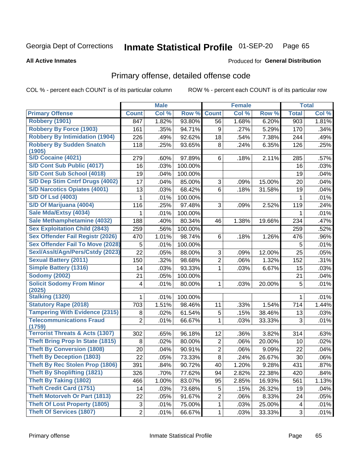#### Inmate Statistical Profile 01-SEP-20 Page 65

**All Active Inmates** 

### **Produced for General Distribution**

## Primary offense, detailed offense code

COL % - percent each COUNT is of its particular column

|                                            |                           | <b>Male</b> |         |                | <b>Female</b> |        |              | <b>Total</b> |
|--------------------------------------------|---------------------------|-------------|---------|----------------|---------------|--------|--------------|--------------|
| <b>Primary Offense</b>                     | <b>Count</b>              | Col %       | Row %   | <b>Count</b>   | Col %         | Row %  | <b>Total</b> | Col %        |
| <b>Robbery (1901)</b>                      | 847                       | 1.82%       | 93.80%  | 56             | 1.68%         | 6.20%  | 903          | 1.81%        |
| <b>Robbery By Force (1903)</b>             | 161                       | .35%        | 94.71%  | 9              | .27%          | 5.29%  | 170          | .34%         |
| <b>Robbery By Intimidation (1904)</b>      | 226                       | .49%        | 92.62%  | 18             | .54%          | 7.38%  | 244          | .49%         |
| <b>Robbery By Sudden Snatch</b>            | 118                       | .25%        | 93.65%  | 8              | .24%          | 6.35%  | 126          | .25%         |
| (1905)                                     |                           |             |         |                |               |        |              |              |
| <b>S/D Cocaine (4021)</b>                  | 279                       | .60%        | 97.89%  | 6              | .18%          | 2.11%  | 285          | .57%         |
| S/D Cont Sub Public (4017)                 | 16                        | .03%        | 100.00% |                |               |        | 16           | .03%         |
| S/D Cont Sub School (4018)                 | 19                        | .04%        | 100.00% |                |               |        | 19           | .04%         |
| S/D Dep Stim Cntrf Drugs (4002)            | 17                        | .04%        | 85.00%  | 3              | .09%          | 15.00% | 20           | .04%         |
| <b>S/D Narcotics Opiates (4001)</b>        | 13                        | .03%        | 68.42%  | 6              | .18%          | 31.58% | 19           | .04%         |
| <b>S/D Of Lsd (4003)</b>                   | 1                         | .01%        | 100.00% |                |               |        | 1            | .01%         |
| S/D Of Marijuana (4004)                    | 116                       | .25%        | 97.48%  | 3              | .09%          | 2.52%  | 119          | .24%         |
| Sale Mda/Extsy (4034)                      | 1                         | .01%        | 100.00% |                |               |        | 1            | .01%         |
| Sale Methamphetamine (4032)                | 188                       | .40%        | 80.34%  | 46             | 1.38%         | 19.66% | 234          | .47%         |
| <b>Sex Exploitation Child (2843)</b>       | 259                       | .56%        | 100.00% |                |               |        | 259          | .52%         |
| <b>Sex Offender Fail Registr (2026)</b>    | 470                       | 1.01%       | 98.74%  | 6              | .18%          | 1.26%  | 476          | .96%         |
| <b>Sex Offender Fail To Move (2028)</b>    | 5                         | .01%        | 100.00% |                |               |        | 5            | .01%         |
| Sexl/Asslt/Agn/Pers/Cstdy (2023)           | 22                        | .05%        | 88.00%  | 3              | .09%          | 12.00% | 25           | .05%         |
| <b>Sexual Battery (2011)</b>               | 150                       | .32%        | 98.68%  | $\overline{2}$ | .06%          | 1.32%  | 152          | .31%         |
| <b>Simple Battery (1316)</b>               | 14                        | .03%        | 93.33%  | 1              | .03%          | 6.67%  | 15           | .03%         |
| <b>Sodomy (2002)</b>                       | 21                        | .05%        | 100.00% |                |               |        | 21           | .04%         |
| <b>Solicit Sodomy From Minor</b>           | 4                         | .01%        | 80.00%  | 1              | .03%          | 20.00% | 5            | .01%         |
| (2025)                                     |                           |             |         |                |               |        |              |              |
| <b>Stalking (1320)</b>                     |                           | .01%        | 100.00% |                |               |        | 1            | .01%         |
| <b>Statutory Rape (2018)</b>               | 703                       | 1.51%       | 98.46%  | 11             | .33%          | 1.54%  | 714          | 1.44%        |
| <b>Tampering With Evidence (2315)</b>      | 8                         | .02%        | 61.54%  | 5              | .15%          | 38.46% | 13           | .03%         |
| <b>Telecommunications Fraud</b><br>(1759)  | 2                         | .01%        | 66.67%  | 1              | .03%          | 33.33% | 3            | .01%         |
| <b>Terrorist Threats &amp; Acts (1307)</b> | 302                       | .65%        | 96.18%  | 12             | .36%          | 3.82%  | 314          | .63%         |
| <b>Theft Bring Prop In State (1815)</b>    | 8                         | .02%        | 80.00%  | $\overline{2}$ | .06%          | 20.00% | 10           | .02%         |
| <b>Theft By Conversion (1808)</b>          | 20                        | .04%        | 90.91%  | $\overline{2}$ | .06%          | 9.09%  | 22           | .04%         |
| <b>Theft By Deception (1803)</b>           | 22                        | .05%        | 73.33%  | 8              | .24%          | 26.67% | 30           | .06%         |
| Theft By Rec Stolen Prop (1806)            | 391                       | .84%        | 90.72%  | 40             | 1.20%         | 9.28%  | 431          | $.87\%$      |
| <b>Theft By Shoplifting (1821)</b>         | 326                       | .70%        | 77.62%  | 94             | 2.82%         | 22.38% | 420          | .84%         |
| <b>Theft By Taking (1802)</b>              | 466                       | 1.00%       | 83.07%  | 95             | 2.85%         | 16.93% | 561          | 1.13%        |
| <b>Theft Credit Card (1751)</b>            | 14                        | .03%        | 73.68%  | 5              | .15%          | 26.32% | 19           | .04%         |
| <b>Theft Motorveh Or Part (1813)</b>       | 22                        | .05%        | 91.67%  | $\overline{2}$ | .06%          | 8.33%  | 24           | .05%         |
| <b>Theft Of Lost Property (1805)</b>       | $\ensuremath{\mathsf{3}}$ | .01%        | 75.00%  | 1              | .03%          | 25.00% | 4            | .01%         |
| <b>Theft Of Services (1807)</b>            | $\overline{2}$            | .01%        | 66.67%  | 1              | .03%          | 33.33% | 3            | .01%         |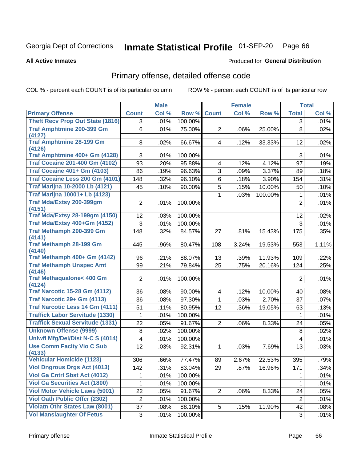#### Inmate Statistical Profile 01-SEP-20 Page 66

**All Active Inmates** 

### Produced for General Distribution

## Primary offense, detailed offense code

COL % - percent each COUNT is of its particular column

|                                           |                         | <b>Male</b> |         |                         | <b>Female</b> |         |                | <b>Total</b> |
|-------------------------------------------|-------------------------|-------------|---------|-------------------------|---------------|---------|----------------|--------------|
| <b>Primary Offense</b>                    | <b>Count</b>            | Col %       | Row %   | <b>Count</b>            | Col %         | Row %   | <b>Total</b>   | Col %        |
| <b>Theft Recv Prop Out State (1816)</b>   | $\overline{3}$          | .01%        | 100.00% |                         |               |         | $\overline{3}$ | .01%         |
| <b>Traf Amphtmine 200-399 Gm</b>          | 6                       | .01%        | 75.00%  | $\overline{2}$          | .06%          | 25.00%  | 8              | .02%         |
| (4127)                                    |                         |             |         |                         |               |         |                |              |
| <b>Traf Amphtmine 28-199 Gm</b>           | 8                       | .02%        | 66.67%  | 4                       | .12%          | 33.33%  | 12             | .02%         |
| (4126)<br>Traf Amphtmine 400+ Gm (4128)   | 3                       | .01%        | 100.00% |                         |               |         | 3              | .01%         |
| <b>Traf Cocaine 201-400 Gm (4102)</b>     | 93                      | .20%        | 95.88%  | 4                       | .12%          | 4.12%   | 97             | .19%         |
| <b>Traf Cocaine 401+ Gm (4103)</b>        | 86                      | .19%        | 96.63%  | 3                       | .09%          | 3.37%   | 89             | .18%         |
| Traf Cocaine Less 200 Gm (4101)           | 148                     | .32%        | 96.10%  | $\,6$                   | .18%          | 3.90%   | 154            | .31%         |
| <b>Traf Marijna 10-2000 Lb (4121)</b>     | 45                      | .10%        | 90.00%  | 5                       | .15%          | 10.00%  | 50             | .10%         |
| <b>Traf Marijna 10001+ Lb (4123)</b>      |                         |             |         | 1                       | .03%          | 100.00% | 1              | .01%         |
| Traf Mda/Extsy 200-399gm                  | $\overline{2}$          |             |         |                         |               |         | $\overline{2}$ |              |
| (4151)                                    |                         | .01%        | 100.00% |                         |               |         |                | .01%         |
| <b>Traf Mda/Extsy 28-199gm (4150)</b>     | 12                      | .03%        | 100.00% |                         |               |         | 12             | .02%         |
| Traf Mda/Extsy 400+Gm (4152)              | 3                       | .01%        | 100.00% |                         |               |         | 3              | .01%         |
| <b>Traf Methamph 200-399 Gm</b>           | 148                     | .32%        | 84.57%  | 27                      | .81%          | 15.43%  | 175            | .35%         |
| (4141)                                    |                         |             |         |                         |               |         |                |              |
| <b>Traf Methamph 28-199 Gm</b>            | 445                     | .96%        | 80.47%  | 108                     | 3.24%         | 19.53%  | 553            | 1.11%        |
| (4140)<br>Traf Methamph 400+ Gm (4142)    |                         |             |         |                         |               |         |                |              |
|                                           | 96                      | .21%        | 88.07%  | 13                      | .39%          | 11.93%  | 109            | .22%         |
| <b>Traf Methamph Unspec Amt</b><br>(4146) | 99                      | .21%        | 79.84%  | 25                      | .75%          | 20.16%  | 124            | .25%         |
| <b>Traf Methaqualone&lt; 400 Gm</b>       | $\overline{2}$          | .01%        | 100.00% |                         |               |         | $\overline{2}$ | .01%         |
| (4124)                                    |                         |             |         |                         |               |         |                |              |
| <b>Traf Narcotic 15-28 Gm (4112)</b>      | 36                      | .08%        | 90.00%  | $\overline{\mathbf{4}}$ | .12%          | 10.00%  | 40             | .08%         |
| Traf Narcotic 29+ Gm (4113)               | 36                      | .08%        | 97.30%  | $\mathbf{1}$            | .03%          | 2.70%   | 37             | .07%         |
| <b>Traf Narcotic Less 14 Gm (4111)</b>    | 51                      | .11%        | 80.95%  | 12                      | .36%          | 19.05%  | 63             | .13%         |
| <b>Traffick Labor Servitude (1330)</b>    | 1                       | .01%        | 100.00% |                         |               |         | 1              | .01%         |
| <b>Traffick Sexual Servitude (1331)</b>   | 22                      | .05%        | 91.67%  | $\overline{2}$          | .06%          | 8.33%   | 24             | .05%         |
| <b>Unknown Offense (9999)</b>             | 8                       | .02%        | 100.00% |                         |               |         | 8              | .02%         |
| Uniwfl Mfg/Del/Dist N-C S (4014)          | $\overline{\mathbf{4}}$ | .01%        | 100.00% |                         |               |         | 4              | .01%         |
| <b>Use Comm Facity Vio C Sub</b>          | 12                      | .03%        | 92.31%  | 1                       | .03%          | 7.69%   | 13             | .03%         |
| (4133)                                    |                         |             |         |                         |               |         |                |              |
| <b>Vehicular Homicide (1123)</b>          | 306                     | .66%        | 77.47%  | 89                      | 2.67%         | 22.53%  | 395            | .79%         |
| <b>Viol Dngrous Drgs Act (4013)</b>       | 142                     | .31%        | 83.04%  | 29                      | .87%          | 16.96%  | 171            | .34%         |
| <b>Viol Ga Cntrl Sbst Act (4012)</b>      | 1.                      | .01%        | 100.00% |                         |               |         | 1              | .01%         |
| <b>Viol Ga Securities Act (1800)</b>      | $\mathbf{1}$            | .01%        | 100.00% |                         |               |         | $\mathbf{1}$   | .01%         |
| <b>Viol Motor Vehicle Laws (5001)</b>     | 22                      | .05%        | 91.67%  | $\overline{2}$          | .06%          | 8.33%   | 24             | .05%         |
| <b>Viol Oath Public Offer (2302)</b>      | $\overline{c}$          | .01%        | 100.00% |                         |               |         | $\mathbf 2$    | .01%         |
| <b>Violatn Othr States Law (8001)</b>     | 37                      | .08%        | 88.10%  | 5                       | .15%          | 11.90%  | 42             | .08%         |
| <b>Vol Manslaughter Of Fetus</b>          | 3 <sup>1</sup>          | .01%        | 100.00% |                         |               |         | 3 <sup>1</sup> | $.01\%$      |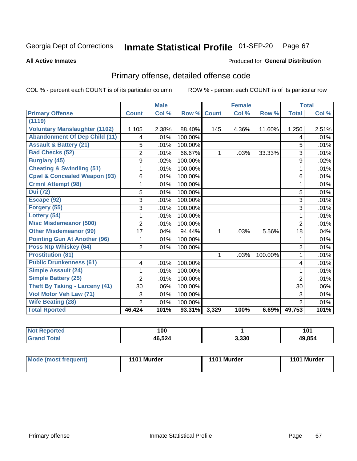#### Inmate Statistical Profile 01-SEP-20 Page 67

Produced for General Distribution

#### **All Active Inmates**

# Primary offense, detailed offense code

COL % - percent each COUNT is of its particular column

|                                         |                | <b>Male</b> |         |              | <b>Female</b> |         |                | <b>Total</b> |
|-----------------------------------------|----------------|-------------|---------|--------------|---------------|---------|----------------|--------------|
| <b>Primary Offense</b>                  | <b>Count</b>   | Col %       | Row %   | <b>Count</b> | Col %         | Row %   | <b>Total</b>   | Col %        |
| (1119)                                  |                |             |         |              |               |         |                |              |
| <b>Voluntary Manslaughter (1102)</b>    | 1,105          | 2.38%       | 88.40%  | 145          | 4.36%         | 11.60%  | 1,250          | 2.51%        |
| <b>Abandonment Of Dep Child (11)</b>    | 4              | .01%        | 100.00% |              |               |         | 4              | .01%         |
| <b>Assault &amp; Battery (21)</b>       | 5              | .01%        | 100.00% |              |               |         | 5              | .01%         |
| <b>Bad Checks (52)</b>                  | $\overline{2}$ | .01%        | 66.67%  |              | .03%          | 33.33%  | 3              | .01%         |
| <b>Burglary (45)</b>                    | 9              | .02%        | 100.00% |              |               |         | 9              | .02%         |
| <b>Cheating &amp; Swindling (51)</b>    |                | .01%        | 100.00% |              |               |         | 1              | .01%         |
| <b>Cpwl &amp; Concealed Weapon (93)</b> | $6\phantom{1}$ | .01%        | 100.00% |              |               |         | 6              | .01%         |
| <b>Crmnl Attempt (98)</b>               |                | .01%        | 100.00% |              |               |         | 1              | .01%         |
| <b>Dui (72)</b>                         | 5              | .01%        | 100.00% |              |               |         | 5              | .01%         |
| Escape (92)                             | 3              | .01%        | 100.00% |              |               |         | 3              | .01%         |
| Forgery (55)                            | 3              | .01%        | 100.00% |              |               |         | 3              | .01%         |
| Lottery (54)                            |                | .01%        | 100.00% |              |               |         | 1              | .01%         |
| <b>Misc Misdemeanor (500)</b>           | $\overline{2}$ | .01%        | 100.00% |              |               |         | $\overline{2}$ | .01%         |
| <b>Other Misdemeanor (99)</b>           | 17             | .04%        | 94.44%  | 1            | .03%          | 5.56%   | 18             | .04%         |
| <b>Pointing Gun At Another (96)</b>     |                | .01%        | 100.00% |              |               |         | 1              | .01%         |
| <b>Poss Ntp Whiskey (64)</b>            | $\overline{2}$ | .01%        | 100.00% |              |               |         | $\overline{2}$ | .01%         |
| <b>Prostitution (81)</b>                |                |             |         | 1            | .03%          | 100.00% | 1              | .01%         |
| <b>Public Drunkenness (61)</b>          | 4              | .01%        | 100.00% |              |               |         | 4              | .01%         |
| <b>Simple Assault (24)</b>              |                | .01%        | 100.00% |              |               |         | 1              | .01%         |
| <b>Simple Battery (25)</b>              | $\overline{2}$ | .01%        | 100.00% |              |               |         | $\overline{2}$ | .01%         |
| <b>Theft By Taking - Larceny (41)</b>   | 30             | .06%        | 100.00% |              |               |         | 30             | .06%         |
| Viol Motor Veh Law (71)                 | 3              | .01%        | 100.00% |              |               |         | 3              | .01%         |
| <b>Wife Beating (28)</b>                | $\overline{2}$ | .01%        | 100.00% |              |               |         | $\overline{2}$ | .01%         |
| <b>Total Rported</b>                    | 46,424         | 101%        | 93.31%  | 3,329        | 100%          | 6.69%   | 49,753         | 101%         |

| orted | 100    |       | ıл.<br>1U. |
|-------|--------|-------|------------|
| ⊺otai | 46,524 | 3,330 | 49.854     |

| Mode (most frequent) | 1101 Murder | 1101 Murder | 1101 Murder |
|----------------------|-------------|-------------|-------------|
|                      |             |             |             |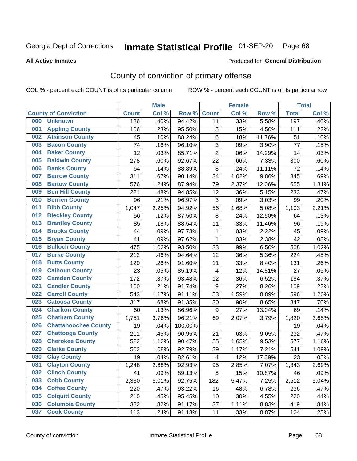## Inmate Statistical Profile 01-SEP-20 Page 68

**All Active Inmates** 

### **Produced for General Distribution**

## County of conviction of primary offense

COL % - percent each COUNT is of its particular column

|     |                             |              | <b>Male</b> |         |                | <b>Female</b> |        |              | <b>Total</b> |
|-----|-----------------------------|--------------|-------------|---------|----------------|---------------|--------|--------------|--------------|
|     | <b>County of Conviction</b> | <b>Count</b> | Col %       | Row %   | <b>Count</b>   | Col%          | Row %  | <b>Total</b> | Col %        |
| 000 | <b>Unknown</b>              | 186          | .40%        | 94.42%  | 11             | .33%          | 5.58%  | 197          | .40%         |
| 001 | <b>Appling County</b>       | 106          | .23%        | 95.50%  | 5              | .15%          | 4.50%  | 111          | .22%         |
| 002 | <b>Atkinson County</b>      | 45           | .10%        | 88.24%  | 6              | .18%          | 11.76% | 51           | .10%         |
| 003 | <b>Bacon County</b>         | 74           | .16%        | 96.10%  | $\sqrt{3}$     | .09%          | 3.90%  | 77           | .15%         |
| 004 | <b>Baker County</b>         | 12           | .03%        | 85.71%  | $\overline{2}$ | .06%          | 14.29% | 14           | .03%         |
| 005 | <b>Baldwin County</b>       | 278          | .60%        | 92.67%  | 22             | .66%          | 7.33%  | 300          | .60%         |
| 006 | <b>Banks County</b>         | 64           | .14%        | 88.89%  | 8              | .24%          | 11.11% | 72           | .14%         |
| 007 | <b>Barrow County</b>        | 311          | .67%        | 90.14%  | 34             | 1.02%         | 9.86%  | 345          | .69%         |
| 008 | <b>Bartow County</b>        | 576          | 1.24%       | 87.94%  | 79             | 2.37%         | 12.06% | 655          | 1.31%        |
| 009 | <b>Ben Hill County</b>      | 221          | .48%        | 94.85%  | 12             | .36%          | 5.15%  | 233          | .47%         |
| 010 | <b>Berrien County</b>       | 96           | .21%        | 96.97%  | 3              | .09%          | 3.03%  | 99           | .20%         |
| 011 | <b>Bibb County</b>          | 1,047        | 2.25%       | 94.92%  | 56             | 1.68%         | 5.08%  | 1,103        | 2.21%        |
| 012 | <b>Bleckley County</b>      | 56           | .12%        | 87.50%  | 8              | .24%          | 12.50% | 64           | .13%         |
| 013 | <b>Brantley County</b>      | 85           | .18%        | 88.54%  | 11             | .33%          | 11.46% | 96           | .19%         |
| 014 | <b>Brooks County</b>        | 44           | .09%        | 97.78%  | 1              | .03%          | 2.22%  | 45           | .09%         |
| 015 | <b>Bryan County</b>         | 41           | .09%        | 97.62%  | 1              | .03%          | 2.38%  | 42           | .08%         |
| 016 | <b>Bulloch County</b>       | 475          | 1.02%       | 93.50%  | 33             | .99%          | 6.50%  | 508          | 1.02%        |
| 017 | <b>Burke County</b>         | 212          | .46%        | 94.64%  | 12             | .36%          | 5.36%  | 224          | .45%         |
| 018 | <b>Butts County</b>         | 120          | .26%        | 91.60%  | 11             | .33%          | 8.40%  | 131          | .26%         |
| 019 | <b>Calhoun County</b>       | 23           | .05%        | 85.19%  | 4              | .12%          | 14.81% | 27           | .05%         |
| 020 | <b>Camden County</b>        | 172          | .37%        | 93.48%  | 12             | .36%          | 6.52%  | 184          | .37%         |
| 021 | <b>Candler County</b>       | 100          | .21%        | 91.74%  | $9\,$          | .27%          | 8.26%  | 109          | .22%         |
| 022 | <b>Carroll County</b>       | 543          | 1.17%       | 91.11%  | 53             | 1.59%         | 8.89%  | 596          | 1.20%        |
| 023 | <b>Catoosa County</b>       | 317          | .68%        | 91.35%  | 30             | .90%          | 8.65%  | 347          | .70%         |
| 024 | <b>Charlton County</b>      | 60           | .13%        | 86.96%  | $9\,$          | .27%          | 13.04% | 69           | .14%         |
| 025 | <b>Chatham County</b>       | 1,751        | 3.76%       | 96.21%  | 69             | 2.07%         | 3.79%  | 1,820        | 3.65%        |
| 026 | <b>Chattahoochee County</b> | 19           | .04%        | 100.00% |                |               |        | 19           | .04%         |
| 027 | <b>Chattooga County</b>     | 211          | .45%        | 90.95%  | 21             | .63%          | 9.05%  | 232          | .47%         |
| 028 | <b>Cherokee County</b>      | 522          | 1.12%       | 90.47%  | 55             | 1.65%         | 9.53%  | 577          | 1.16%        |
| 029 | <b>Clarke County</b>        | 502          | 1.08%       | 92.79%  | 39             | 1.17%         | 7.21%  | 541          | 1.09%        |
| 030 | <b>Clay County</b>          | 19           | .04%        | 82.61%  | 4              | .12%          | 17.39% | 23           | .05%         |
| 031 | <b>Clayton County</b>       | 1,248        | 2.68%       | 92.93%  | 95             | 2.85%         | 7.07%  | 1,343        | 2.69%        |
| 032 | <b>Clinch County</b>        | 41           | .09%        | 89.13%  | 5              | .15%          | 10.87% | 46           | .09%         |
| 033 | <b>Cobb County</b>          | 2,330        | 5.01%       | 92.75%  | 182            | 5.47%         | 7.25%  | 2,512        | 5.04%        |
| 034 | <b>Coffee County</b>        | 220          | .47%        | 93.22%  | 16             | .48%          | 6.78%  | 236          | .47%         |
| 035 | <b>Colquitt County</b>      | 210          | .45%        | 95.45%  | 10             | .30%          | 4.55%  | 220          | .44%         |
| 036 | <b>Columbia County</b>      | 382          | .82%        | 91.17%  | 37             | 1.11%         | 8.83%  | 419          | .84%         |
| 037 | <b>Cook County</b>          | 113          | .24%        | 91.13%  | 11             | .33%          | 8.87%  | 124          | .25%         |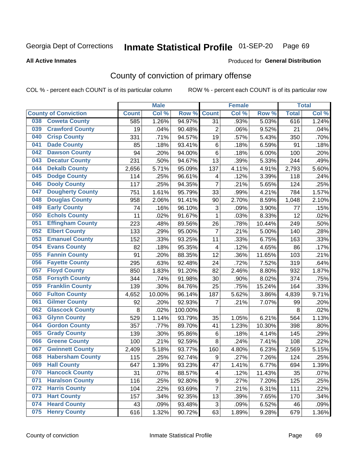## Inmate Statistical Profile 01-SEP-20 Page 69

**All Active Inmates** 

#### Produced for General Distribution

## County of conviction of primary offense

COL % - percent each COUNT is of its particular column

|                                |              | <b>Male</b> |         |                         | <b>Female</b> |        |              | <b>Total</b>        |
|--------------------------------|--------------|-------------|---------|-------------------------|---------------|--------|--------------|---------------------|
| <b>County of Conviction</b>    | <b>Count</b> | Col %       | Row %   | <b>Count</b>            | Col %         | Row %  | <b>Total</b> | Col %               |
| <b>Coweta County</b><br>038    | 585          | 1.26%       | 94.97%  | 31                      | .93%          | 5.03%  | 616          | 1.24%               |
| <b>Crawford County</b><br>039  | 19           | .04%        | 90.48%  | $\overline{2}$          | .06%          | 9.52%  | 21           | .04%                |
| <b>Crisp County</b><br>040     | 331          | .71%        | 94.57%  | 19                      | .57%          | 5.43%  | 350          | .70%                |
| <b>Dade County</b><br>041      | 85           | .18%        | 93.41%  | 6                       | .18%          | 6.59%  | 91           | .18%                |
| <b>Dawson County</b><br>042    | 94           | .20%        | 94.00%  | $\,6$                   | .18%          | 6.00%  | 100          | .20%                |
| <b>Decatur County</b><br>043   | 231          | .50%        | 94.67%  | 13                      | .39%          | 5.33%  | 244          | .49%                |
| <b>Dekalb County</b><br>044    | 2,656        | 5.71%       | 95.09%  | 137                     | 4.11%         | 4.91%  | 2,793        | 5.60%               |
| <b>Dodge County</b><br>045     | 114          | .25%        | 96.61%  | $\overline{\mathbf{4}}$ | .12%          | 3.39%  | 118          | .24%                |
| <b>Dooly County</b><br>046     | 117          | .25%        | 94.35%  | $\overline{7}$          | .21%          | 5.65%  | 124          | .25%                |
| 047<br><b>Dougherty County</b> | 751          | 1.61%       | 95.79%  | 33                      | .99%          | 4.21%  | 784          | 1.57%               |
| <b>Douglas County</b><br>048   | 958          | 2.06%       | 91.41%  | 90                      | 2.70%         | 8.59%  | 1,048        | 2.10%               |
| <b>Early County</b><br>049     | 74           | .16%        | 96.10%  | 3                       | .09%          | 3.90%  | 77           | .15%                |
| <b>Echols County</b><br>050    | 11           | .02%        | 91.67%  | 1                       | .03%          | 8.33%  | 12           | .02%                |
| <b>Effingham County</b><br>051 | 223          | .48%        | 89.56%  | 26                      | .78%          | 10.44% | 249          | .50%                |
| <b>Elbert County</b><br>052    | 133          | .29%        | 95.00%  | $\overline{7}$          | .21%          | 5.00%  | 140          | .28%                |
| <b>Emanuel County</b><br>053   | 152          | .33%        | 93.25%  | 11                      | .33%          | 6.75%  | 163          | .33%                |
| <b>Evans County</b><br>054     | 82           | .18%        | 95.35%  | $\overline{\mathbf{4}}$ | .12%          | 4.65%  | 86           | .17%                |
| <b>Fannin County</b><br>055    | 91           | .20%        | 88.35%  | 12                      | .36%          | 11.65% | 103          | .21%                |
| <b>Fayette County</b><br>056   | 295          | .63%        | 92.48%  | 24                      | .72%          | 7.52%  | 319          | .64%                |
| <b>Floyd County</b><br>057     | 850          | 1.83%       | 91.20%  | 82                      | 2.46%         | 8.80%  | 932          | 1.87%               |
| <b>Forsyth County</b><br>058   | 344          | .74%        | 91.98%  | 30                      | .90%          | 8.02%  | 374          | .75%                |
| <b>Franklin County</b><br>059  | 139          | .30%        | 84.76%  | 25                      | .75%          | 15.24% | 164          | .33%                |
| <b>Fulton County</b><br>060    | 4,652        | 10.00%      | 96.14%  | 187                     | 5.62%         | 3.86%  | 4,839        | $\overline{9.71\%}$ |
| <b>Gilmer County</b><br>061    | 92           | .20%        | 92.93%  | $\overline{7}$          | .21%          | 7.07%  | 99           | .20%                |
| <b>Glascock County</b><br>062  | 8            | .02%        | 100.00% |                         |               |        | 8            | .02%                |
| <b>Glynn County</b><br>063     | 529          | 1.14%       | 93.79%  | 35                      | 1.05%         | 6.21%  | 564          | 1.13%               |
| <b>Gordon County</b><br>064    | 357          | .77%        | 89.70%  | 41                      | 1.23%         | 10.30% | 398          | .80%                |
| 065<br><b>Grady County</b>     | 139          | .30%        | 95.86%  | 6                       | .18%          | 4.14%  | 145          | .29%                |
| <b>Greene County</b><br>066    | 100          | .21%        | 92.59%  | 8                       | .24%          | 7.41%  | 108          | .22%                |
| <b>Gwinnett County</b><br>067  | 2,409        | 5.18%       | 93.77%  | 160                     | 4.80%         | 6.23%  | 2,569        | 5.15%               |
| <b>Habersham County</b><br>068 | 115          | .25%        | 92.74%  | $\boldsymbol{9}$        | .27%          | 7.26%  | 124          | .25%                |
| 069<br><b>Hall County</b>      | 647          | 1.39%       | 93.23%  | 47                      | 1.41%         | 6.77%  | 694          | 1.39%               |
| <b>Hancock County</b><br>070   | 31           | .07%        | 88.57%  | 4                       | .12%          | 11.43% | 35           | .07%                |
| 071<br><b>Haralson County</b>  | 116          | .25%        | 92.80%  | $\boldsymbol{9}$        | .27%          | 7.20%  | 125          | .25%                |
| <b>Harris County</b><br>072    | 104          | .22%        | 93.69%  | $\overline{7}$          | .21%          | 6.31%  | 111          | .22%                |
| <b>Hart County</b><br>073      | 157          | .34%        | 92.35%  | 13                      | .39%          | 7.65%  | 170          | .34%                |
| <b>Heard County</b><br>074     | 43           | .09%        | 93.48%  | 3                       | .09%          | 6.52%  | 46           | .09%                |
| <b>Henry County</b><br>075     | 616          | 1.32%       | 90.72%  | 63                      | 1.89%         | 9.28%  | 679          | 1.36%               |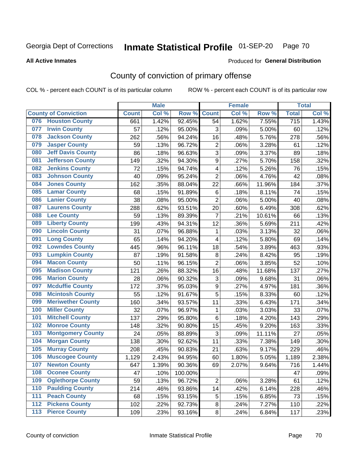## Inmate Statistical Profile 01-SEP-20 Page 70

#### **All Active Inmates**

## Produced for General Distribution

## County of conviction of primary offense

COL % - percent each COUNT is of its particular column

|       |                             |              | <b>Male</b> |                  |                | <b>Female</b> |        |                  | <b>Total</b> |
|-------|-----------------------------|--------------|-------------|------------------|----------------|---------------|--------|------------------|--------------|
|       | <b>County of Conviction</b> | <b>Count</b> | Col %       | Row <sup>%</sup> | <b>Count</b>   | Col %         | Row %  | <b>Total</b>     | Col %        |
| 076   | <b>Houston County</b>       | 661          | 1.42%       | 92.45%           | 54             | 1.62%         | 7.55%  | $\overline{715}$ | 1.43%        |
| 077   | <b>Irwin County</b>         | 57           | .12%        | 95.00%           | 3              | .09%          | 5.00%  | 60               | .12%         |
| 078   | <b>Jackson County</b>       | 262          | .56%        | 94.24%           | 16             | .48%          | 5.76%  | 278              | .56%         |
| 079   | <b>Jasper County</b>        | 59           | .13%        | 96.72%           | $\overline{2}$ | .06%          | 3.28%  | 61               | .12%         |
| 080   | <b>Jeff Davis County</b>    | 86           | .18%        | 96.63%           | 3              | .09%          | 3.37%  | 89               | .18%         |
| 081   | <b>Jefferson County</b>     | 149          | .32%        | 94.30%           | 9              | .27%          | 5.70%  | 158              | .32%         |
| 082   | <b>Jenkins County</b>       | 72           | .15%        | 94.74%           | 4              | .12%          | 5.26%  | 76               | .15%         |
| 083   | <b>Johnson County</b>       | 40           | .09%        | 95.24%           | $\overline{2}$ | .06%          | 4.76%  | 42               | .08%         |
| 084   | <b>Jones County</b>         | 162          | .35%        | 88.04%           | 22             | .66%          | 11.96% | 184              | .37%         |
| 085   | <b>Lamar County</b>         | 68           | .15%        | 91.89%           | 6              | .18%          | 8.11%  | 74               | .15%         |
| 086   | <b>Lanier County</b>        | 38           | .08%        | 95.00%           | $\overline{2}$ | .06%          | 5.00%  | 40               | .08%         |
| 087   | <b>Laurens County</b>       | 288          | .62%        | 93.51%           | 20             | .60%          | 6.49%  | 308              | .62%         |
| 088   | <b>Lee County</b>           | 59           | .13%        | 89.39%           | $\overline{7}$ | .21%          | 10.61% | 66               | .13%         |
| 089   | <b>Liberty County</b>       | 199          | .43%        | 94.31%           | 12             | .36%          | 5.69%  | 211              | .42%         |
| 090   | <b>Lincoln County</b>       | 31           | .07%        | 96.88%           | 1              | .03%          | 3.13%  | 32               | .06%         |
| 091   | <b>Long County</b>          | 65           | .14%        | 94.20%           | 4              | .12%          | 5.80%  | 69               | .14%         |
| 092   | <b>Lowndes County</b>       | 445          | .96%        | 96.11%           | 18             | .54%          | 3.89%  | 463              | .93%         |
| 093   | <b>Lumpkin County</b>       | 87           | .19%        | 91.58%           | 8              | .24%          | 8.42%  | 95               | .19%         |
| 094   | <b>Macon County</b>         | 50           | .11%        | 96.15%           | $\overline{2}$ | .06%          | 3.85%  | 52               | .10%         |
| 095   | <b>Madison County</b>       | 121          | .26%        | 88.32%           | 16             | .48%          | 11.68% | 137              | .27%         |
| 096   | <b>Marion County</b>        | 28           | .06%        | 90.32%           | 3              | .09%          | 9.68%  | 31               | .06%         |
| 097   | <b>Mcduffie County</b>      | 172          | .37%        | 95.03%           | 9              | .27%          | 4.97%  | 181              | .36%         |
| 098   | <b>Mcintosh County</b>      | 55           | .12%        | 91.67%           | $\overline{5}$ | .15%          | 8.33%  | 60               | .12%         |
| 099   | <b>Meriwether County</b>    | 160          | .34%        | 93.57%           | 11             | .33%          | 6.43%  | 171              | .34%         |
| 100   | <b>Miller County</b>        | 32           | .07%        | 96.97%           | 1              | .03%          | 3.03%  | 33               | .07%         |
| 101   | <b>Mitchell County</b>      | 137          | .29%        | 95.80%           | 6              | .18%          | 4.20%  | 143              | .29%         |
| 102   | <b>Monroe County</b>        | 148          | .32%        | 90.80%           | 15             | .45%          | 9.20%  | 163              | .33%         |
| 103   | <b>Montgomery County</b>    | 24           | .05%        | 88.89%           | 3              | .09%          | 11.11% | 27               | .05%         |
| 104   | <b>Morgan County</b>        | 138          | .30%        | 92.62%           | 11             | .33%          | 7.38%  | 149              | .30%         |
| 105   | <b>Murray County</b>        | 208          | .45%        | 90.83%           | 21             | .63%          | 9.17%  | 229              | .46%         |
| 106   | <b>Muscogee County</b>      | 1,129        | 2.43%       | 94.95%           | 60             | 1.80%         | 5.05%  | 1,189            | 2.38%        |
| 107   | <b>Newton County</b>        | 647          | 1.39%       | 90.36%           | 69             | 2.07%         | 9.64%  | 716              | 1.44%        |
| 108   | <b>Oconee County</b>        | 47           | .10%        | 100.00%          |                |               |        | 47               | .09%         |
| 109   | <b>Oglethorpe County</b>    | 59           | .13%        | 96.72%           | $\overline{2}$ | .06%          | 3.28%  | 61               | .12%         |
| 110   | <b>Paulding County</b>      | 214          | .46%        | 93.86%           | 14             | .42%          | 6.14%  | 228              | .46%         |
| 111   | <b>Peach County</b>         | 68           | .15%        | 93.15%           | 5              | .15%          | 6.85%  | 73               | .15%         |
| $112$ | <b>Pickens County</b>       | 102          | .22%        | 92.73%           | 8              | .24%          | 7.27%  | 110              | .22%         |
| $113$ | <b>Pierce County</b>        | 109          | .23%        | 93.16%           | 8              | .24%          | 6.84%  | 117              | .23%         |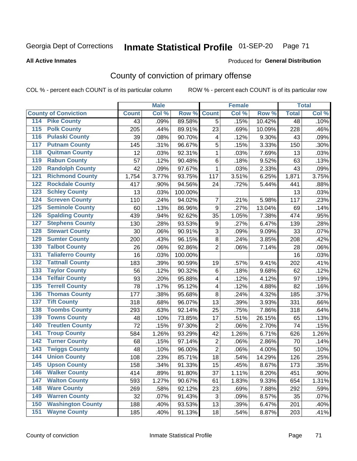## Inmate Statistical Profile 01-SEP-20 Page 71

**All Active Inmates** 

### Produced for General Distribution

## County of conviction of primary offense

COL % - percent each COUNT is of its particular column

|                                          |              | <b>Male</b> |         |                         | <b>Female</b> |        |              | <b>Total</b> |
|------------------------------------------|--------------|-------------|---------|-------------------------|---------------|--------|--------------|--------------|
| <b>County of Conviction</b>              | <b>Count</b> | Col %       | Row %   | <b>Count</b>            | Col %         | Row %  | <b>Total</b> | Col %        |
| <b>Pike County</b><br>114                | 43           | .09%        | 89.58%  | $\overline{5}$          | .15%          | 10.42% | 48           | .10%         |
| <b>Polk County</b><br>$\overline{115}$   | 205          | .44%        | 89.91%  | 23                      | .69%          | 10.09% | 228          | .46%         |
| <b>Pulaski County</b><br>116             | 39           | .08%        | 90.70%  | 4                       | .12%          | 9.30%  | 43           | .09%         |
| <b>Putnam County</b><br>117              | 145          | .31%        | 96.67%  | 5                       | .15%          | 3.33%  | 150          | .30%         |
| <b>Quitman County</b><br>118             | 12           | .03%        | 92.31%  | $\mathbf{1}$            | .03%          | 7.69%  | 13           | .03%         |
| <b>Rabun County</b><br>119               | 57           | .12%        | 90.48%  | 6                       | .18%          | 9.52%  | 63           | .13%         |
| <b>Randolph County</b><br>120            | 42           | .09%        | 97.67%  | 1                       | .03%          | 2.33%  | 43           | .09%         |
| <b>Richmond County</b><br>121            | 1,754        | 3.77%       | 93.75%  | 117                     | 3.51%         | 6.25%  | 1,871        | 3.75%        |
| <b>Rockdale County</b><br>122            | 417          | .90%        | 94.56%  | 24                      | .72%          | 5.44%  | 441          | .88%         |
| <b>Schley County</b><br>123              | 13           | .03%        | 100.00% |                         |               |        | 13           | .03%         |
| <b>Screven County</b><br>124             | 110          | .24%        | 94.02%  | 7                       | .21%          | 5.98%  | 117          | .23%         |
| <b>Seminole County</b><br>125            | 60           | .13%        | 86.96%  | 9                       | .27%          | 13.04% | 69           | .14%         |
| <b>Spalding County</b><br>126            | 439          | .94%        | 92.62%  | 35                      | 1.05%         | 7.38%  | 474          | .95%         |
| <b>Stephens County</b><br>127            | 130          | .28%        | 93.53%  | 9                       | .27%          | 6.47%  | 139          | .28%         |
| <b>Stewart County</b><br>128             | 30           | .06%        | 90.91%  | 3                       | .09%          | 9.09%  | 33           | .07%         |
| <b>Sumter County</b><br>129              | 200          | .43%        | 96.15%  | 8                       | .24%          | 3.85%  | 208          | .42%         |
| <b>Talbot County</b><br>130              | 26           | .06%        | 92.86%  | $\overline{2}$          | .06%          | 7.14%  | 28           | .06%         |
| <b>Taliaferro County</b><br>131          | 16           | .03%        | 100.00% |                         |               |        | 16           | .03%         |
| <b>Tattnall County</b><br>132            | 183          | .39%        | 90.59%  | 19                      | .57%          | 9.41%  | 202          | .41%         |
| <b>Taylor County</b><br>133              | 56           | .12%        | 90.32%  | $\,6$                   | .18%          | 9.68%  | 62           | .12%         |
| <b>Telfair County</b><br>134             | 93           | .20%        | 95.88%  | $\overline{\mathbf{4}}$ | .12%          | 4.12%  | 97           | .19%         |
| <b>Terrell County</b><br>135             | 78           | .17%        | 95.12%  | $\overline{\mathbf{4}}$ | .12%          | 4.88%  | 82           | .16%         |
| <b>Thomas County</b><br>136              | 177          | .38%        | 95.68%  | 8                       | .24%          | 4.32%  | 185          | .37%         |
| <b>Tift County</b><br>137                | 318          | .68%        | 96.07%  | 13                      | .39%          | 3.93%  | 331          | .66%         |
| <b>Toombs County</b><br>138              | 293          | .63%        | 92.14%  | 25                      | .75%          | 7.86%  | 318          | .64%         |
| <b>Towns County</b><br>139               | 48           | .10%        | 73.85%  | 17                      | .51%          | 26.15% | 65           | .13%         |
| <b>Treutlen County</b><br>140            | 72           | .15%        | 97.30%  | $\overline{2}$          | .06%          | 2.70%  | 74           | .15%         |
| <b>Troup County</b><br>141               | 584          | 1.26%       | 93.29%  | 42                      | 1.26%         | 6.71%  | 626          | 1.26%        |
| <b>Turner County</b><br>142              | 68           | .15%        | 97.14%  | $\overline{2}$          | .06%          | 2.86%  | 70           | .14%         |
| <b>Twiggs County</b><br>$\overline{143}$ | 48           | .10%        | 96.00%  | $\overline{2}$          | .06%          | 4.00%  | 50           | .10%         |
| <b>Union County</b><br>144               | 108          | .23%        | 85.71%  | 18                      | .54%          | 14.29% | 126          | .25%         |
| 145<br><b>Upson County</b>               | 158          | .34%        | 91.33%  | 15                      | .45%          | 8.67%  | 173          | .35%         |
| <b>Walker County</b><br>146              | 414          | .89%        | 91.80%  | 37                      | 1.11%         | 8.20%  | 451          | .90%         |
| <b>Walton County</b><br>147              | 593          | 1.27%       | 90.67%  | 61                      | 1.83%         | 9.33%  | 654          | 1.31%        |
| <b>Ware County</b><br>148                | 269          | .58%        | 92.12%  | 23                      | .69%          | 7.88%  | 292          | .59%         |
| <b>Warren County</b><br>149              | 32           | .07%        | 91.43%  | 3                       | .09%          | 8.57%  | 35           | .07%         |
| <b>Washington County</b><br>150          | 188          | .40%        | 93.53%  | 13                      | .39%          | 6.47%  | 201          | .40%         |
| <b>Wayne County</b><br>151               | 185          | .40%        | 91.13%  | 18                      | .54%          | 8.87%  | 203          | .41%         |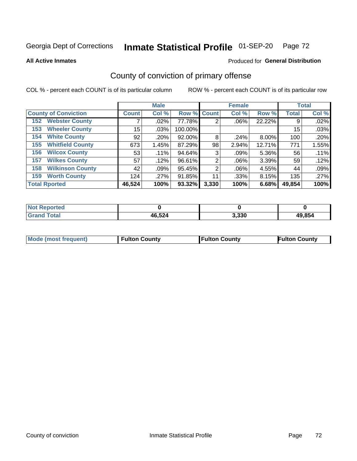## Inmate Statistical Profile 01-SEP-20 Page 72

Produced for General Distribution

#### **All Active Inmates**

County of conviction of primary offense

COL % - percent each COUNT is of its particular column

|                                |                    | <b>Male</b> |             |       | <b>Female</b> |        |              | <b>Total</b> |
|--------------------------------|--------------------|-------------|-------------|-------|---------------|--------|--------------|--------------|
| <b>County of Conviction</b>    | Count <sup>1</sup> | Col %       | Row % Count |       | Col %         | Row %  | <b>Total</b> | Col %        |
| <b>Webster County</b><br>152   |                    | .02%        | 77.78%      | 2     | .06%          | 22.22% | 9            | .02%         |
| <b>Wheeler County</b><br>153   | 15                 | $.03\%$     | 100.00%     |       |               |        | 15           | .03%         |
| <b>White County</b><br>154     | 92                 | .20%        | 92.00%      | 8     | .24%          | 8.00%  | 100          | .20%         |
| <b>Whitfield County</b><br>155 | 673                | 1.45%       | 87.29%      | 98    | 2.94%         | 12.71% | 771          | 1.55%        |
| <b>Wilcox County</b><br>156    | 53                 | .11%        | 94.64%      | 3     | .09%          | 5.36%  | 56           | .11%         |
| <b>Wilkes County</b><br>157    | 57                 | .12%        | 96.61%      | 2     | $.06\%$       | 3.39%  | 59           | .12%         |
| <b>Wilkinson County</b><br>158 | 42                 | .09%        | 95.45%      | 2     | .06%          | 4.55%  | 44           | .09%         |
| <b>Worth County</b><br>159     | 124                | .27%        | 91.85%      | 11    | .33%          | 8.15%  | 135          | .27%         |
| <b>Total Rported</b>           | 46,524             | 100%        | 93.32%      | 3,330 | 100%          | 6.68%  | 49,854       | 100%         |

| <b>Not Reported</b> |        |       |        |
|---------------------|--------|-------|--------|
| $\tau$ otar         | 46,524 | 3,330 | 49.854 |

| Mode (most frequent) | <b>Fulton County</b> | <b>Fulton County</b> | <b>Fulton County</b> |
|----------------------|----------------------|----------------------|----------------------|
|                      |                      |                      |                      |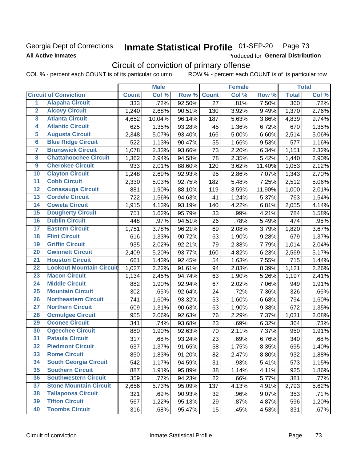## Georgia Dept of Corrections **All Active Inmates**

#### Inmate Statistical Profile 01-SEP-20 Page 73

Produced for General Distribution

## Circuit of conviction of primary offense

COL % - percent each COUNT is of its particular column ROW % - percent each COUNT is of its particular row

|                         |                                 | <b>Male</b>  |        |        | <b>Female</b>   |       |        | <b>Total</b> |       |
|-------------------------|---------------------------------|--------------|--------|--------|-----------------|-------|--------|--------------|-------|
|                         | <b>Circuit of Conviction</b>    | <b>Count</b> | Col %  | Row %  | <b>Count</b>    | Col % | Row %  | <b>Total</b> | Col % |
| 1                       | <b>Alapaha Circuit</b>          | 333          | .72%   | 92.50% | $\overline{27}$ | .81%  | 7.50%  | 360          | .72%  |
| $\overline{2}$          | <b>Alcovy Circuit</b>           | 1,240        | 2.68%  | 90.51% | 130             | 3.92% | 9.49%  | 1,370        | 2.76% |
| $\overline{\mathbf{3}}$ | <b>Atlanta Circuit</b>          | 4,652        | 10.04% | 96.14% | 187             | 5.63% | 3.86%  | 4,839        | 9.74% |
| 4                       | <b>Atlantic Circuit</b>         | 625          | 1.35%  | 93.28% | 45              | 1.36% | 6.72%  | 670          | 1.35% |
| 5                       | <b>Augusta Circuit</b>          | 2,348        | 5.07%  | 93.40% | 166             | 5.00% | 6.60%  | 2,514        | 5.06% |
| $\overline{6}$          | <b>Blue Ridge Circuit</b>       | 522          | 1.13%  | 90.47% | 55              | 1.66% | 9.53%  | 577          | 1.16% |
| 7                       | <b>Brunswick Circuit</b>        | 1,078        | 2.33%  | 93.66% | 73              | 2.20% | 6.34%  | 1,151        | 2.32% |
| 8                       | <b>Chattahoochee Circuit</b>    | 1,362        | 2.94%  | 94.58% | 78              | 2.35% | 5.42%  | 1,440        | 2.90% |
| 9                       | <b>Cherokee Circuit</b>         | 933          | 2.01%  | 88.60% | 120             | 3.62% | 11.40% | 1,053        | 2.12% |
| 10                      | <b>Clayton Circuit</b>          | 1,248        | 2.69%  | 92.93% | 95              | 2.86% | 7.07%  | 1,343        | 2.70% |
| $\overline{11}$         | <b>Cobb Circuit</b>             | 2,330        | 5.03%  | 92.75% | 182             | 5.48% | 7.25%  | 2,512        | 5.06% |
| 12                      | <b>Conasauga Circuit</b>        | 881          | 1.90%  | 88.10% | 119             | 3.59% | 11.90% | 1,000        | 2.01% |
| 13                      | <b>Cordele Circuit</b>          | 722          | 1.56%  | 94.63% | 41              | 1.24% | 5.37%  | 763          | 1.54% |
| $\overline{14}$         | <b>Coweta Circuit</b>           | 1,915        | 4.13%  | 93.19% | 140             | 4.22% | 6.81%  | 2,055        | 4.14% |
| 15                      | <b>Dougherty Circuit</b>        | 751          | 1.62%  | 95.79% | 33              | .99%  | 4.21%  | 784          | 1.58% |
| 16                      | <b>Dublin Circuit</b>           | 448          | .97%   | 94.51% | 26              | .78%  | 5.49%  | 474          | .95%  |
| 17                      | <b>Eastern Circuit</b>          | 1,751        | 3.78%  | 96.21% | 69              | 2.08% | 3.79%  | 1,820        | 3.67% |
| 18                      | <b>Flint Circuit</b>            | 616          | 1.33%  | 90.72% | 63              | 1.90% | 9.28%  | 679          | 1.37% |
| 19                      | <b>Griffin Circuit</b>          | 935          | 2.02%  | 92.21% | 79              | 2.38% | 7.79%  | 1,014        | 2.04% |
| 20                      | <b>Gwinnett Circuit</b>         | 2,409        | 5.20%  | 93.77% | 160             | 4.82% | 6.23%  | 2,569        | 5.17% |
| $\overline{21}$         | <b>Houston Circuit</b>          | 661          | 1.43%  | 92.45% | 54              | 1.63% | 7.55%  | 715          | 1.44% |
| $\overline{22}$         | <b>Lookout Mountain Circuit</b> | 1,027        | 2.22%  | 91.61% | 94              | 2.83% | 8.39%  | 1,121        | 2.26% |
| 23                      | <b>Macon Circuit</b>            | 1,134        | 2.45%  | 94.74% | 63              | 1.90% | 5.26%  | 1,197        | 2.41% |
| 24                      | <b>Middle Circuit</b>           | 882          | 1.90%  | 92.94% | 67              | 2.02% | 7.06%  | 949          | 1.91% |
| $\overline{25}$         | <b>Mountain Circuit</b>         | 302          | .65%   | 92.64% | 24              | .72%  | 7.36%  | 326          | .66%  |
| 26                      | <b>Northeastern Circuit</b>     | 741          | 1.60%  | 93.32% | 53              | 1.60% | 6.68%  | 794          | 1.60% |
| $\overline{27}$         | <b>Northern Circuit</b>         | 609          | 1.31%  | 90.63% | 63              | 1.90% | 9.38%  | 672          | 1.35% |
| 28                      | <b>Ocmulgee Circuit</b>         | 955          | 2.06%  | 92.63% | 76              | 2.29% | 7.37%  | 1,031        | 2.08% |
| 29                      | <b>Oconee Circuit</b>           | 341          | .74%   | 93.68% | 23              | .69%  | 6.32%  | 364          | .73%  |
| 30                      | <b>Ogeechee Circuit</b>         | 880          | 1.90%  | 92.63% | 70              | 2.11% | 7.37%  | 950          | 1.91% |
| $\overline{31}$         | <b>Pataula Circuit</b>          | 317          | .68%   | 93.24% | 23              | .69%  | 6.76%  | 340          | .68%  |
| 32                      | <b>Piedmont Circuit</b>         | 637          | 1.37%  | 91.65% | 58              | 1.75% | 8.35%  | 695          | 1.40% |
| 33                      | <b>Rome Circuit</b>             | 850          | 1.83%  | 91.20% | 82              | 2.47% | 8.80%  | 932          | 1.88% |
| 34                      | <b>South Georgia Circuit</b>    | 542          | 1.17%  | 94.59% | 31              | .93%  | 5.41%  | 573          | 1.15% |
| 35                      | <b>Southern Circuit</b>         | 887          | 1.91%  | 95.89% | 38              | 1.14% | 4.11%  | 925          | 1.86% |
| 36                      | <b>Southwestern Circuit</b>     | 359          | .77%   | 94.23% | 22              | .66%  | 5.77%  | 381          | .77%  |
| 37                      | <b>Stone Mountain Circuit</b>   | 2,656        | 5.73%  | 95.09% | 137             | 4.13% | 4.91%  | 2,793        | 5.62% |
| 38                      | <b>Tallapoosa Circuit</b>       | 321          | .69%   | 90.93% | 32              | .96%  | 9.07%  | 353          | .71%  |
| 39                      | <b>Tifton Circuit</b>           | 567          | 1.22%  | 95.13% | 29              | .87%  | 4.87%  | 596          | 1.20% |
| 40                      | <b>Toombs Circuit</b>           | 316          | .68%   | 95.47% | 15              | .45%  | 4.53%  | 331          | .67%  |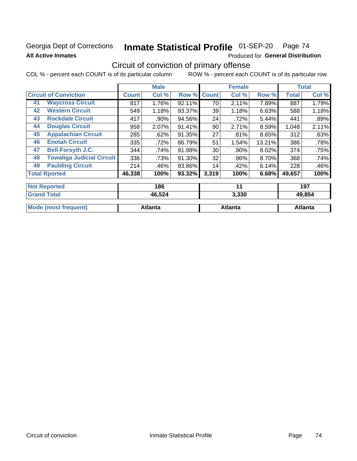## Georgia Dept of Corrections **All Active Inmates**

# Inmate Statistical Profile 01-SEP-20 Page 74

Produced for General Distribution

# Circuit of conviction of primary offense

|                                        |              | <b>Male</b> |        |              | <b>Female</b> |        |              | <b>Total</b>  |
|----------------------------------------|--------------|-------------|--------|--------------|---------------|--------|--------------|---------------|
| <b>Circuit of Conviction</b>           | <b>Count</b> | Col %       | Row %  | <b>Count</b> | Col %         | Row %  | <b>Total</b> | Col %         |
| <b>Waycross Circuit</b><br>41          | 817          | 1.76%       | 92.11% | 70           | 2.11%         | 7.89%  | 887          | 1.79%         |
| <b>Western Circuit</b><br>42           | 549          | 1.18%       | 93.37% | 39           | 1.18%         | 6.63%  | 588          | 1.18%         |
| <b>Rockdale Circuit</b><br>43          | 417          | .90%        | 94.56% | 24           | .72%          | 5.44%  | 441          | .89%          |
| <b>Douglas Circuit</b><br>44           | 958          | 2.07%       | 91.41% | 90           | 2.71%         | 8.59%  | 1,048        | 2.11%         |
| <b>Appalachian Circuit</b><br>45       | 285          | .62%        | 91.35% | 27           | .81%          | 8.65%  | 312          | .63%          |
| <b>Enotah Circuit</b><br>46            | 335          | .72%        | 86.79% | 51           | 1.54%         | 13.21% | 386          | .78%          |
| <b>Bell-Forsyth J.C.</b><br>47         | 344          | .74%        | 91.98% | 30           | .90%          | 8.02%  | 374          | .75%          |
| <b>Towaliga Judicial Circuit</b><br>48 | 336          | .73%        | 91.30% | 32           | .96%          | 8.70%  | 368          | .74%          |
| <b>Paulding Circuit</b><br>49          | 214          | .46%        | 93.86% | 14           | .42%          | 6.14%  | 228          | .46%          |
| <b>Total Rported</b>                   | 46,338       | 100%        | 93.32% | 3,319        | 100%          | 6.68%  | 49,657       | 100%          |
| <b>Not Reported</b>                    |              | 186         |        |              | 11            |        |              | 197           |
| <b>Grand Total</b>                     |              | AG 52A      |        |              | <b>J 33U</b>  |        |              | <b>AQ 854</b> |

| <b>URAIN IVIAI</b> | TV.JLT  | J.JJV   | 70.UUT  |
|--------------------|---------|---------|---------|
|                    |         |         |         |
| IМ<br>frequent)    | √tlanta | Atlanta | Atlanta |
|                    |         |         |         |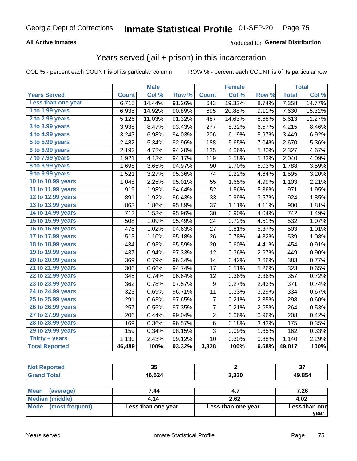#### **All Active Inmates**

#### Produced for **General Distribution**

## Years served (jail + prison) in this incarceration

|                       |              | <b>Male</b> |        |                  | <b>Female</b> |       |              | <b>Total</b> |
|-----------------------|--------------|-------------|--------|------------------|---------------|-------|--------------|--------------|
| <b>Years Served</b>   | <b>Count</b> | Col %       | Row %  | <b>Count</b>     | Col %         | Row % | <b>Total</b> | Col %        |
| Less than one year    | 6,715        | 14.44%      | 91.26% | 643              | 19.32%        | 8.74% | 7,358        | 14.77%       |
| 1 to 1.99 years       | 6,935        | 14.92%      | 90.89% | 695              | 20.88%        | 9.11% | 7,630        | 15.32%       |
| 2 to 2.99 years       | 5,126        | 11.03%      | 91.32% | 487              | 14.63%        | 8.68% | 5,613        | 11.27%       |
| 3 to 3.99 years       | 3,938        | 8.47%       | 93.43% | 277              | 8.32%         | 6.57% | 4,215        | 8.46%        |
| 4 to 4.99 years       | 3,243        | 6.98%       | 94.03% | 206              | 6.19%         | 5.97% | 3,449        | 6.92%        |
| 5 to 5.99 years       | 2,482        | 5.34%       | 92.96% | 188              | 5.65%         | 7.04% | 2,670        | 5.36%        |
| 6 to 6.99 years       | 2,192        | 4.72%       | 94.20% | 135              | 4.06%         | 5.80% | 2,327        | 4.67%        |
| 7 to 7.99 years       | 1,921        | 4.13%       | 94.17% | 119              | 3.58%         | 5.83% | 2,040        | 4.09%        |
| 8 to 8.99 years       | 1,698        | 3.65%       | 94.97% | 90               | 2.70%         | 5.03% | 1,788        | 3.59%        |
| 9 to 9.99 years       | 1,521        | 3.27%       | 95.36% | 74               | 2.22%         | 4.64% | 1,595        | 3.20%        |
| 10 to 10.99 years     | 1,048        | 2.25%       | 95.01% | 55               | 1.65%         | 4.99% | 1,103        | 2.21%        |
| 11 to 11.99 years     | 919          | 1.98%       | 94.64% | 52               | 1.56%         | 5.36% | 971          | 1.95%        |
| 12 to 12.99 years     | 891          | 1.92%       | 96.43% | 33               | 0.99%         | 3.57% | 924          | 1.85%        |
| 13 to 13.99 years     | 863          | 1.86%       | 95.89% | 37               | 1.11%         | 4.11% | 900          | 1.81%        |
| 14 to 14.99 years     | 712          | 1.53%       | 95.96% | 30               | 0.90%         | 4.04% | 742          | 1.49%        |
| 15 to 15.99 years     | 508          | 1.09%       | 95.49% | 24               | 0.72%         | 4.51% | 532          | 1.07%        |
| 16 to 16.99 years     | 476          | 1.02%       | 94.63% | 27               | 0.81%         | 5.37% | 503          | 1.01%        |
| 17 to 17.99 years     | 513          | 1.10%       | 95.18% | 26               | 0.78%         | 4.82% | 539          | 1.08%        |
| 18 to 18.99 years     | 434          | 0.93%       | 95.59% | 20               | 0.60%         | 4.41% | 454          | 0.91%        |
| 19 to 19.99 years     | 437          | 0.94%       | 97.33% | 12               | 0.36%         | 2.67% | 449          | 0.90%        |
| 20 to 20.99 years     | 369          | 0.79%       | 96.34% | 14               | 0.42%         | 3.66% | 383          | 0.77%        |
| 21 to 21.99 years     | 306          | 0.66%       | 94.74% | 17               | 0.51%         | 5.26% | 323          | 0.65%        |
| 22 to 22.99 years     | 345          | 0.74%       | 96.64% | 12               | 0.36%         | 3.36% | 357          | 0.72%        |
| 23 to 23.99 years     | 362          | 0.78%       | 97.57% | $\boldsymbol{9}$ | 0.27%         | 2.43% | 371          | 0.74%        |
| 24 to 24.99 years     | 323          | 0.69%       | 96.71% | 11               | 0.33%         | 3.29% | 334          | 0.67%        |
| 25 to 25.99 years     | 291          | 0.63%       | 97.65% | 7                | 0.21%         | 2.35% | 298          | 0.60%        |
| 26 to 26.99 years     | 257          | 0.55%       | 97.35% | 7                | 0.21%         | 2.65% | 264          | 0.53%        |
| 27 to 27.99 years     | 206          | 0.44%       | 99.04% | $\overline{c}$   | 0.06%         | 0.96% | 208          | 0.42%        |
| 28 to 28.99 years     | 169          | 0.36%       | 96.57% | 6                | 0.18%         | 3.43% | 175          | 0.35%        |
| 29 to 29.99 years     | 159          | 0.34%       | 98.15% | 3                | 0.09%         | 1.85% | 162          | 0.33%        |
| Thirty + years        | 1,130        | 2.43%       | 99.12% | 10               | 0.30%         | 0.88% | 1,140        | 2.29%        |
| <b>Total Reported</b> | 46,489       | 100%        | 93.32% | 3,328            | 100%          | 6.68% | 49,817       | 100%         |

| <b>roorteo</b>        | --     |       | $\sim$ |
|-----------------------|--------|-------|--------|
| <b>NOT</b>            | ◡      |       | J,     |
| $f \wedge f \wedge f$ | 46,524 | 3,330 | 49,854 |

| Mean<br>(average)              | 7.44               |                    | 7.26          |
|--------------------------------|--------------------|--------------------|---------------|
| Median (middle)                | 4.14               | 2.62               | 4.02          |
| <b>Mode</b><br>(most frequent) | Less than one year | Less than one year | Less than one |
|                                |                    |                    | year          |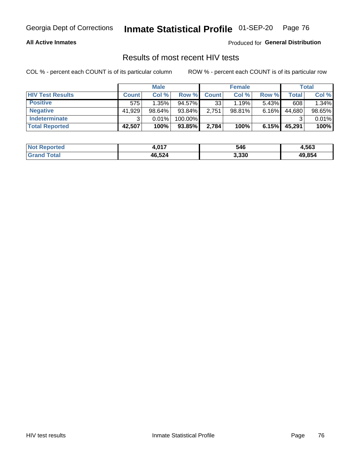#### **All Active Inmates**

Produced for **General Distribution**

### Results of most recent HIV tests

|                         | <b>Male</b>  |        |         |              | <b>Female</b> | <b>Total</b> |        |        |
|-------------------------|--------------|--------|---------|--------------|---------------|--------------|--------|--------|
| <b>HIV Test Results</b> | <b>Count</b> | Col %  | Row %I  | <b>Count</b> | Col %         | Row %        | Total  | Col %  |
| <b>Positive</b>         | 575          | 1.35%  | 94.57%  | 33           | 1.19%         | $5.43\%$     | 608    | 1.34%  |
| <b>Negative</b>         | 41,929       | 98.64% | 93.84%  | 2,751        | 98.81%        | 6.16%        | 44,680 | 98.65% |
| <b>Indeterminate</b>    | ว            | 0.01%  | 100.00% |              |               |              |        | 0.01%  |
| <b>Total Reported</b>   | 42,507       | 100%   | 93.85%  | 2,784        | 100%          | 6.15%        | 45,291 | 100%   |

| <b>Not Reported</b> | 4,017  | 546   | 4,563  |
|---------------------|--------|-------|--------|
| <b>Grand Total</b>  | 46,524 | 3,330 | 49,854 |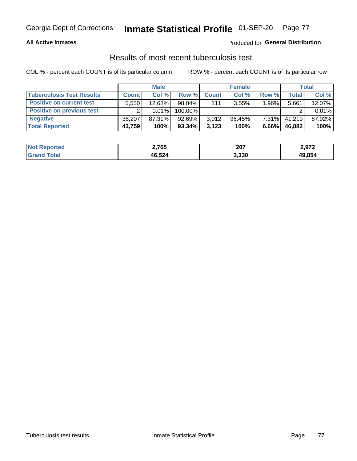#### **All Active Inmates**

#### Produced for **General Distribution**

### Results of most recent tuberculosis test

|                                  | <b>Male</b>  |          |           |              | <b>Female</b> | Total    |              |        |
|----------------------------------|--------------|----------|-----------|--------------|---------------|----------|--------------|--------|
| <b>Tuberculosis Test Results</b> | <b>Count</b> | Col%     | Row %I    | <b>Count</b> | Col%          | Row %    | <b>Total</b> | Col %  |
| <b>Positive on current test</b>  | 5.550        | 12.68%   | $98.04\%$ | 111          | 3.55%         | $1.96\%$ | 5,661        | 12.07% |
| <b>Positive on previous test</b> | ົ            | $0.01\%$ | 100.00%   |              |               |          |              | 0.01%  |
| <b>Negative</b>                  | 38.207       | 87.31%   | 92.69%    | 3,012        | $96.45\%$     | $7.31\%$ | 41.219       | 87.92% |
| <b>Total Reported</b>            | 43,759       | 100%     | $93.34\%$ | 3.123        | 100%          | 6.66%    | 46,882       | 100%   |

| <b>Not Reported</b> | 2,765  | 207   | 2,972  |
|---------------------|--------|-------|--------|
| Total<br>Gran       | 46,524 | 3,330 | 49,854 |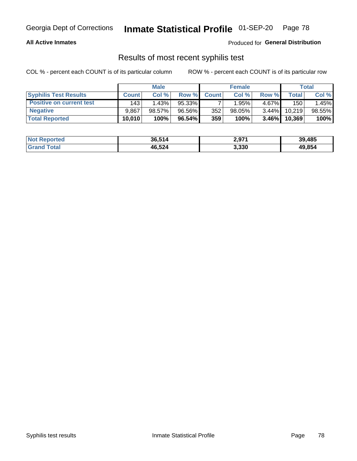#### **All Active Inmates**

Produced for **General Distribution**

### Results of most recent syphilis test

|                                 | <b>Male</b>  |           |        |              | <b>Female</b> | Total    |        |        |
|---------------------------------|--------------|-----------|--------|--------------|---------------|----------|--------|--------|
| <b>Syphilis Test Results</b>    | <b>Count</b> | Col %     | Row %  | <b>Count</b> | Col %         | Row %    | Total  | Col %  |
| <b>Positive on current test</b> | 143          | 1.43%     | 95.33% |              | 1.95%         | 4.67%    | 150    | 1.45%  |
| <b>Negative</b>                 | 9.867        | $98.57\%$ | 96.56% | 352          | 98.05%        | $3.44\%$ | 10,219 | 98.55% |
| <b>Total Reported</b>           | 10,010       | 100%      | 96.54% | 359          | 100%          | $3.46\%$ | 10,369 | 100%   |

| <b>Not Reported</b> | 36,514 | 2,971 | 39,485 |
|---------------------|--------|-------|--------|
| <b>Grand Total</b>  | 46,524 | 3,330 | 49,854 |